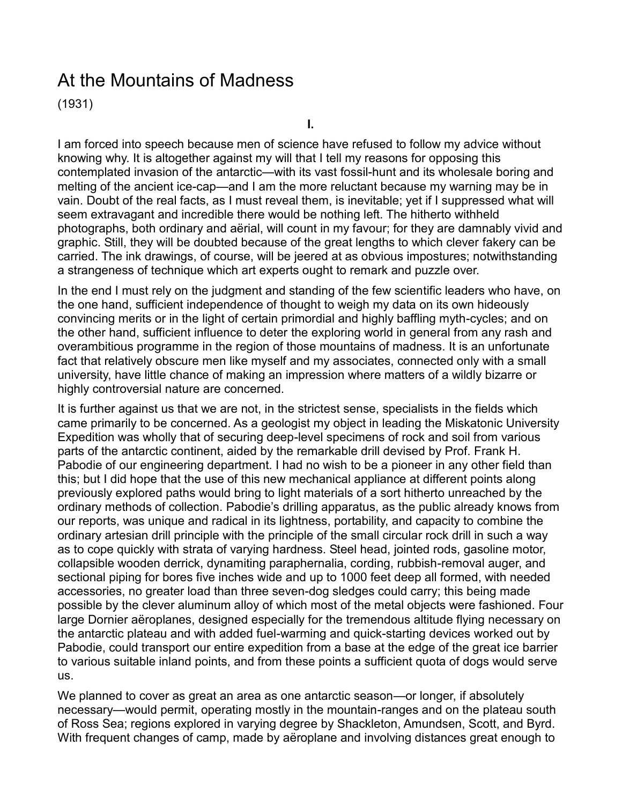# <span id="page-0-0"></span>At the Mountains of Madness

(1931)

**I.**

I am forced into speech because men of science have refused to follow my advice without knowing why. It is altogether against my will that I tell my reasons for opposing this contemplated invasion of the antarctic—with its vast fossil-hunt and its wholesale boring and melting of the ancient ice-cap—and I am the more reluctant because my warning may be in vain. Doubt of the real facts, as I must reveal them, is inevitable; yet if I suppressed what will seem extravagant and incredible there would be nothing left. The hitherto withheld photographs, both ordinary and aërial, will count in my favour; for they are damnably vivid and graphic. Still, they will be doubted because of the great lengths to which clever fakery can be carried. The ink drawings, of course, will be jeered at as obvious impostures; notwithstanding a strangeness of technique which art experts ought to remark and puzzle over.

In the end I must rely on the judgment and standing of the few scientific leaders who have, on the one hand, sufficient independence of thought to weigh my data on its own hideously convincing merits or in the light of certain primordial and highly baffling myth-cycles; and on the other hand, sufficient influence to deter the exploring world in general from any rash and overambitious programme in the region of those mountains of madness. It is an unfortunate fact that relatively obscure men like myself and my associates, connected only with a small university, have little chance of making an impression where matters of a wildly bizarre or highly controversial nature are concerned.

It is further against us that we are not, in the strictest sense, specialists in the fields which came primarily to be concerned. As a geologist my object in leading the Miskatonic University Expedition was wholly that of securing deep-level specimens of rock and soil from various parts of the antarctic continent, aided by the remarkable drill devised by Prof. Frank H. Pabodie of our engineering department. I had no wish to be a pioneer in any other field than this; but I did hope that the use of this new mechanical appliance at different points along previously explored paths would bring to light materials of a sort hitherto unreached by the ordinary methods of collection. Pabodie's drilling apparatus, as the public already knows from our reports, was unique and radical in its lightness, portability, and capacity to combine the ordinary artesian drill principle with the principle of the small circular rock drill in such a way as to cope quickly with strata of varying hardness. Steel head, jointed rods, gasoline motor, collapsible wooden derrick, dynamiting paraphernalia, cording, rubbish-removal auger, and sectional piping for bores five inches wide and up to 1000 feet deep all formed, with needed accessories, no greater load than three seven-dog sledges could carry; this being made possible by the clever aluminum alloy of which most of the metal objects were fashioned. Four large Dornier aëroplanes, designed especially for the tremendous altitude flying necessary on the antarctic plateau and with added fuel-warming and quick-starting devices worked out by Pabodie, could transport our entire expedition from a base at the edge of the great ice barrier to various suitable inland points, and from these points a sufficient quota of dogs would serve us.

We planned to cover as great an area as one antarctic season—or longer, if absolutely necessary—would permit, operating mostly in the mountain-ranges and on the plateau south of Ross Sea; regions explored in varying degree by Shackleton, Amundsen, Scott, and Byrd. With frequent changes of camp, made by aëroplane and involving distances great enough to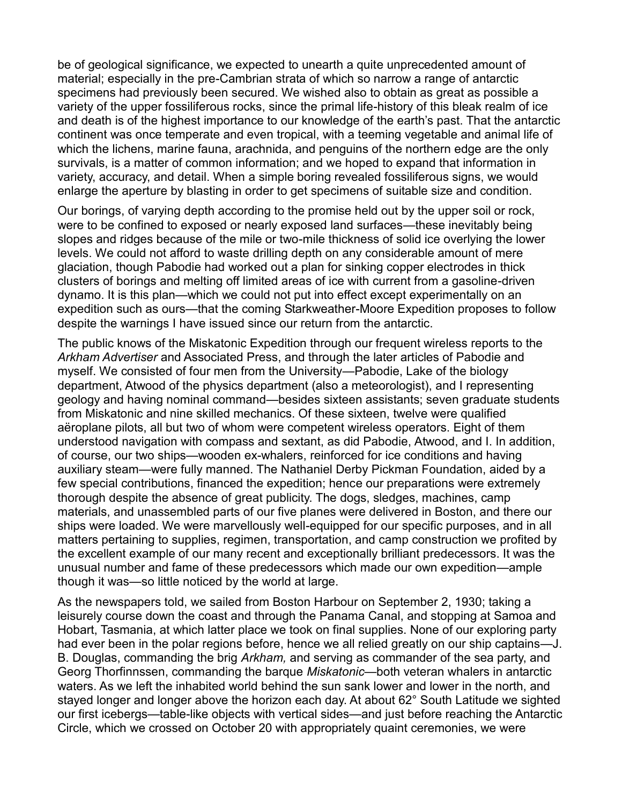be of geological significance, we expected to unearth a quite unprecedented amount of material; especially in the pre-Cambrian strata of which so narrow a range of antarctic specimens had previously been secured. We wished also to obtain as great as possible a variety of the upper fossiliferous rocks, since the primal life-history of this bleak realm of ice and death is of the highest importance to our knowledge of the earth's past. That the antarctic continent was once temperate and even tropical, with a teeming vegetable and animal life of which the lichens, marine fauna, arachnida, and penguins of the northern edge are the only survivals, is a matter of common information; and we hoped to expand that information in variety, accuracy, and detail. When a simple boring revealed fossiliferous signs, we would enlarge the aperture by blasting in order to get specimens of suitable size and condition.

Our borings, of varying depth according to the promise held out by the upper soil or rock, were to be confined to exposed or nearly exposed land surfaces—these inevitably being slopes and ridges because of the mile or two-mile thickness of solid ice overlying the lower levels. We could not afford to waste drilling depth on any considerable amount of mere glaciation, though Pabodie had worked out a plan for sinking copper electrodes in thick clusters of borings and melting off limited areas of ice with current from a gasoline-driven dynamo. It is this plan—which we could not put into effect except experimentally on an expedition such as ours—that the coming Starkweather-Moore Expedition proposes to follow despite the warnings I have issued since our return from the antarctic.

The public knows of the Miskatonic Expedition through our frequent wireless reports to the *Arkham Advertiser* and Associated Press, and through the later articles of Pabodie and myself. We consisted of four men from the University—Pabodie, Lake of the biology department, Atwood of the physics department (also a meteorologist), and I representing geology and having nominal command—besides sixteen assistants; seven graduate students from Miskatonic and nine skilled mechanics. Of these sixteen, twelve were qualified aëroplane pilots, all but two of whom were competent wireless operators. Eight of them understood navigation with compass and sextant, as did Pabodie, Atwood, and I. In addition, of course, our two ships—wooden ex-whalers, reinforced for ice conditions and having auxiliary steam—were fully manned. The Nathaniel Derby Pickman Foundation, aided by a few special contributions, financed the expedition; hence our preparations were extremely thorough despite the absence of great publicity. The dogs, sledges, machines, camp materials, and unassembled parts of our five planes were delivered in Boston, and there our ships were loaded. We were marvellously well-equipped for our specific purposes, and in all matters pertaining to supplies, regimen, transportation, and camp construction we profited by the excellent example of our many recent and exceptionally brilliant predecessors. It was the unusual number and fame of these predecessors which made our own expedition—ample though it was—so little noticed by the world at large.

As the newspapers told, we sailed from Boston Harbour on September 2, 1930; taking a leisurely course down the coast and through the Panama Canal, and stopping at Samoa and Hobart, Tasmania, at which latter place we took on final supplies. None of our exploring party had ever been in the polar regions before, hence we all relied greatly on our ship captains—J. B. Douglas, commanding the brig *Arkham,* and serving as commander of the sea party, and Georg Thorfinnssen, commanding the barque *Miskatonic*—both veteran whalers in antarctic waters. As we left the inhabited world behind the sun sank lower and lower in the north, and stayed longer and longer above the horizon each day. At about 62° South Latitude we sighted our first icebergs—table-like objects with vertical sides—and just before reaching the Antarctic Circle, which we crossed on October 20 with appropriately quaint ceremonies, we were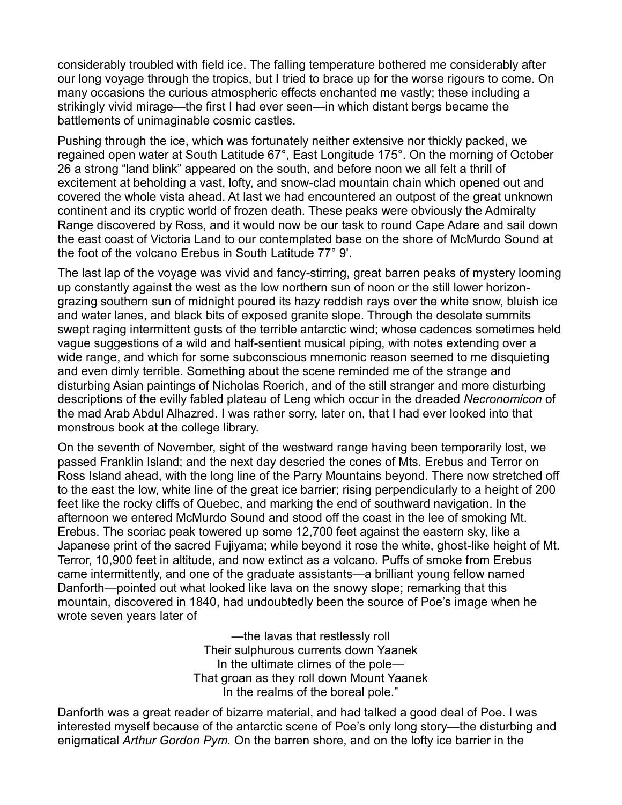considerably troubled with field ice. The falling temperature bothered me considerably after our long voyage through the tropics, but I tried to brace up for the worse rigours to come. On many occasions the curious atmospheric effects enchanted me vastly; these including a strikingly vivid mirage—the first I had ever seen—in which distant bergs became the battlements of unimaginable cosmic castles.

Pushing through the ice, which was fortunately neither extensive nor thickly packed, we regained open water at South Latitude 67°, East Longitude 175°. On the morning of October 26 a strong "land blink" appeared on the south, and before noon we all felt a thrill of excitement at beholding a vast, lofty, and snow-clad mountain chain which opened out and covered the whole vista ahead. At last we had encountered an outpost of the great unknown continent and its cryptic world of frozen death. These peaks were obviously the Admiralty Range discovered by Ross, and it would now be our task to round Cape Adare and sail down the east coast of Victoria Land to our contemplated base on the shore of McMurdo Sound at the foot of the volcano Erebus in South Latitude 77° 9'.

The last lap of the voyage was vivid and fancy-stirring, great barren peaks of mystery looming up constantly against the west as the low northern sun of noon or the still lower horizongrazing southern sun of midnight poured its hazy reddish rays over the white snow, bluish ice and water lanes, and black bits of exposed granite slope. Through the desolate summits swept raging intermittent gusts of the terrible antarctic wind; whose cadences sometimes held vague suggestions of a wild and half-sentient musical piping, with notes extending over a wide range, and which for some subconscious mnemonic reason seemed to me disquieting and even dimly terrible. Something about the scene reminded me of the strange and disturbing Asian paintings of Nicholas Roerich, and of the still stranger and more disturbing descriptions of the evilly fabled plateau of Leng which occur in the dreaded *Necronomicon* of the mad Arab Abdul Alhazred. I was rather sorry, later on, that I had ever looked into that monstrous book at the college library.

On the seventh of November, sight of the westward range having been temporarily lost, we passed Franklin Island; and the next day descried the cones of Mts. Erebus and Terror on Ross Island ahead, with the long line of the Parry Mountains beyond. There now stretched off to the east the low, white line of the great ice barrier; rising perpendicularly to a height of 200 feet like the rocky cliffs of Quebec, and marking the end of southward navigation. In the afternoon we entered McMurdo Sound and stood off the coast in the lee of smoking Mt. Erebus. The scoriac peak towered up some 12,700 feet against the eastern sky, like a Japanese print of the sacred Fujiyama; while beyond it rose the white, ghost-like height of Mt. Terror, 10,900 feet in altitude, and now extinct as a volcano. Puffs of smoke from Erebus came intermittently, and one of the graduate assistants—a brilliant young fellow named Danforth—pointed out what looked like lava on the snowy slope; remarking that this mountain, discovered in 1840, had undoubtedly been the source of Poe's image when he wrote seven years later of

> -the lavas that restlessly roll Their sulphurous currents down Yaanek In the ultimate climes of the pole— That groan as they roll down Mount Yaanek In the realms of the boreal pole."

Danforth was a great reader of bizarre material, and had talked a good deal of Poe. I was interested myself because of the antarctic scene of Poe's only long story—the disturbing and enigmatical *Arthur Gordon Pym.* On the barren shore, and on the lofty ice barrier in the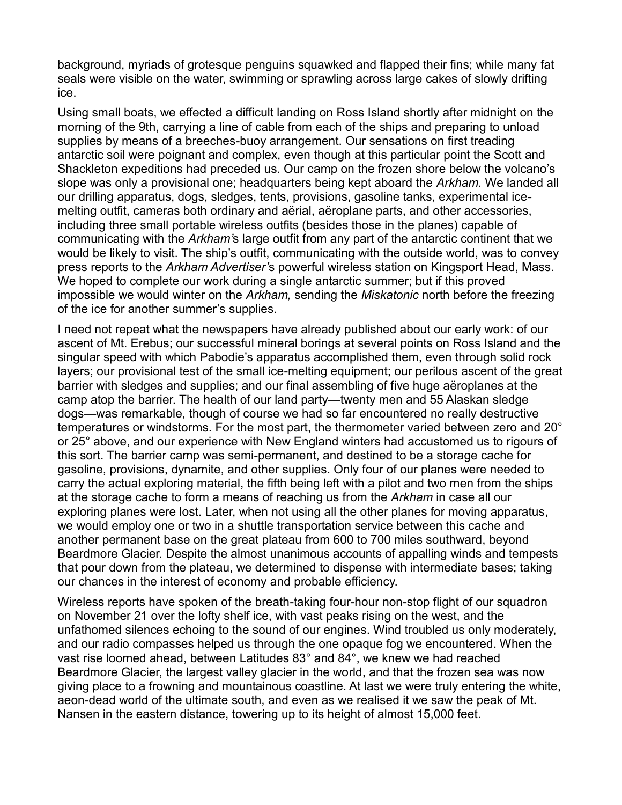background, myriads of grotesque penguins squawked and flapped their fins; while many fat seals were visible on the water, swimming or sprawling across large cakes of slowly drifting ice.

Using small boats, we effected a difficult landing on Ross Island shortly after midnight on the morning of the 9th, carrying a line of cable from each of the ships and preparing to unload supplies by means of a breeches-buoy arrangement. Our sensations on first treading antarctic soil were poignant and complex, even though at this particular point the Scott and Shackleton expeditions had preceded us. Our camp on the frozen shore below the volcano's slope was only a provisional one; headquarters being kept aboard the *Arkham.* We landed all our drilling apparatus, dogs, sledges, tents, provisions, gasoline tanks, experimental icemelting outfit, cameras both ordinary and aërial, aëroplane parts, and other accessories, including three small portable wireless outfits (besides those in the planes) capable of communicating with the *Arkham'*s large outfit from any part of the antarctic continent that we would be likely to visit. The ship's outfit, communicating with the outside world, was to convey press reports to the *Arkham Advertiser'*s powerful wireless station on Kingsport Head, Mass. We hoped to complete our work during a single antarctic summer; but if this proved impossible we would winter on the *Arkham,* sending the *Miskatonic* north before the freezing of the ice for another summer's supplies.

I need not repeat what the newspapers have already published about our early work: of our ascent of Mt. Erebus; our successful mineral borings at several points on Ross Island and the singular speed with which Pabodie's apparatus accomplished them, even through solid rock layers; our provisional test of the small ice-melting equipment; our perilous ascent of the great barrier with sledges and supplies; and our final assembling of five huge aëroplanes at the camp atop the barrier. The health of our land party—twenty men and 55 Alaskan sledge dogs—was remarkable, though of course we had so far encountered no really destructive temperatures or windstorms. For the most part, the thermometer varied between zero and 20° or 25° above, and our experience with New England winters had accustomed us to rigours of this sort. The barrier camp was semi-permanent, and destined to be a storage cache for gasoline, provisions, dynamite, and other supplies. Only four of our planes were needed to carry the actual exploring material, the fifth being left with a pilot and two men from the ships at the storage cache to form a means of reaching us from the *Arkham* in case all our exploring planes were lost. Later, when not using all the other planes for moving apparatus, we would employ one or two in a shuttle transportation service between this cache and another permanent base on the great plateau from 600 to 700 miles southward, beyond Beardmore Glacier. Despite the almost unanimous accounts of appalling winds and tempests that pour down from the plateau, we determined to dispense with intermediate bases; taking our chances in the interest of economy and probable efficiency.

Wireless reports have spoken of the breath-taking four-hour non-stop flight of our squadron on November 21 over the lofty shelf ice, with vast peaks rising on the west, and the unfathomed silences echoing to the sound of our engines. Wind troubled us only moderately, and our radio compasses helped us through the one opaque fog we encountered. When the vast rise loomed ahead, between Latitudes 83° and 84°, we knew we had reached Beardmore Glacier, the largest valley glacier in the world, and that the frozen sea was now giving place to a frowning and mountainous coastline. At last we were truly entering the white, aeon-dead world of the ultimate south, and even as we realised it we saw the peak of Mt. Nansen in the eastern distance, towering up to its height of almost 15,000 feet.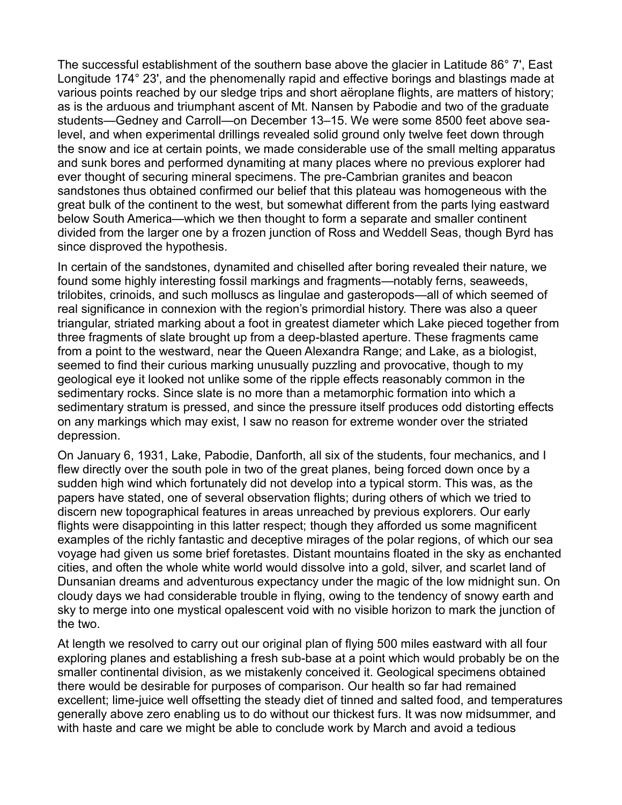The successful establishment of the southern base above the glacier in Latitude 86° 7', East Longitude 174° 23', and the phenomenally rapid and effective borings and blastings made at various points reached by our sledge trips and short aëroplane flights, are matters of history; as is the arduous and triumphant ascent of Mt. Nansen by Pabodie and two of the graduate students—Gedney and Carroll—on December 13-15. We were some 8500 feet above sealevel, and when experimental drillings revealed solid ground only twelve feet down through the snow and ice at certain points, we made considerable use of the small melting apparatus and sunk bores and performed dynamiting at many places where no previous explorer had ever thought of securing mineral specimens. The pre-Cambrian granites and beacon sandstones thus obtained confirmed our belief that this plateau was homogeneous with the great bulk of the continent to the west, but somewhat different from the parts lying eastward below South America—which we then thought to form a separate and smaller continent divided from the larger one by a frozen junction of Ross and Weddell Seas, though Byrd has since disproved the hypothesis.

In certain of the sandstones, dynamited and chiselled after boring revealed their nature, we found some highly interesting fossil markings and fragments—notably ferns, seaweeds, trilobites, crinoids, and such molluscs as lingulae and gasteropods—all of which seemed of real significance in connexion with the region's primordial history. There was also a queer triangular, striated marking about a foot in greatest diameter which Lake pieced together from three fragments of slate brought up from a deep-blasted aperture. These fragments came from a point to the westward, near the Queen Alexandra Range; and Lake, as a biologist, seemed to find their curious marking unusually puzzling and provocative, though to my geological eye it looked not unlike some of the ripple effects reasonably common in the sedimentary rocks. Since slate is no more than a metamorphic formation into which a sedimentary stratum is pressed, and since the pressure itself produces odd distorting effects on any markings which may exist, I saw no reason for extreme wonder over the striated depression.

On January 6, 1931, Lake, Pabodie, Danforth, all six of the students, four mechanics, and I flew directly over the south pole in two of the great planes, being forced down once by a sudden high wind which fortunately did not develop into a typical storm. This was, as the papers have stated, one of several observation flights; during others of which we tried to discern new topographical features in areas unreached by previous explorers. Our early flights were disappointing in this latter respect; though they afforded us some magnificent examples of the richly fantastic and deceptive mirages of the polar regions, of which our sea voyage had given us some brief foretastes. Distant mountains floated in the sky as enchanted cities, and often the whole white world would dissolve into a gold, silver, and scarlet land of Dunsanian dreams and adventurous expectancy under the magic of the low midnight sun. On cloudy days we had considerable trouble in flying, owing to the tendency of snowy earth and sky to merge into one mystical opalescent void with no visible horizon to mark the junction of the two.

At length we resolved to carry out our original plan of flying 500 miles eastward with all four exploring planes and establishing a fresh sub-base at a point which would probably be on the smaller continental division, as we mistakenly conceived it. Geological specimens obtained there would be desirable for purposes of comparison. Our health so far had remained excellent; lime-juice well offsetting the steady diet of tinned and salted food, and temperatures generally above zero enabling us to do without our thickest furs. It was now midsummer, and with haste and care we might be able to conclude work by March and avoid a tedious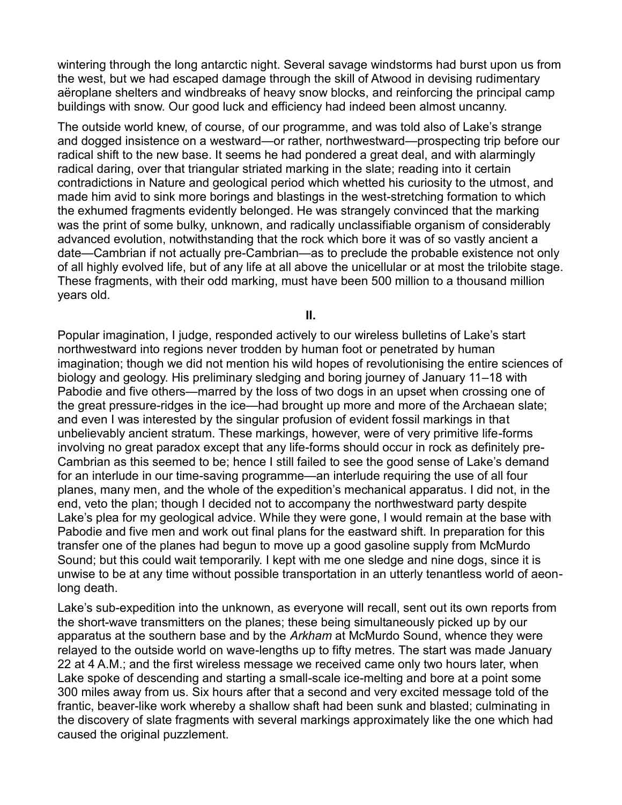wintering through the long antarctic night. Several savage windstorms had burst upon us from the west, but we had escaped damage through the skill of Atwood in devising rudimentary aëroplane shelters and windbreaks of heavy snow blocks, and reinforcing the principal camp buildings with snow. Our good luck and efficiency had indeed been almost uncanny.

The outside world knew, of course, of our programme, and was told also of Lake's strange and dogged insistence on a westward—or rather, northwestward—prospecting trip before our radical shift to the new base. It seems he had pondered a great deal, and with alarmingly radical daring, over that triangular striated marking in the slate; reading into it certain contradictions in Nature and geological period which whetted his curiosity to the utmost, and made him avid to sink more borings and blastings in the west-stretching formation to which the exhumed fragments evidently belonged. He was strangely convinced that the marking was the print of some bulky, unknown, and radically unclassifiable organism of considerably advanced evolution, notwithstanding that the rock which bore it was of so vastly ancient a date—Cambrian if not actually pre-Cambrian—as to preclude the probable existence not only of all highly evolved life, but of any life at all above the unicellular or at most the trilobite stage. These fragments, with their odd marking, must have been 500 million to a thousand million years old.

**II.**

Popular imagination, I judge, responded actively to our wireless bulletins of Lake's start northwestward into regions never trodden by human foot or penetrated by human imagination; though we did not mention his wild hopes of revolutionising the entire sciences of biology and geology. His preliminary sledging and boring journey of January 11–18 with Pabodie and five others—marred by the loss of two dogs in an upset when crossing one of the great pressure-ridges in the ice—had brought up more and more of the Archaean slate; and even I was interested by the singular profusion of evident fossil markings in that unbelievably ancient stratum. These markings, however, were of very primitive life-forms involving no great paradox except that any life-forms should occur in rock as definitely pre-Cambrian as this seemed to be; hence I still failed to see the good sense of Lake's demand for an interlude in our time-saving programme—an interlude requiring the use of all four planes, many men, and the whole of the expedition's mechanical apparatus. I did not, in the end, veto the plan; though I decided not to accompany the northwestward party despite Lake's plea for my geological advice. While they were gone, I would remain at the base with Pabodie and five men and work out final plans for the eastward shift. In preparation for this transfer one of the planes had begun to move up a good gasoline supply from McMurdo Sound; but this could wait temporarily. I kept with me one sledge and nine dogs, since it is unwise to be at any time without possible transportation in an utterly tenantless world of aeonlong death.

Lake's sub-expedition into the unknown, as everyone will recall, sent out its own reports from the short-wave transmitters on the planes; these being simultaneously picked up by our apparatus at the southern base and by the *Arkham* at McMurdo Sound, whence they were relayed to the outside world on wave-lengths up to fifty metres. The start was made January 22 at 4 A.M.; and the first wireless message we received came only two hours later, when Lake spoke of descending and starting a small-scale ice-melting and bore at a point some 300 miles away from us. Six hours after that a second and very excited message told of the frantic, beaver-like work whereby a shallow shaft had been sunk and blasted; culminating in the discovery of slate fragments with several markings approximately like the one which had caused the original puzzlement.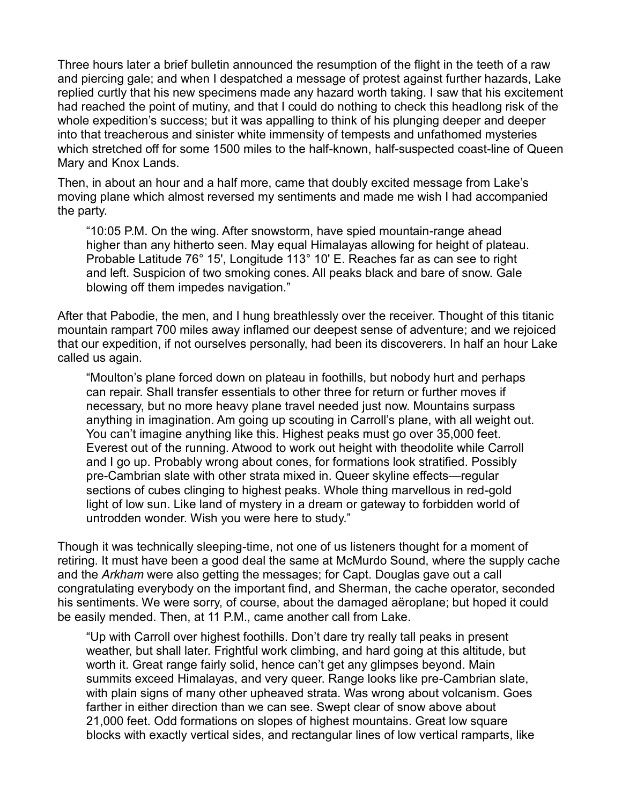Three hours later a brief bulletin announced the resumption of the flight in the teeth of a raw and piercing gale; and when I despatched a message of protest against further hazards, Lake replied curtly that his new specimens made any hazard worth taking. I saw that his excitement had reached the point of mutiny, and that I could do nothing to check this headlong risk of the whole expedition's success; but it was appalling to think of his plunging deeper and deeper into that treacherous and sinister white immensity of tempests and unfathomed mysteries which stretched off for some 1500 miles to the half-known, half-suspected coast-line of Queen Mary and Knox Lands.

Then, in about an hour and a half more, came that doubly excited message from Lake's moving plane which almost reversed my sentiments and made me wish I had accompanied the party.

³10:05 P.M. On the wing. After snowstorm, have spied mountain-range ahead higher than any hitherto seen. May equal Himalayas allowing for height of plateau. Probable Latitude 76° 15', Longitude 113° 10' E. Reaches far as can see to right and left. Suspicion of two smoking cones. All peaks black and bare of snow. Gale blowing off them impedes navigation."

After that Pabodie, the men, and I hung breathlessly over the receiver. Thought of this titanic mountain rampart 700 miles away inflamed our deepest sense of adventure; and we rejoiced that our expedition, if not ourselves personally, had been its discoverers. In half an hour Lake called us again.

"Moulton's plane forced down on plateau in foothills, but nobody hurt and perhaps can repair. Shall transfer essentials to other three for return or further moves if necessary, but no more heavy plane travel needed just now. Mountains surpass anything in imagination. Am going up scouting in Carroll's plane, with all weight out. You can't imagine anything like this. Highest peaks must go over 35,000 feet. Everest out of the running. Atwood to work out height with theodolite while Carroll and I go up. Probably wrong about cones, for formations look stratified. Possibly pre-Cambrian slate with other strata mixed in. Queer skyline effects—regular sections of cubes clinging to highest peaks. Whole thing marvellous in red-gold light of low sun. Like land of mystery in a dream or gateway to forbidden world of untrodden wonder. Wish you were here to study."

Though it was technically sleeping-time, not one of us listeners thought for a moment of retiring. It must have been a good deal the same at McMurdo Sound, where the supply cache and the *Arkham* were also getting the messages; for Capt. Douglas gave out a call congratulating everybody on the important find, and Sherman, the cache operator, seconded his sentiments. We were sorry, of course, about the damaged aëroplane; but hoped it could be easily mended. Then, at 11 P.M., came another call from Lake.

"Up with Carroll over highest foothills. Don't dare try really tall peaks in present weather, but shall later. Frightful work climbing, and hard going at this altitude, but worth it. Great range fairly solid, hence can't get any glimpses beyond. Main summits exceed Himalayas, and very queer. Range looks like pre-Cambrian slate, with plain signs of many other upheaved strata. Was wrong about volcanism. Goes farther in either direction than we can see. Swept clear of snow above about 21,000 feet. Odd formations on slopes of highest mountains. Great low square blocks with exactly vertical sides, and rectangular lines of low vertical ramparts, like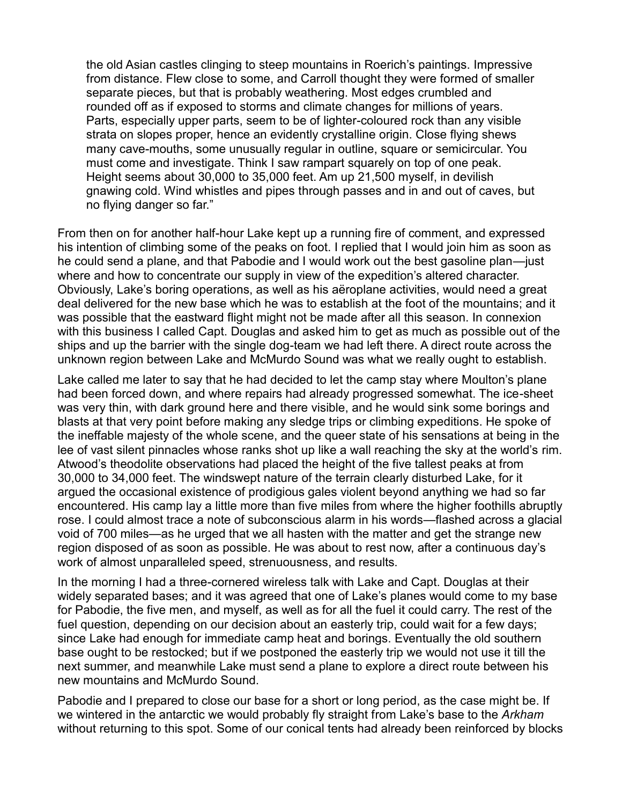the old Asian castles clinging to steep mountains in Roerich's paintings. Impressive from distance. Flew close to some, and Carroll thought they were formed of smaller separate pieces, but that is probably weathering. Most edges crumbled and rounded off as if exposed to storms and climate changes for millions of years. Parts, especially upper parts, seem to be of lighter-coloured rock than any visible strata on slopes proper, hence an evidently crystalline origin. Close flying shews many cave-mouths, some unusually regular in outline, square or semicircular. You must come and investigate. Think I saw rampart squarely on top of one peak. Height seems about 30,000 to 35,000 feet. Am up 21,500 myself, in devilish gnawing cold. Wind whistles and pipes through passes and in and out of caves, but no flying danger so far."

From then on for another half-hour Lake kept up a running fire of comment, and expressed his intention of climbing some of the peaks on foot. I replied that I would join him as soon as he could send a plane, and that Pabodie and I would work out the best gasoline plan—just where and how to concentrate our supply in view of the expedition's altered character. Obviously, Lake's boring operations, as well as his aeroplane activities, would need a great deal delivered for the new base which he was to establish at the foot of the mountains; and it was possible that the eastward flight might not be made after all this season. In connexion with this business I called Capt. Douglas and asked him to get as much as possible out of the ships and up the barrier with the single dog-team we had left there. A direct route across the unknown region between Lake and McMurdo Sound was what we really ought to establish.

Lake called me later to say that he had decided to let the camp stay where Moulton's plane had been forced down, and where repairs had already progressed somewhat. The ice-sheet was very thin, with dark ground here and there visible, and he would sink some borings and blasts at that very point before making any sledge trips or climbing expeditions. He spoke of the ineffable majesty of the whole scene, and the queer state of his sensations at being in the Lee of vast silent pinnacles whose ranks shot up like a wall reaching the sky at the world's rim. Atwood's theodolite observations had placed the height of the five tallest peaks at from 30,000 to 34,000 feet. The windswept nature of the terrain clearly disturbed Lake, for it argued the occasional existence of prodigious gales violent beyond anything we had so far encountered. His camp lay a little more than five miles from where the higher foothills abruptly rose. I could almost trace a note of subconscious alarm in his words—flashed across a glacial void of 700 miles—as he urged that we all hasten with the matter and get the strange new region disposed of as soon as possible. He was about to rest now, after a continuous day's work of almost unparalleled speed, strenuousness, and results.

In the morning I had a three-cornered wireless talk with Lake and Capt. Douglas at their widely separated bases; and it was agreed that one of Lake's planes would come to my base for Pabodie, the five men, and myself, as well as for all the fuel it could carry. The rest of the fuel question, depending on our decision about an easterly trip, could wait for a few days; since Lake had enough for immediate camp heat and borings. Eventually the old southern base ought to be restocked; but if we postponed the easterly trip we would not use it till the next summer, and meanwhile Lake must send a plane to explore a direct route between his new mountains and McMurdo Sound.

Pabodie and I prepared to close our base for a short or long period, as the case might be. If we wintered in the antarctic we would probably fly straight from Lake's base to the Arkham without returning to this spot. Some of our conical tents had already been reinforced by blocks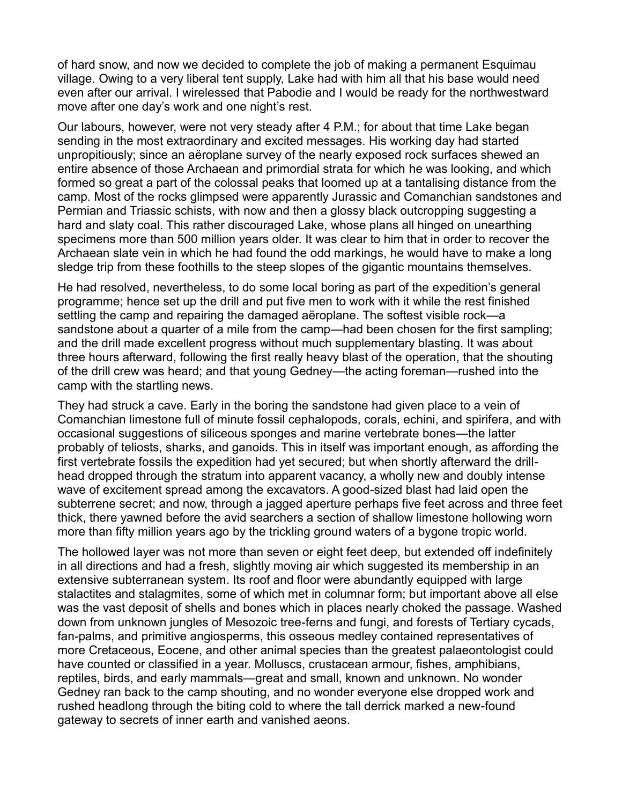of hard snow, and now we decided to complete the job of making a permanent Esquimau village. Owing to a very liberal tent supply, Lake had with him all that his base would need even after our arrival. I wirelessed that Pabodie and I would be ready for the northwestward move after one day's work and one night's rest.

Our labours, however, were not very steady after 4 P.M.; for about that time Lake began sending in the most extraordinary and excited messages. His working day had started unpropitiously; since an aëroplane survey of the nearly exposed rock surfaces shewed an entire absence of those Archaean and primordial strata for which he was looking, and which formed so great a part of the colossal peaks that loomed up at a tantalising distance from the camp. Most of the rocks glimpsed were apparently Jurassic and Comanchian sandstones and Permian and Triassic schists, with now and then a glossy black outcropping suggesting a hard and slaty coal. This rather discouraged Lake, whose plans all hinged on unearthing specimens more than 500 million years older. It was clear to him that in order to recover the Archaean slate vein in which he had found the odd markings, he would have to make a long sledge trip from these foothills to the steep slopes of the gigantic mountains themselves.

He had resolved, nevertheless, to do some local boring as part of the expedition's general programme; hence set up the drill and put five men to work with it while the rest finished settling the camp and repairing the damaged aëroplane. The softest visible rock—a sandstone about a quarter of a mile from the camp—had been chosen for the first sampling; and the drill made excellent progress without much supplementary blasting. It was about three hours afterward, following the first really heavy blast of the operation, that the shouting of the drill crew was heard; and that young Gedney—the acting foreman—rushed into the camp with the startling news.

They had struck a cave. Early in the boring the sandstone had given place to a vein of Comanchian limestone full of minute fossil cephalopods, corals, echini, and spirifera, and with occasional suggestions of siliceous sponges and marine vertebrate bones—the latter probably of teliosts, sharks, and ganoids. This in itself was important enough, as affording the first vertebrate fossils the expedition had yet secured; but when shortly afterward the drillhead dropped through the stratum into apparent vacancy, a wholly new and doubly intense wave of excitement spread among the excavators. A good-sized blast had laid open the subterrene secret; and now, through a jagged aperture perhaps five feet across and three feet thick, there yawned before the avid searchers a section of shallow limestone hollowing worn more than fifty million years ago by the trickling ground waters of a bygone tropic world.

The hollowed layer was not more than seven or eight feet deep, but extended off indefinitely in all directions and had a fresh, slightly moving air which suggested its membership in an extensive subterranean system. Its roof and floor were abundantly equipped with large stalactites and stalagmites, some of which met in columnar form; but important above all else was the vast deposit of shells and bones which in places nearly choked the passage. Washed down from unknown jungles of Mesozoic tree-ferns and fungi, and forests of Tertiary cycads, fan-palms, and primitive angiosperms, this osseous medley contained representatives of more Cretaceous, Eocene, and other animal species than the greatest palaeontologist could have counted or classified in a year. Molluscs, crustacean armour, fishes, amphibians, reptiles, birds, and early mammals—great and small, known and unknown. No wonder Gedney ran back to the camp shouting, and no wonder everyone else dropped work and rushed headlong through the biting cold to where the tall derrick marked a new-found gateway to secrets of inner earth and vanished aeons.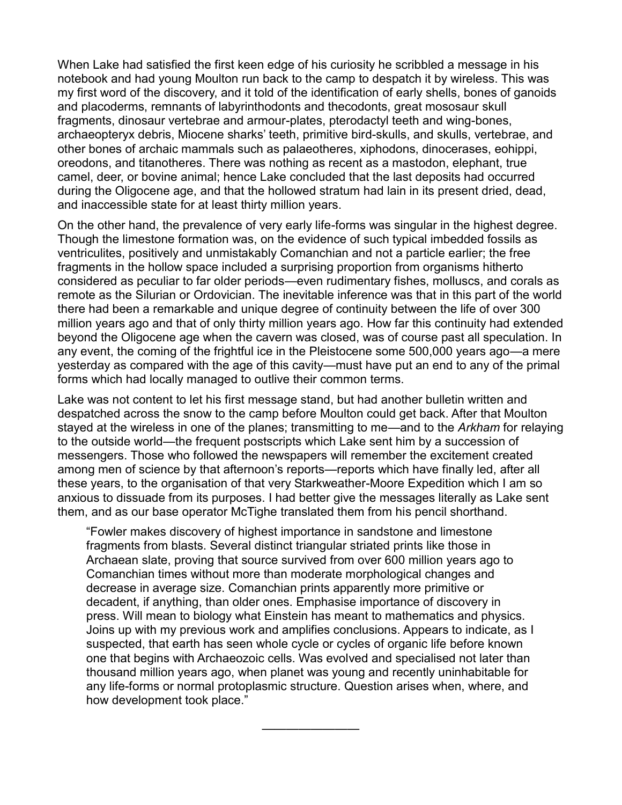When Lake had satisfied the first keen edge of his curiosity he scribbled a message in his notebook and had young Moulton run back to the camp to despatch it by wireless. This was my first word of the discovery, and it told of the identification of early shells, bones of ganoids and placoderms, remnants of labyrinthodonts and thecodonts, great mososaur skull fragments, dinosaur vertebrae and armour-plates, pterodactyl teeth and wing-bones, archaeopteryx debris, Miocene sharks' teeth, primitive bird-skulls, and skulls, vertebrae, and other bones of archaic mammals such as palaeotheres, xiphodons, dinocerases, eohippi, oreodons, and titanotheres. There was nothing as recent as a mastodon, elephant, true camel, deer, or bovine animal; hence Lake concluded that the last deposits had occurred during the Oligocene age, and that the hollowed stratum had lain in its present dried, dead, and inaccessible state for at least thirty million years.

On the other hand, the prevalence of very early life-forms was singular in the highest degree. Though the limestone formation was, on the evidence of such typical imbedded fossils as ventriculites, positively and unmistakably Comanchian and not a particle earlier; the free fragments in the hollow space included a surprising proportion from organisms hitherto considered as peculiar to far older periods—even rudimentary fishes, molluscs, and corals as remote as the Silurian or Ordovician. The inevitable inference was that in this part of the world there had been a remarkable and unique degree of continuity between the life of over 300 million years ago and that of only thirty million years ago. How far this continuity had extended beyond the Oligocene age when the cavern was closed, was of course past all speculation. In any event, the coming of the frightful ice in the Pleistocene some 500,000 years ago—a mere yesterday as compared with the age of this cavity—must have put an end to any of the primal forms which had locally managed to outlive their common terms.

Lake was not content to let his first message stand, but had another bulletin written and despatched across the snow to the camp before Moulton could get back. After that Moulton stayed at the wireless in one of the planes; transmitting to me—and to the *Arkham* for relaying to the outside world—the frequent postscripts which Lake sent him by a succession of messengers. Those who followed the newspapers will remember the excitement created among men of science by that afternoon's reports—reports which have finally led, after all these years, to the organisation of that very Starkweather-Moore Expedition which I am so anxious to dissuade from its purposes. I had better give the messages literally as Lake sent them, and as our base operator McTighe translated them from his pencil shorthand.

³Fowler makes discovery of highest importance in sandstone and limestone fragments from blasts. Several distinct triangular striated prints like those in Archaean slate, proving that source survived from over 600 million years ago to Comanchian times without more than moderate morphological changes and decrease in average size. Comanchian prints apparently more primitive or decadent, if anything, than older ones. Emphasise importance of discovery in press. Will mean to biology what Einstein has meant to mathematics and physics. Joins up with my previous work and amplifies conclusions. Appears to indicate, as I suspected, that earth has seen whole cycle or cycles of organic life before known one that begins with Archaeozoic cells. Was evolved and specialised not later than thousand million years ago, when planet was young and recently uninhabitable for any life-forms or normal protoplasmic structure. Question arises when, where, and how development took place."

²²²²²²²²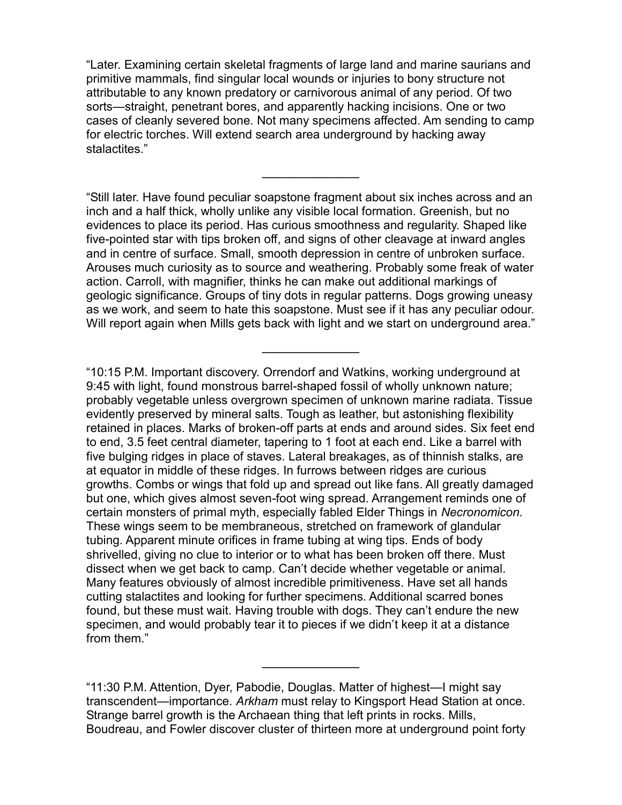³Later. Examining certain skeletal fragments of large land and marine saurians and primitive mammals, find singular local wounds or injuries to bony structure not attributable to any known predatory or carnivorous animal of any period. Of two sorts—straight, penetrant bores, and apparently hacking incisions. One or two cases of cleanly severed bone. Not many specimens affected. Am sending to camp for electric torches. Will extend search area underground by hacking away stalactites."

²²²²²²²²

³Still later. Have found peculiar soapstone fragment about six inches across and an inch and a half thick, wholly unlike any visible local formation. Greenish, but no evidences to place its period. Has curious smoothness and regularity. Shaped like five-pointed star with tips broken off, and signs of other cleavage at inward angles and in centre of surface. Small, smooth depression in centre of unbroken surface. Arouses much curiosity as to source and weathering. Probably some freak of water action. Carroll, with magnifier, thinks he can make out additional markings of geologic significance. Groups of tiny dots in regular patterns. Dogs growing uneasy as we work, and seem to hate this soapstone. Must see if it has any peculiar odour. Will report again when Mills gets back with light and we start on underground area."

²²²²²²²²

³10:15 P.M. Important discovery. Orrendorf and Watkins, working underground at 9:45 with light, found monstrous barrel-shaped fossil of wholly unknown nature; probably vegetable unless overgrown specimen of unknown marine radiata. Tissue evidently preserved by mineral salts. Tough as leather, but astonishing flexibility retained in places. Marks of broken-off parts at ends and around sides. Six feet end to end, 3.5 feet central diameter, tapering to 1 foot at each end. Like a barrel with five bulging ridges in place of staves. Lateral breakages, as of thinnish stalks, are at equator in middle of these ridges. In furrows between ridges are curious growths. Combs or wings that fold up and spread out like fans. All greatly damaged but one, which gives almost seven-foot wing spread. Arrangement reminds one of certain monsters of primal myth, especially fabled Elder Things in *Necronomicon.* These wings seem to be membraneous, stretched on framework of glandular tubing. Apparent minute orifices in frame tubing at wing tips. Ends of body shrivelled, giving no clue to interior or to what has been broken off there. Must dissect when we get back to camp. Can't decide whether vegetable or animal. Many features obviously of almost incredible primitiveness. Have set all hands cutting stalactites and looking for further specimens. Additional scarred bones found, but these must wait. Having trouble with dogs. They can't endure the new specimen, and would probably tear it to pieces if we didn't keep it at a distance from them."

"11:30 P.M. Attention, Dyer, Pabodie, Douglas. Matter of highest—I might say transcendent—importance. Arkham must relay to Kingsport Head Station at once. Strange barrel growth is the Archaean thing that left prints in rocks. Mills, Boudreau, and Fowler discover cluster of thirteen more at underground point forty

²²²²²²²²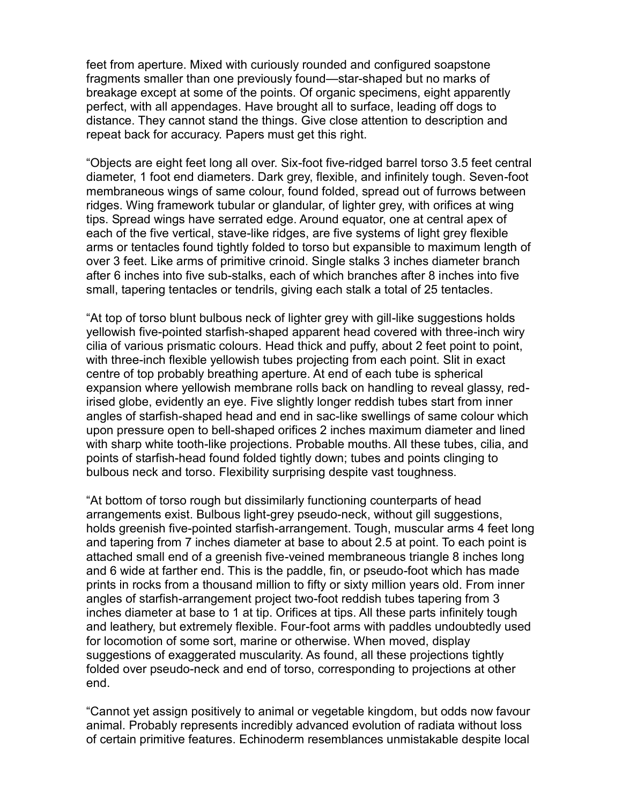feet from aperture. Mixed with curiously rounded and configured soapstone fragments smaller than one previously found—star-shaped but no marks of breakage except at some of the points. Of organic specimens, eight apparently perfect, with all appendages. Have brought all to surface, leading off dogs to distance. They cannot stand the things. Give close attention to description and repeat back for accuracy. Papers must get this right.

³Objects are eight feet long all over. Six-foot five-ridged barrel torso 3.5 feet central diameter, 1 foot end diameters. Dark grey, flexible, and infinitely tough. Seven-foot membraneous wings of same colour, found folded, spread out of furrows between ridges. Wing framework tubular or glandular, of lighter grey, with orifices at wing tips. Spread wings have serrated edge. Around equator, one at central apex of each of the five vertical, stave-like ridges, are five systems of light grey flexible arms or tentacles found tightly folded to torso but expansible to maximum length of over 3 feet. Like arms of primitive crinoid. Single stalks 3 inches diameter branch after 6 inches into five sub-stalks, each of which branches after 8 inches into five small, tapering tentacles or tendrils, giving each stalk a total of 25 tentacles.

³At top of torso blunt bulbous neck of lighter grey with gill-like suggestions holds yellowish five-pointed starfish-shaped apparent head covered with three-inch wiry cilia of various prismatic colours. Head thick and puffy, about 2 feet point to point, with three-inch flexible yellowish tubes projecting from each point. Slit in exact centre of top probably breathing aperture. At end of each tube is spherical expansion where yellowish membrane rolls back on handling to reveal glassy, redirised globe, evidently an eye. Five slightly longer reddish tubes start from inner angles of starfish-shaped head and end in sac-like swellings of same colour which upon pressure open to bell-shaped orifices 2 inches maximum diameter and lined with sharp white tooth-like projections. Probable mouths. All these tubes, cilia, and points of starfish-head found folded tightly down; tubes and points clinging to bulbous neck and torso. Flexibility surprising despite vast toughness.

³At bottom of torso rough but dissimilarly functioning counterparts of head arrangements exist. Bulbous light-grey pseudo-neck, without gill suggestions, holds greenish five-pointed starfish-arrangement. Tough, muscular arms 4 feet long and tapering from 7 inches diameter at base to about 2.5 at point. To each point is attached small end of a greenish five-veined membraneous triangle 8 inches long and 6 wide at farther end. This is the paddle, fin, or pseudo-foot which has made prints in rocks from a thousand million to fifty or sixty million years old. From inner angles of starfish-arrangement project two-foot reddish tubes tapering from 3 inches diameter at base to 1 at tip. Orifices at tips. All these parts infinitely tough and leathery, but extremely flexible. Four-foot arms with paddles undoubtedly used for locomotion of some sort, marine or otherwise. When moved, display suggestions of exaggerated muscularity. As found, all these projections tightly folded over pseudo-neck and end of torso, corresponding to projections at other end.

³Cannot yet assign positively to animal or vegetable kingdom, but odds now favour animal. Probably represents incredibly advanced evolution of radiata without loss of certain primitive features. Echinoderm resemblances unmistakable despite local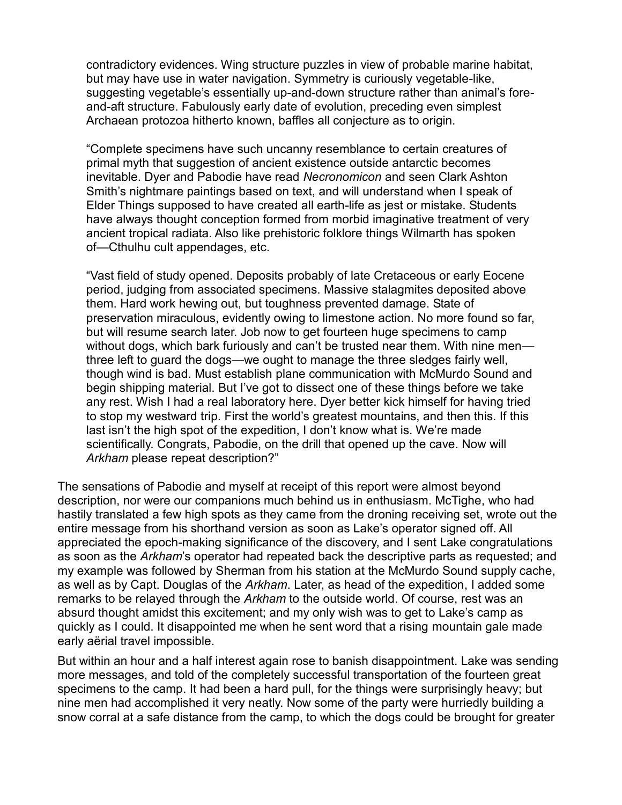contradictory evidences. Wing structure puzzles in view of probable marine habitat, but may have use in water navigation. Symmetry is curiously vegetable-like, suggesting vegetable's essentially up-and-down structure rather than animal's foreand-aft structure. Fabulously early date of evolution, preceding even simplest Archaean protozoa hitherto known, baffles all conjecture as to origin.

³Complete specimens have such uncanny resemblance to certain creatures of primal myth that suggestion of ancient existence outside antarctic becomes inevitable. Dyer and Pabodie have read *Necronomicon* and seen Clark Ashton Smith's nightmare paintings based on text, and will understand when I speak of Elder Things supposed to have created all earth-life as jest or mistake. Students have always thought conception formed from morbid imaginative treatment of very ancient tropical radiata. Also like prehistoric folklore things Wilmarth has spoken of—Cthulhu cult appendages, etc.

³Vast field of study opened. Deposits probably of late Cretaceous or early Eocene period, judging from associated specimens. Massive stalagmites deposited above them. Hard work hewing out, but toughness prevented damage. State of preservation miraculous, evidently owing to limestone action. No more found so far, but will resume search later. Job now to get fourteen huge specimens to camp without dogs, which bark furiously and can't be trusted near them. With nine men three left to guard the dogs—we ought to manage the three sledges fairly well, though wind is bad. Must establish plane communication with McMurdo Sound and begin shipping material. But I've got to dissect one of these things before we take any rest. Wish I had a real laboratory here. Dyer better kick himself for having tried to stop my westward trip. First the world's greatest mountains, and then this. If this last isn't the high spot of the expedition, I don't know what is. We're made scientifically. Congrats, Pabodie, on the drill that opened up the cave. Now will *Arkham* please repeat description?"

The sensations of Pabodie and myself at receipt of this report were almost beyond description, nor were our companions much behind us in enthusiasm. McTighe, who had hastily translated a few high spots as they came from the droning receiving set, wrote out the entire message from his shorthand version as soon as Lake's operator signed off. All appreciated the epoch-making significance of the discovery, and I sent Lake congratulations as soon as the *Arkham*'s operator had repeated back the descriptive parts as requested; and my example was followed by Sherman from his station at the McMurdo Sound supply cache, as well as by Capt. Douglas of the *Arkham*. Later, as head of the expedition, I added some remarks to be relayed through the *Arkham* to the outside world. Of course, rest was an absurd thought amidst this excitement; and my only wish was to get to Lake's camp as quickly as I could. It disappointed me when he sent word that a rising mountain gale made early aërial travel impossible.

But within an hour and a half interest again rose to banish disappointment. Lake was sending more messages, and told of the completely successful transportation of the fourteen great specimens to the camp. It had been a hard pull, for the things were surprisingly heavy; but nine men had accomplished it very neatly. Now some of the party were hurriedly building a snow corral at a safe distance from the camp, to which the dogs could be brought for greater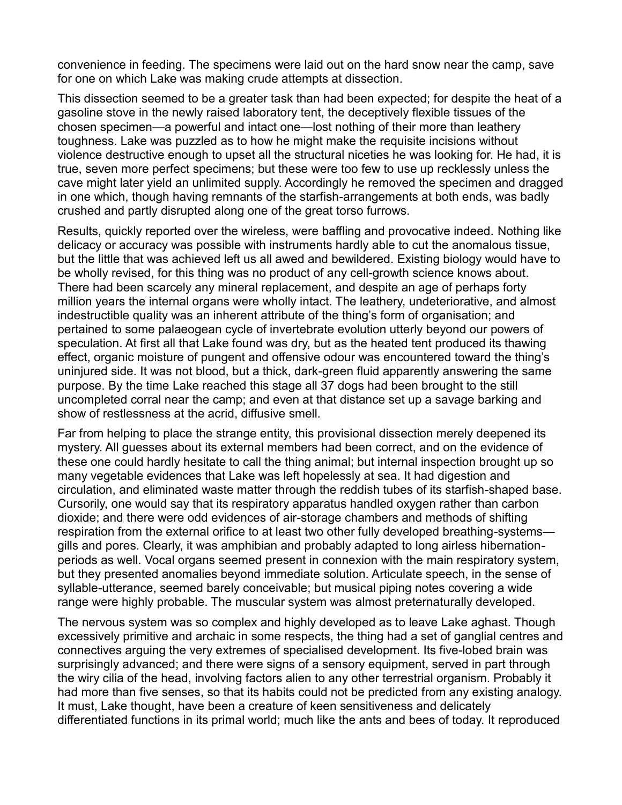convenience in feeding. The specimens were laid out on the hard snow near the camp, save for one on which Lake was making crude attempts at dissection.

This dissection seemed to be a greater task than had been expected; for despite the heat of a gasoline stove in the newly raised laboratory tent, the deceptively flexible tissues of the chosen specimen—a powerful and intact one—lost nothing of their more than leathery toughness. Lake was puzzled as to how he might make the requisite incisions without violence destructive enough to upset all the structural niceties he was looking for. He had, it is true, seven more perfect specimens; but these were too few to use up recklessly unless the cave might later yield an unlimited supply. Accordingly he removed the specimen and dragged in one which, though having remnants of the starfish-arrangements at both ends, was badly crushed and partly disrupted along one of the great torso furrows.

Results, quickly reported over the wireless, were baffling and provocative indeed. Nothing like delicacy or accuracy was possible with instruments hardly able to cut the anomalous tissue, but the little that was achieved left us all awed and bewildered. Existing biology would have to be wholly revised, for this thing was no product of any cell-growth science knows about. There had been scarcely any mineral replacement, and despite an age of perhaps forty million years the internal organs were wholly intact. The leathery, undeteriorative, and almost indestructible quality was an inherent attribute of the thing's form of organisation; and pertained to some palaeogean cycle of invertebrate evolution utterly beyond our powers of speculation. At first all that Lake found was dry, but as the heated tent produced its thawing effect, organic moisture of pungent and offensive odour was encountered toward the thing's uninjured side. It was not blood, but a thick, dark-green fluid apparently answering the same purpose. By the time Lake reached this stage all 37 dogs had been brought to the still uncompleted corral near the camp; and even at that distance set up a savage barking and show of restlessness at the acrid, diffusive smell.

Far from helping to place the strange entity, this provisional dissection merely deepened its mystery. All guesses about its external members had been correct, and on the evidence of these one could hardly hesitate to call the thing animal; but internal inspection brought up so many vegetable evidences that Lake was left hopelessly at sea. It had digestion and circulation, and eliminated waste matter through the reddish tubes of its starfish-shaped base. Cursorily, one would say that its respiratory apparatus handled oxygen rather than carbon dioxide; and there were odd evidences of air-storage chambers and methods of shifting respiration from the external orifice to at least two other fully developed breathing-systems gills and pores. Clearly, it was amphibian and probably adapted to long airless hibernationperiods as well. Vocal organs seemed present in connexion with the main respiratory system, but they presented anomalies beyond immediate solution. Articulate speech, in the sense of syllable-utterance, seemed barely conceivable; but musical piping notes covering a wide range were highly probable. The muscular system was almost preternaturally developed.

The nervous system was so complex and highly developed as to leave Lake aghast. Though excessively primitive and archaic in some respects, the thing had a set of ganglial centres and connectives arguing the very extremes of specialised development. Its five-lobed brain was surprisingly advanced; and there were signs of a sensory equipment, served in part through the wiry cilia of the head, involving factors alien to any other terrestrial organism. Probably it had more than five senses, so that its habits could not be predicted from any existing analogy. It must, Lake thought, have been a creature of keen sensitiveness and delicately differentiated functions in its primal world; much like the ants and bees of today. It reproduced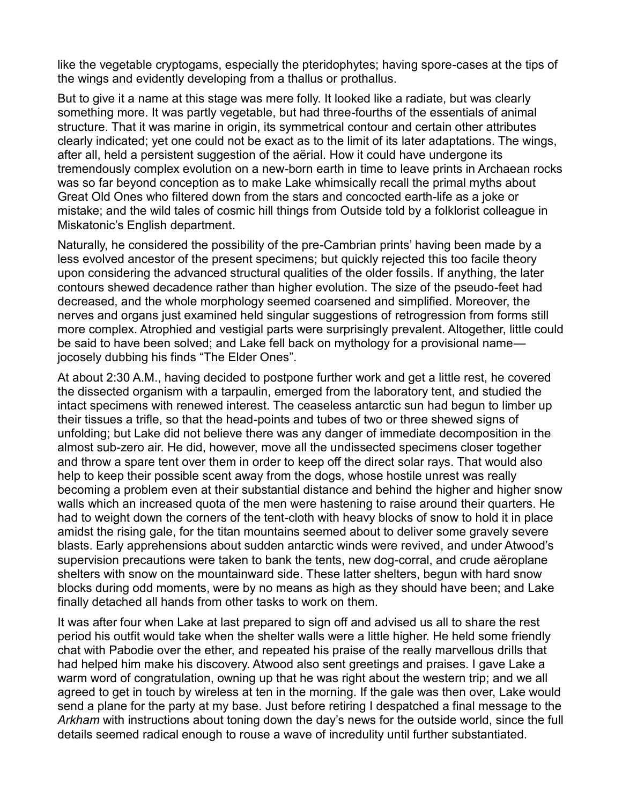like the vegetable cryptogams, especially the pteridophytes; having spore-cases at the tips of the wings and evidently developing from a thallus or prothallus.

But to give it a name at this stage was mere folly. It looked like a radiate, but was clearly something more. It was partly vegetable, but had three-fourths of the essentials of animal structure. That it was marine in origin, its symmetrical contour and certain other attributes clearly indicated; yet one could not be exact as to the limit of its later adaptations. The wings, after all, held a persistent suggestion of the aërial. How it could have undergone its tremendously complex evolution on a new-born earth in time to leave prints in Archaean rocks was so far beyond conception as to make Lake whimsically recall the primal myths about Great Old Ones who filtered down from the stars and concocted earth-life as a joke or mistake; and the wild tales of cosmic hill things from Outside told by a folklorist colleague in Miskatonic's English department.

Naturally, he considered the possibility of the pre-Cambrian prints' having been made by a less evolved ancestor of the present specimens; but quickly rejected this too facile theory upon considering the advanced structural qualities of the older fossils. If anything, the later contours shewed decadence rather than higher evolution. The size of the pseudo-feet had decreased, and the whole morphology seemed coarsened and simplified. Moreover, the nerves and organs just examined held singular suggestions of retrogression from forms still more complex. Atrophied and vestigial parts were surprisingly prevalent. Altogether, little could be said to have been solved; and Lake fell back on mythology for a provisional name jocosely dubbing his finds "The Elder Ones".

At about 2:30 A.M., having decided to postpone further work and get a little rest, he covered the dissected organism with a tarpaulin, emerged from the laboratory tent, and studied the intact specimens with renewed interest. The ceaseless antarctic sun had begun to limber up their tissues a trifle, so that the head-points and tubes of two or three shewed signs of unfolding; but Lake did not believe there was any danger of immediate decomposition in the almost sub-zero air. He did, however, move all the undissected specimens closer together and throw a spare tent over them in order to keep off the direct solar rays. That would also help to keep their possible scent away from the dogs, whose hostile unrest was really becoming a problem even at their substantial distance and behind the higher and higher snow walls which an increased quota of the men were hastening to raise around their quarters. He had to weight down the corners of the tent-cloth with heavy blocks of snow to hold it in place amidst the rising gale, for the titan mountains seemed about to deliver some gravely severe blasts. Early apprehensions about sudden antarctic winds were revived, and under Atwood's supervision precautions were taken to bank the tents, new dog-corral, and crude aëroplane shelters with snow on the mountainward side. These latter shelters, begun with hard snow blocks during odd moments, were by no means as high as they should have been; and Lake finally detached all hands from other tasks to work on them.

It was after four when Lake at last prepared to sign off and advised us all to share the rest period his outfit would take when the shelter walls were a little higher. He held some friendly chat with Pabodie over the ether, and repeated his praise of the really marvellous drills that had helped him make his discovery. Atwood also sent greetings and praises. I gave Lake a warm word of congratulation, owning up that he was right about the western trip; and we all agreed to get in touch by wireless at ten in the morning. If the gale was then over, Lake would send a plane for the party at my base. Just before retiring I despatched a final message to the *Arkham* with instructions about toning down the day's news for the outside world, since the full details seemed radical enough to rouse a wave of incredulity until further substantiated.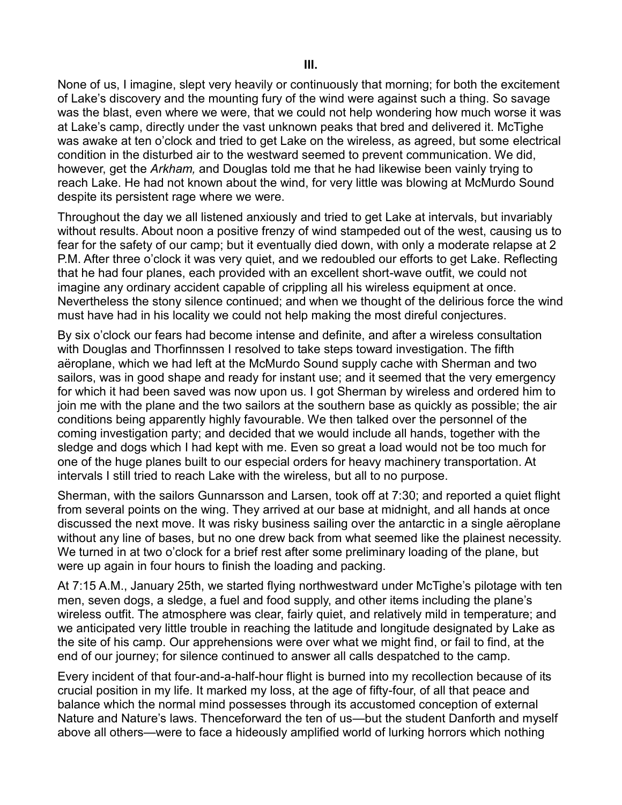None of us, I imagine, slept very heavily or continuously that morning; for both the excitement of Lake's discovery and the mounting fury of the wind were against such a thing. So savage was the blast, even where we were, that we could not help wondering how much worse it was at Lake's camp, directly under the vast unknown peaks that bred and delivered it. McTighe was awake at ten o'clock and tried to get Lake on the wireless, as agreed, but some electrical condition in the disturbed air to the westward seemed to prevent communication. We did, however, get the *Arkham,* and Douglas told me that he had likewise been vainly trying to reach Lake. He had not known about the wind, for very little was blowing at McMurdo Sound despite its persistent rage where we were.

Throughout the day we all listened anxiously and tried to get Lake at intervals, but invariably without results. About noon a positive frenzy of wind stampeded out of the west, causing us to fear for the safety of our camp; but it eventually died down, with only a moderate relapse at 2 P.M. After three o'clock it was very quiet, and we redoubled our efforts to get Lake. Reflecting that he had four planes, each provided with an excellent short-wave outfit, we could not imagine any ordinary accident capable of crippling all his wireless equipment at once. Nevertheless the stony silence continued; and when we thought of the delirious force the wind must have had in his locality we could not help making the most direful conjectures.

By six o'clock our fears had become intense and definite, and after a wireless consultation with Douglas and Thorfinnssen I resolved to take steps toward investigation. The fifth aëroplane, which we had left at the McMurdo Sound supply cache with Sherman and two sailors, was in good shape and ready for instant use; and it seemed that the very emergency for which it had been saved was now upon us. I got Sherman by wireless and ordered him to join me with the plane and the two sailors at the southern base as quickly as possible; the air conditions being apparently highly favourable. We then talked over the personnel of the coming investigation party; and decided that we would include all hands, together with the sledge and dogs which I had kept with me. Even so great a load would not be too much for one of the huge planes built to our especial orders for heavy machinery transportation. At intervals I still tried to reach Lake with the wireless, but all to no purpose.

Sherman, with the sailors Gunnarsson and Larsen, took off at 7:30; and reported a quiet flight from several points on the wing. They arrived at our base at midnight, and all hands at once discussed the next move. It was risky business sailing over the antarctic in a single aëroplane without any line of bases, but no one drew back from what seemed like the plainest necessity. We turned in at two o'clock for a brief rest after some preliminary loading of the plane, but were up again in four hours to finish the loading and packing.

At 7:15 A.M., January 25th, we started flying northwestward under McTighe's pilotage with ten men, seven dogs, a sledge, a fuel and food supply, and other items including the plane's wireless outfit. The atmosphere was clear, fairly quiet, and relatively mild in temperature; and we anticipated very little trouble in reaching the latitude and longitude designated by Lake as the site of his camp. Our apprehensions were over what we might find, or fail to find, at the end of our journey; for silence continued to answer all calls despatched to the camp.

Every incident of that four-and-a-half-hour flight is burned into my recollection because of its crucial position in my life. It marked my loss, at the age of fifty-four, of all that peace and balance which the normal mind possesses through its accustomed conception of external Nature and Nature's laws. Thenceforward the ten of us—but the student Danforth and myself above all others—were to face a hideously amplified world of lurking horrors which nothing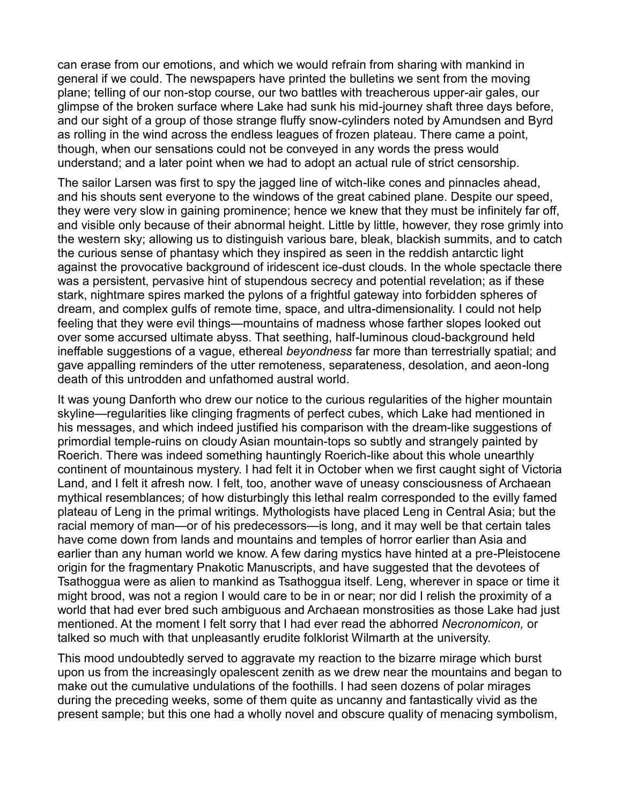can erase from our emotions, and which we would refrain from sharing with mankind in general if we could. The newspapers have printed the bulletins we sent from the moving plane; telling of our non-stop course, our two battles with treacherous upper-air gales, our glimpse of the broken surface where Lake had sunk his mid-journey shaft three days before, and our sight of a group of those strange fluffy snow-cylinders noted by Amundsen and Byrd as rolling in the wind across the endless leagues of frozen plateau. There came a point, though, when our sensations could not be conveyed in any words the press would understand; and a later point when we had to adopt an actual rule of strict censorship.

The sailor Larsen was first to spy the jagged line of witch-like cones and pinnacles ahead, and his shouts sent everyone to the windows of the great cabined plane. Despite our speed, they were very slow in gaining prominence; hence we knew that they must be infinitely far off, and visible only because of their abnormal height. Little by little, however, they rose grimly into the western sky; allowing us to distinguish various bare, bleak, blackish summits, and to catch the curious sense of phantasy which they inspired as seen in the reddish antarctic light against the provocative background of iridescent ice-dust clouds. In the whole spectacle there was a persistent, pervasive hint of stupendous secrecy and potential revelation; as if these stark, nightmare spires marked the pylons of a frightful gateway into forbidden spheres of dream, and complex gulfs of remote time, space, and ultra-dimensionality. I could not help feeling that they were evil things—mountains of madness whose farther slopes looked out over some accursed ultimate abyss. That seething, half-luminous cloud-background held ineffable suggestions of a vague, ethereal *beyondness* far more than terrestrially spatial; and gave appalling reminders of the utter remoteness, separateness, desolation, and aeon-long death of this untrodden and unfathomed austral world.

It was young Danforth who drew our notice to the curious regularities of the higher mountain skyline—regularities like clinging fragments of perfect cubes, which Lake had mentioned in his messages, and which indeed justified his comparison with the dream-like suggestions of primordial temple-ruins on cloudy Asian mountain-tops so subtly and strangely painted by Roerich. There was indeed something hauntingly Roerich-like about this whole unearthly continent of mountainous mystery. I had felt it in October when we first caught sight of Victoria Land, and I felt it afresh now. I felt, too, another wave of uneasy consciousness of Archaean mythical resemblances; of how disturbingly this lethal realm corresponded to the evilly famed plateau of Leng in the primal writings. Mythologists have placed Leng in Central Asia; but the racial memory of man—or of his predecessors—is long, and it may well be that certain tales have come down from lands and mountains and temples of horror earlier than Asia and earlier than any human world we know. A few daring mystics have hinted at a pre-Pleistocene origin for the fragmentary Pnakotic Manuscripts, and have suggested that the devotees of Tsathoggua were as alien to mankind as Tsathoggua itself. Leng, wherever in space or time it might brood, was not a region I would care to be in or near; nor did I relish the proximity of a world that had ever bred such ambiguous and Archaean monstrosities as those Lake had just mentioned. At the moment I felt sorry that I had ever read the abhorred *Necronomicon,* or talked so much with that unpleasantly erudite folklorist Wilmarth at the university.

This mood undoubtedly served to aggravate my reaction to the bizarre mirage which burst upon us from the increasingly opalescent zenith as we drew near the mountains and began to make out the cumulative undulations of the foothills. I had seen dozens of polar mirages during the preceding weeks, some of them quite as uncanny and fantastically vivid as the present sample; but this one had a wholly novel and obscure quality of menacing symbolism,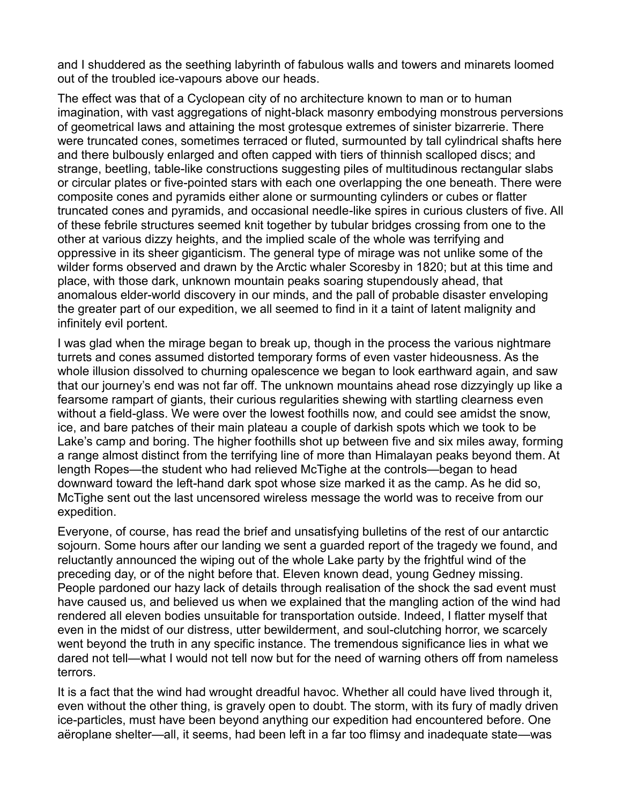and I shuddered as the seething labyrinth of fabulous walls and towers and minarets loomed out of the troubled ice-vapours above our heads.

The effect was that of a Cyclopean city of no architecture known to man or to human imagination, with vast aggregations of night-black masonry embodying monstrous perversions of geometrical laws and attaining the most grotesque extremes of sinister bizarrerie. There were truncated cones, sometimes terraced or fluted, surmounted by tall cylindrical shafts here and there bulbously enlarged and often capped with tiers of thinnish scalloped discs; and strange, beetling, table-like constructions suggesting piles of multitudinous rectangular slabs or circular plates or five-pointed stars with each one overlapping the one beneath. There were composite cones and pyramids either alone or surmounting cylinders or cubes or flatter truncated cones and pyramids, and occasional needle-like spires in curious clusters of five. All of these febrile structures seemed knit together by tubular bridges crossing from one to the other at various dizzy heights, and the implied scale of the whole was terrifying and oppressive in its sheer giganticism. The general type of mirage was not unlike some of the wilder forms observed and drawn by the Arctic whaler Scoresby in 1820; but at this time and place, with those dark, unknown mountain peaks soaring stupendously ahead, that anomalous elder-world discovery in our minds, and the pall of probable disaster enveloping the greater part of our expedition, we all seemed to find in it a taint of latent malignity and infinitely evil portent.

I was glad when the mirage began to break up, though in the process the various nightmare turrets and cones assumed distorted temporary forms of even vaster hideousness. As the whole illusion dissolved to churning opalescence we began to look earthward again, and saw that our journey's end was not far off. The unknown mountains ahead rose dizzyingly up like a fearsome rampart of giants, their curious regularities shewing with startling clearness even without a field-glass. We were over the lowest foothills now, and could see amidst the snow, ice, and bare patches of their main plateau a couple of darkish spots which we took to be Lake's camp and boring. The higher foothills shot up between five and six miles away, forming a range almost distinct from the terrifying line of more than Himalayan peaks beyond them. At length Ropes—the student who had relieved McTighe at the controls—began to head downward toward the left-hand dark spot whose size marked it as the camp. As he did so, McTighe sent out the last uncensored wireless message the world was to receive from our expedition.

Everyone, of course, has read the brief and unsatisfying bulletins of the rest of our antarctic sojourn. Some hours after our landing we sent a guarded report of the tragedy we found, and reluctantly announced the wiping out of the whole Lake party by the frightful wind of the preceding day, or of the night before that. Eleven known dead, young Gedney missing. People pardoned our hazy lack of details through realisation of the shock the sad event must have caused us, and believed us when we explained that the mangling action of the wind had rendered all eleven bodies unsuitable for transportation outside. Indeed, I flatter myself that even in the midst of our distress, utter bewilderment, and soul-clutching horror, we scarcely went beyond the truth in any specific instance. The tremendous significance lies in what we dared not tell—what I would not tell now but for the need of warning others off from nameless terrors.

It is a fact that the wind had wrought dreadful havoc. Whether all could have lived through it, even without the other thing, is gravely open to doubt. The storm, with its fury of madly driven ice-particles, must have been beyond anything our expedition had encountered before. One aëroplane shelter—all, it seems, had been left in a far too flimsy and inadequate state—was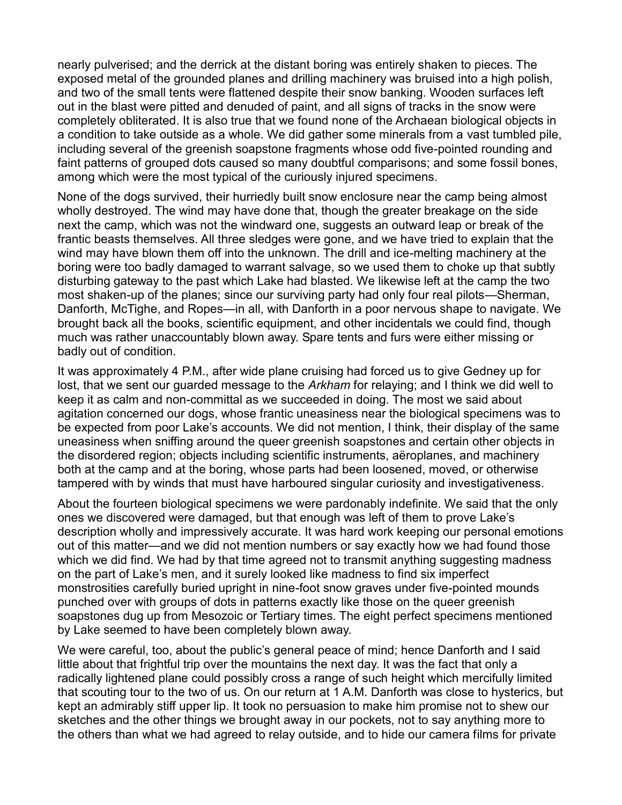nearly pulverised; and the derrick at the distant boring was entirely shaken to pieces. The exposed metal of the grounded planes and drilling machinery was bruised into a high polish, and two of the small tents were flattened despite their snow banking. Wooden surfaces left out in the blast were pitted and denuded of paint, and all signs of tracks in the snow were completely obliterated. It is also true that we found none of the Archaean biological objects in a condition to take outside as a whole. We did gather some minerals from a vast tumbled pile, including several of the greenish soapstone fragments whose odd five-pointed rounding and faint patterns of grouped dots caused so many doubtful comparisons; and some fossil bones, among which were the most typical of the curiously injured specimens.

None of the dogs survived, their hurriedly built snow enclosure near the camp being almost wholly destroyed. The wind may have done that, though the greater breakage on the side next the camp, which was not the windward one, suggests an outward leap or break of the frantic beasts themselves. All three sledges were gone, and we have tried to explain that the wind may have blown them off into the unknown. The drill and ice-melting machinery at the boring were too badly damaged to warrant salvage, so we used them to choke up that subtly disturbing gateway to the past which Lake had blasted. We likewise left at the camp the two most shaken-up of the planes; since our surviving party had only four real pilots—Sherman, Danforth, McTighe, and Ropes—in all, with Danforth in a poor nervous shape to navigate. We brought back all the books, scientific equipment, and other incidentals we could find, though much was rather unaccountably blown away. Spare tents and furs were either missing or badly out of condition.

It was approximately 4 P.M., after wide plane cruising had forced us to give Gedney up for lost, that we sent our guarded message to the *Arkham* for relaying; and I think we did well to keep it as calm and non-committal as we succeeded in doing. The most we said about agitation concerned our dogs, whose frantic uneasiness near the biological specimens was to be expected from poor Lake's accounts. We did not mention, I think, their display of the same uneasiness when sniffing around the queer greenish soapstones and certain other objects in the disordered region; objects including scientific instruments, aëroplanes, and machinery both at the camp and at the boring, whose parts had been loosened, moved, or otherwise tampered with by winds that must have harboured singular curiosity and investigativeness.

About the fourteen biological specimens we were pardonably indefinite. We said that the only ones we discovered were damaged, but that enough was left of them to prove Lake's description wholly and impressively accurate. It was hard work keeping our personal emotions out of this matter—and we did not mention numbers or say exactly how we had found those which we did find. We had by that time agreed not to transmit anything suggesting madness on the part of Lake's men, and it surely looked like madness to find six imperfect monstrosities carefully buried upright in nine-foot snow graves under five-pointed mounds punched over with groups of dots in patterns exactly like those on the queer greenish soapstones dug up from Mesozoic or Tertiary times. The eight perfect specimens mentioned by Lake seemed to have been completely blown away.

We were careful, too, about the public's general peace of mind; hence Danforth and I said little about that frightful trip over the mountains the next day. It was the fact that only a radically lightened plane could possibly cross a range of such height which mercifully limited that scouting tour to the two of us. On our return at 1 A.M. Danforth was close to hysterics, but kept an admirably stiff upper lip. It took no persuasion to make him promise not to shew our sketches and the other things we brought away in our pockets, not to say anything more to the others than what we had agreed to relay outside, and to hide our camera films for private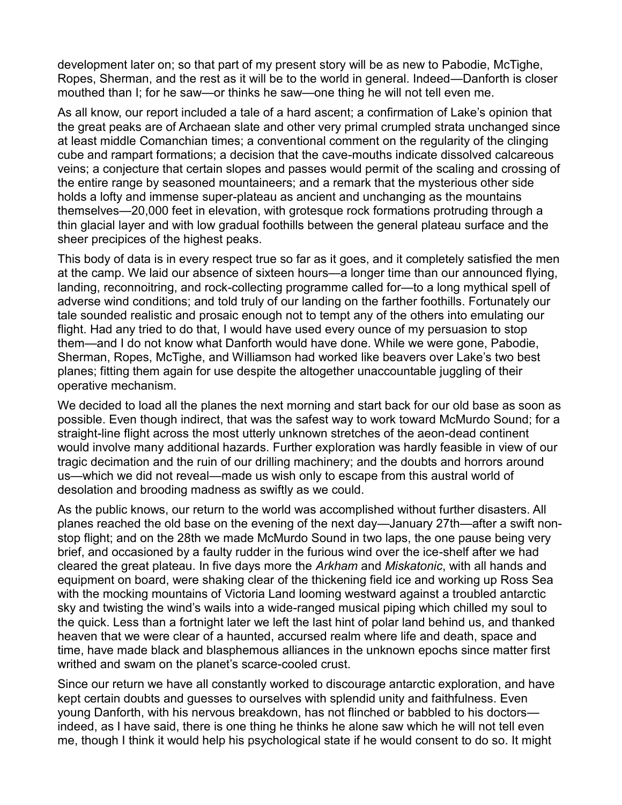development later on; so that part of my present story will be as new to Pabodie, McTighe, Ropes, Sherman, and the rest as it will be to the world in general. Indeed—Danforth is closer mouthed than I; for he saw—or thinks he saw—one thing he will not tell even me.

As all know, our report included a tale of a hard ascent; a confirmation of Lake's opinion that the great peaks are of Archaean slate and other very primal crumpled strata unchanged since at least middle Comanchian times; a conventional comment on the regularity of the clinging cube and rampart formations; a decision that the cave-mouths indicate dissolved calcareous veins; a conjecture that certain slopes and passes would permit of the scaling and crossing of the entire range by seasoned mountaineers; and a remark that the mysterious other side holds a lofty and immense super-plateau as ancient and unchanging as the mountains themselves—20,000 feet in elevation, with grotesque rock formations protruding through a thin glacial layer and with low gradual foothills between the general plateau surface and the sheer precipices of the highest peaks.

This body of data is in every respect true so far as it goes, and it completely satisfied the men at the camp. We laid our absence of sixteen hours—a longer time than our announced flying, landing, reconnoitring, and rock-collecting programme called for-to a long mythical spell of adverse wind conditions; and told truly of our landing on the farther foothills. Fortunately our tale sounded realistic and prosaic enough not to tempt any of the others into emulating our flight. Had any tried to do that, I would have used every ounce of my persuasion to stop them—and I do not know what Danforth would have done. While we were gone, Pabodie, Sherman, Ropes, McTighe, and Williamson had worked like beavers over Lake's two best planes; fitting them again for use despite the altogether unaccountable juggling of their operative mechanism.

We decided to load all the planes the next morning and start back for our old base as soon as possible. Even though indirect, that was the safest way to work toward McMurdo Sound; for a straight-line flight across the most utterly unknown stretches of the aeon-dead continent would involve many additional hazards. Further exploration was hardly feasible in view of our tragic decimation and the ruin of our drilling machinery; and the doubts and horrors around us—which we did not reveal—made us wish only to escape from this austral world of desolation and brooding madness as swiftly as we could.

As the public knows, our return to the world was accomplished without further disasters. All planes reached the old base on the evening of the next day—January 27th—after a swift nonstop flight; and on the 28th we made McMurdo Sound in two laps, the one pause being very brief, and occasioned by a faulty rudder in the furious wind over the ice-shelf after we had cleared the great plateau. In five days more the *Arkham* and *Miskatonic*, with all hands and equipment on board, were shaking clear of the thickening field ice and working up Ross Sea with the mocking mountains of Victoria Land looming westward against a troubled antarctic sky and twisting the wind's wails into a wide-ranged musical piping which chilled my soul to the quick. Less than a fortnight later we left the last hint of polar land behind us, and thanked heaven that we were clear of a haunted, accursed realm where life and death, space and time, have made black and blasphemous alliances in the unknown epochs since matter first writhed and swam on the planet's scarce-cooled crust.

Since our return we have all constantly worked to discourage antarctic exploration, and have kept certain doubts and guesses to ourselves with splendid unity and faithfulness. Even young Danforth, with his nervous breakdown, has not flinched or babbled to his doctors indeed, as I have said, there is one thing he thinks he alone saw which he will not tell even me, though I think it would help his psychological state if he would consent to do so. It might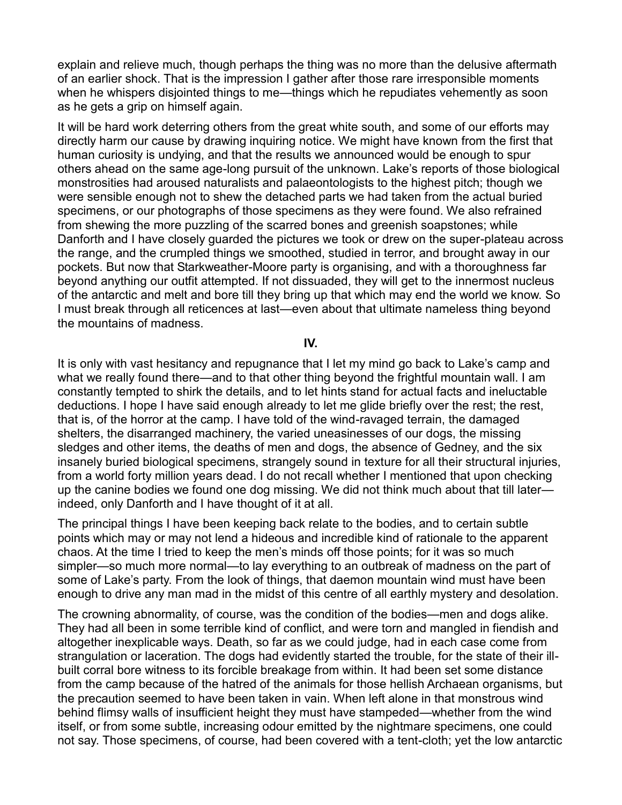explain and relieve much, though perhaps the thing was no more than the delusive aftermath of an earlier shock. That is the impression I gather after those rare irresponsible moments when he whispers disjointed things to me—things which he repudiates vehemently as soon as he gets a grip on himself again.

It will be hard work deterring others from the great white south, and some of our efforts may directly harm our cause by drawing inquiring notice. We might have known from the first that human curiosity is undying, and that the results we announced would be enough to spur others ahead on the same age-long pursuit of the unknown. Lake's reports of those biological monstrosities had aroused naturalists and palaeontologists to the highest pitch; though we were sensible enough not to shew the detached parts we had taken from the actual buried specimens, or our photographs of those specimens as they were found. We also refrained from shewing the more puzzling of the scarred bones and greenish soapstones; while Danforth and I have closely guarded the pictures we took or drew on the super-plateau across the range, and the crumpled things we smoothed, studied in terror, and brought away in our pockets. But now that Starkweather-Moore party is organising, and with a thoroughness far beyond anything our outfit attempted. If not dissuaded, they will get to the innermost nucleus of the antarctic and melt and bore till they bring up that which may end the world we know. So I must break through all reticences at last—even about that ultimate nameless thing beyond the mountains of madness.

## **IV.**

It is only with vast hesitancy and repugnance that I let my mind go back to Lake's camp and what we really found there—and to that other thing beyond the frightful mountain wall. I am constantly tempted to shirk the details, and to let hints stand for actual facts and ineluctable deductions. I hope I have said enough already to let me glide briefly over the rest; the rest, that is, of the horror at the camp. I have told of the wind-ravaged terrain, the damaged shelters, the disarranged machinery, the varied uneasinesses of our dogs, the missing sledges and other items, the deaths of men and dogs, the absence of Gedney, and the six insanely buried biological specimens, strangely sound in texture for all their structural injuries, from a world forty million years dead. I do not recall whether I mentioned that upon checking up the canine bodies we found one dog missing. We did not think much about that till later indeed, only Danforth and I have thought of it at all.

The principal things I have been keeping back relate to the bodies, and to certain subtle points which may or may not lend a hideous and incredible kind of rationale to the apparent chaos. At the time I tried to keep the men's minds off those points; for it was so much simpler—so much more normal—to lay everything to an outbreak of madness on the part of some of Lake's party. From the look of things, that daemon mountain wind must have been enough to drive any man mad in the midst of this centre of all earthly mystery and desolation.

The crowning abnormality, of course, was the condition of the bodies—men and dogs alike. They had all been in some terrible kind of conflict, and were torn and mangled in fiendish and altogether inexplicable ways. Death, so far as we could judge, had in each case come from strangulation or laceration. The dogs had evidently started the trouble, for the state of their illbuilt corral bore witness to its forcible breakage from within. It had been set some distance from the camp because of the hatred of the animals for those hellish Archaean organisms, but the precaution seemed to have been taken in vain. When left alone in that monstrous wind behind flimsy walls of insufficient height they must have stampeded—whether from the wind itself, or from some subtle, increasing odour emitted by the nightmare specimens, one could not say. Those specimens, of course, had been covered with a tent-cloth; yet the low antarctic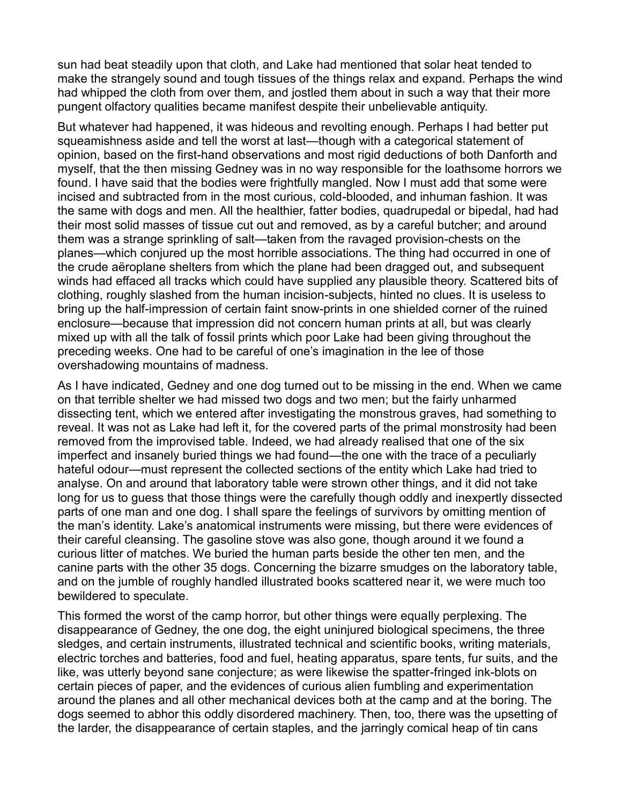sun had beat steadily upon that cloth, and Lake had mentioned that solar heat tended to make the strangely sound and tough tissues of the things relax and expand. Perhaps the wind had whipped the cloth from over them, and jostled them about in such a way that their more pungent olfactory qualities became manifest despite their unbelievable antiquity.

But whatever had happened, it was hideous and revolting enough. Perhaps I had better put squeamishness aside and tell the worst at last—though with a categorical statement of opinion, based on the first-hand observations and most rigid deductions of both Danforth and myself, that the then missing Gedney was in no way responsible for the loathsome horrors we found. I have said that the bodies were frightfully mangled. Now I must add that some were incised and subtracted from in the most curious, cold-blooded, and inhuman fashion. It was the same with dogs and men. All the healthier, fatter bodies, quadrupedal or bipedal, had had their most solid masses of tissue cut out and removed, as by a careful butcher; and around them was a strange sprinkling of salt—taken from the ravaged provision-chests on the planes—which conjured up the most horrible associations. The thing had occurred in one of the crude aëroplane shelters from which the plane had been dragged out, and subsequent winds had effaced all tracks which could have supplied any plausible theory. Scattered bits of clothing, roughly slashed from the human incision-subjects, hinted no clues. It is useless to bring up the half-impression of certain faint snow-prints in one shielded corner of the ruined enclosure—because that impression did not concern human prints at all, but was clearly mixed up with all the talk of fossil prints which poor Lake had been giving throughout the preceding weeks. One had to be careful of one's imagination in the lee of those overshadowing mountains of madness.

As I have indicated, Gedney and one dog turned out to be missing in the end. When we came on that terrible shelter we had missed two dogs and two men; but the fairly unharmed dissecting tent, which we entered after investigating the monstrous graves, had something to reveal. It was not as Lake had left it, for the covered parts of the primal monstrosity had been removed from the improvised table. Indeed, we had already realised that one of the six imperfect and insanely buried things we had found—the one with the trace of a peculiarly hateful odour—must represent the collected sections of the entity which Lake had tried to analyse. On and around that laboratory table were strown other things, and it did not take long for us to guess that those things were the carefully though oddly and inexpertly dissected parts of one man and one dog. I shall spare the feelings of survivors by omitting mention of the man's identity. Lake's anatomical instruments were missing, but there were evidences of their careful cleansing. The gasoline stove was also gone, though around it we found a curious litter of matches. We buried the human parts beside the other ten men, and the canine parts with the other 35 dogs. Concerning the bizarre smudges on the laboratory table, and on the jumble of roughly handled illustrated books scattered near it, we were much too bewildered to speculate.

This formed the worst of the camp horror, but other things were equally perplexing. The disappearance of Gedney, the one dog, the eight uninjured biological specimens, the three sledges, and certain instruments, illustrated technical and scientific books, writing materials, electric torches and batteries, food and fuel, heating apparatus, spare tents, fur suits, and the like, was utterly beyond sane conjecture; as were likewise the spatter-fringed ink-blots on certain pieces of paper, and the evidences of curious alien fumbling and experimentation around the planes and all other mechanical devices both at the camp and at the boring. The dogs seemed to abhor this oddly disordered machinery. Then, too, there was the upsetting of the larder, the disappearance of certain staples, and the jarringly comical heap of tin cans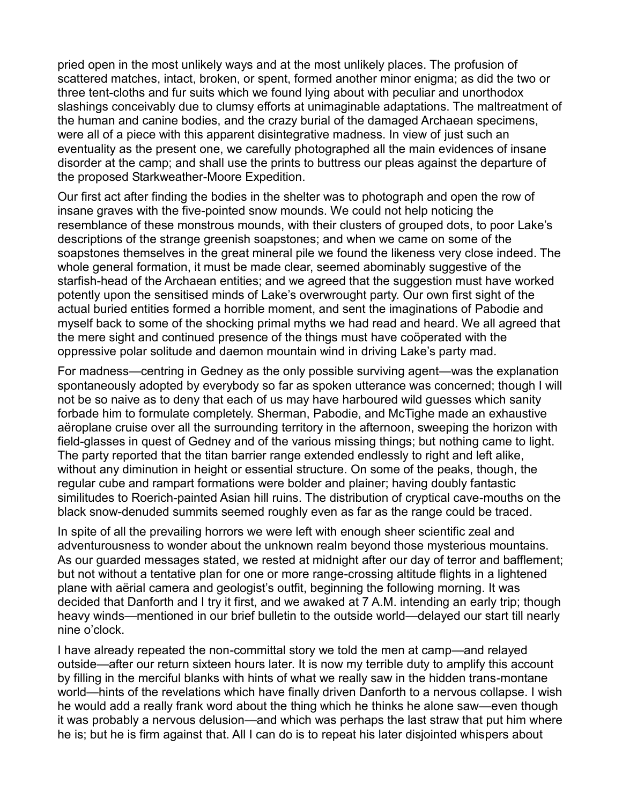pried open in the most unlikely ways and at the most unlikely places. The profusion of scattered matches, intact, broken, or spent, formed another minor enigma; as did the two or three tent-cloths and fur suits which we found lying about with peculiar and unorthodox slashings conceivably due to clumsy efforts at unimaginable adaptations. The maltreatment of the human and canine bodies, and the crazy burial of the damaged Archaean specimens, were all of a piece with this apparent disintegrative madness. In view of just such an eventuality as the present one, we carefully photographed all the main evidences of insane disorder at the camp; and shall use the prints to buttress our pleas against the departure of the proposed Starkweather-Moore Expedition.

Our first act after finding the bodies in the shelter was to photograph and open the row of insane graves with the five-pointed snow mounds. We could not help noticing the resemblance of these monstrous mounds, with their clusters of grouped dots, to poor Lake's descriptions of the strange greenish soapstones; and when we came on some of the soapstones themselves in the great mineral pile we found the likeness very close indeed. The whole general formation, it must be made clear, seemed abominably suggestive of the starfish-head of the Archaean entities; and we agreed that the suggestion must have worked potently upon the sensitised minds of Lake's overwrought party. Our own first sight of the actual buried entities formed a horrible moment, and sent the imaginations of Pabodie and myself back to some of the shocking primal myths we had read and heard. We all agreed that the mere sight and continued presence of the things must have coöperated with the oppressive polar solitude and daemon mountain wind in driving Lake's party mad.

For madness—centring in Gedney as the only possible surviving agent—was the explanation spontaneously adopted by everybody so far as spoken utterance was concerned; though I will not be so naive as to deny that each of us may have harboured wild guesses which sanity forbade him to formulate completely. Sherman, Pabodie, and McTighe made an exhaustive aëroplane cruise over all the surrounding territory in the afternoon, sweeping the horizon with field-glasses in quest of Gedney and of the various missing things; but nothing came to light. The party reported that the titan barrier range extended endlessly to right and left alike, without any diminution in height or essential structure. On some of the peaks, though, the regular cube and rampart formations were bolder and plainer; having doubly fantastic similitudes to Roerich-painted Asian hill ruins. The distribution of cryptical cave-mouths on the black snow-denuded summits seemed roughly even as far as the range could be traced.

In spite of all the prevailing horrors we were left with enough sheer scientific zeal and adventurousness to wonder about the unknown realm beyond those mysterious mountains. As our guarded messages stated, we rested at midnight after our day of terror and bafflement; but not without a tentative plan for one or more range-crossing altitude flights in a lightened plane with aërial camera and geologist's outfit, beginning the following morning. It was decided that Danforth and I try it first, and we awaked at 7 A.M. intending an early trip; though heavy winds—mentioned in our brief bulletin to the outside world—delayed our start till nearly nine o'clock.

I have already repeated the non-committal story we told the men at camp—and relayed outside—after our return sixteen hours later. It is now my terrible duty to amplify this account by filling in the merciful blanks with hints of what we really saw in the hidden trans-montane world—hints of the revelations which have finally driven Danforth to a nervous collapse. I wish he would add a really frank word about the thing which he thinks he alone saw—even though it was probably a nervous delusion—and which was perhaps the last straw that put him where he is; but he is firm against that. All I can do is to repeat his later disjointed whispers about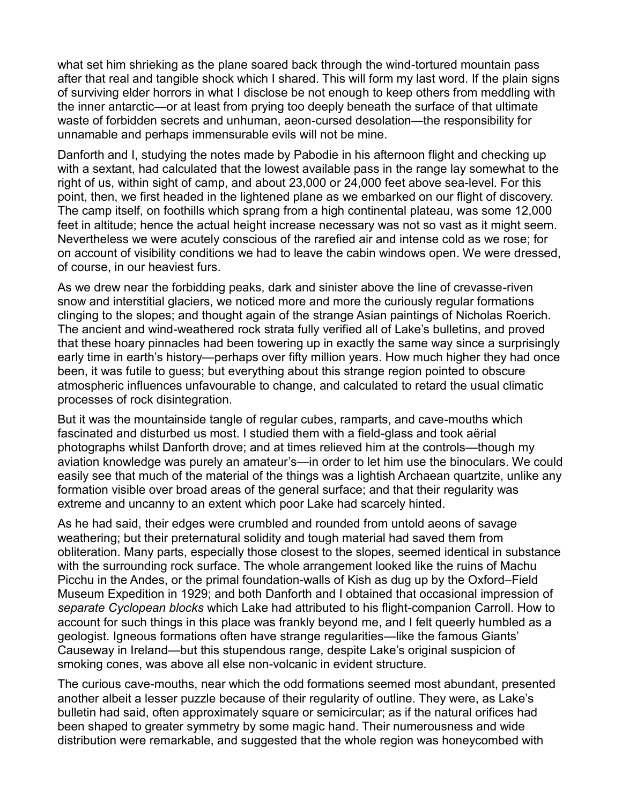what set him shrieking as the plane soared back through the wind-tortured mountain pass after that real and tangible shock which I shared. This will form my last word. If the plain signs of surviving elder horrors in what I disclose be not enough to keep others from meddling with the inner antarctic—or at least from prying too deeply beneath the surface of that ultimate waste of forbidden secrets and unhuman, aeon-cursed desolation—the responsibility for unnamable and perhaps immensurable evils will not be mine.

Danforth and I, studying the notes made by Pabodie in his afternoon flight and checking up with a sextant, had calculated that the lowest available pass in the range lay somewhat to the right of us, within sight of camp, and about 23,000 or 24,000 feet above sea-level. For this point, then, we first headed in the lightened plane as we embarked on our flight of discovery. The camp itself, on foothills which sprang from a high continental plateau, was some 12,000 feet in altitude; hence the actual height increase necessary was not so vast as it might seem. Nevertheless we were acutely conscious of the rarefied air and intense cold as we rose; for on account of visibility conditions we had to leave the cabin windows open. We were dressed, of course, in our heaviest furs.

As we drew near the forbidding peaks, dark and sinister above the line of crevasse-riven snow and interstitial glaciers, we noticed more and more the curiously regular formations clinging to the slopes; and thought again of the strange Asian paintings of Nicholas Roerich. The ancient and wind-weathered rock strata fully verified all of Lake's bulletins, and proved that these hoary pinnacles had been towering up in exactly the same way since a surprisingly early time in earth's history—perhaps over fifty million years. How much higher they had once been, it was futile to guess; but everything about this strange region pointed to obscure atmospheric influences unfavourable to change, and calculated to retard the usual climatic processes of rock disintegration.

But it was the mountainside tangle of regular cubes, ramparts, and cave-mouths which fascinated and disturbed us most. I studied them with a field-glass and took aërial photographs whilst Danforth drove; and at times relieved him at the controls—though my aviation knowledge was purely an amateur's—in order to let him use the binoculars. We could easily see that much of the material of the things was a lightish Archaean quartzite, unlike any formation visible over broad areas of the general surface; and that their regularity was extreme and uncanny to an extent which poor Lake had scarcely hinted.

As he had said, their edges were crumbled and rounded from untold aeons of savage weathering; but their preternatural solidity and tough material had saved them from obliteration. Many parts, especially those closest to the slopes, seemed identical in substance with the surrounding rock surface. The whole arrangement looked like the ruins of Machu Picchu in the Andes, or the primal foundation-walls of Kish as dug up by the Oxford–Field Museum Expedition in 1929; and both Danforth and I obtained that occasional impression of *separate Cyclopean blocks* which Lake had attributed to his flight-companion Carroll. How to account for such things in this place was frankly beyond me, and I felt queerly humbled as a geologist. Igneous formations often have strange regularities—like the famous Giants' Causeway in Ireland—but this stupendous range, despite Lake's original suspicion of smoking cones, was above all else non-volcanic in evident structure.

The curious cave-mouths, near which the odd formations seemed most abundant, presented another albeit a lesser puzzle because of their regularity of outline. They were, as Lake's bulletin had said, often approximately square or semicircular; as if the natural orifices had been shaped to greater symmetry by some magic hand. Their numerousness and wide distribution were remarkable, and suggested that the whole region was honeycombed with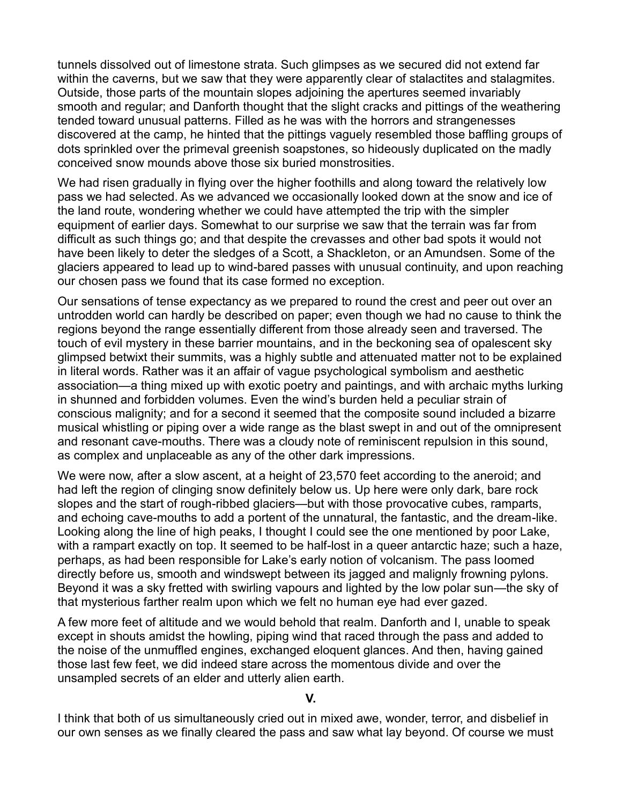tunnels dissolved out of limestone strata. Such glimpses as we secured did not extend far within the caverns, but we saw that they were apparently clear of stalactites and stalagmites. Outside, those parts of the mountain slopes adjoining the apertures seemed invariably smooth and regular; and Danforth thought that the slight cracks and pittings of the weathering tended toward unusual patterns. Filled as he was with the horrors and strangenesses discovered at the camp, he hinted that the pittings vaguely resembled those baffling groups of dots sprinkled over the primeval greenish soapstones, so hideously duplicated on the madly conceived snow mounds above those six buried monstrosities.

We had risen gradually in flying over the higher foothills and along toward the relatively low pass we had selected. As we advanced we occasionally looked down at the snow and ice of the land route, wondering whether we could have attempted the trip with the simpler equipment of earlier days. Somewhat to our surprise we saw that the terrain was far from difficult as such things go; and that despite the crevasses and other bad spots it would not have been likely to deter the sledges of a Scott, a Shackleton, or an Amundsen. Some of the glaciers appeared to lead up to wind-bared passes with unusual continuity, and upon reaching our chosen pass we found that its case formed no exception.

Our sensations of tense expectancy as we prepared to round the crest and peer out over an untrodden world can hardly be described on paper; even though we had no cause to think the regions beyond the range essentially different from those already seen and traversed. The touch of evil mystery in these barrier mountains, and in the beckoning sea of opalescent sky glimpsed betwixt their summits, was a highly subtle and attenuated matter not to be explained in literal words. Rather was it an affair of vague psychological symbolism and aesthetic association—a thing mixed up with exotic poetry and paintings, and with archaic myths lurking in shunned and forbidden volumes. Even the wind's burden held a peculiar strain of conscious malignity; and for a second it seemed that the composite sound included a bizarre musical whistling or piping over a wide range as the blast swept in and out of the omnipresent and resonant cave-mouths. There was a cloudy note of reminiscent repulsion in this sound, as complex and unplaceable as any of the other dark impressions.

We were now, after a slow ascent, at a height of 23,570 feet according to the aneroid; and had left the region of clinging snow definitely below us. Up here were only dark, bare rock slopes and the start of rough-ribbed glaciers—but with those provocative cubes, ramparts, and echoing cave-mouths to add a portent of the unnatural, the fantastic, and the dream-like. Looking along the line of high peaks, I thought I could see the one mentioned by poor Lake, with a rampart exactly on top. It seemed to be half-lost in a queer antarctic haze; such a haze, perhaps, as had been responsible for Lake's early notion of volcanism. The pass loomed directly before us, smooth and windswept between its jagged and malignly frowning pylons. Beyond it was a sky fretted with swirling vapours and lighted by the low polar sun—the sky of that mysterious farther realm upon which we felt no human eye had ever gazed.

A few more feet of altitude and we would behold that realm. Danforth and I, unable to speak except in shouts amidst the howling, piping wind that raced through the pass and added to the noise of the unmuffled engines, exchanged eloquent glances. And then, having gained those last few feet, we did indeed stare across the momentous divide and over the unsampled secrets of an elder and utterly alien earth.

**V.**

I think that both of us simultaneously cried out in mixed awe, wonder, terror, and disbelief in our own senses as we finally cleared the pass and saw what lay beyond. Of course we must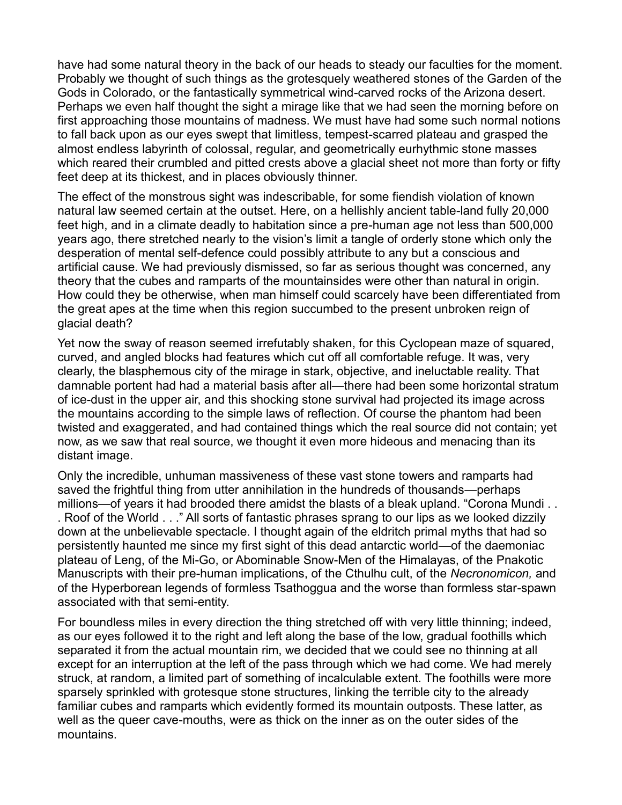have had some natural theory in the back of our heads to steady our faculties for the moment. Probably we thought of such things as the grotesquely weathered stones of the Garden of the Gods in Colorado, or the fantastically symmetrical wind-carved rocks of the Arizona desert. Perhaps we even half thought the sight a mirage like that we had seen the morning before on first approaching those mountains of madness. We must have had some such normal notions to fall back upon as our eyes swept that limitless, tempest-scarred plateau and grasped the almost endless labyrinth of colossal, regular, and geometrically eurhythmic stone masses which reared their crumbled and pitted crests above a glacial sheet not more than forty or fifty feet deep at its thickest, and in places obviously thinner.

The effect of the monstrous sight was indescribable, for some fiendish violation of known natural law seemed certain at the outset. Here, on a hellishly ancient table-land fully 20,000 feet high, and in a climate deadly to habitation since a pre-human age not less than 500,000 years ago, there stretched nearly to the vision's limit a tangle of orderly stone which only the desperation of mental self-defence could possibly attribute to any but a conscious and artificial cause. We had previously dismissed, so far as serious thought was concerned, any theory that the cubes and ramparts of the mountainsides were other than natural in origin. How could they be otherwise, when man himself could scarcely have been differentiated from the great apes at the time when this region succumbed to the present unbroken reign of glacial death?

Yet now the sway of reason seemed irrefutably shaken, for this Cyclopean maze of squared, curved, and angled blocks had features which cut off all comfortable refuge. It was, very clearly, the blasphemous city of the mirage in stark, objective, and ineluctable reality. That damnable portent had had a material basis after all—there had been some horizontal stratum of ice-dust in the upper air, and this shocking stone survival had projected its image across the mountains according to the simple laws of reflection. Of course the phantom had been twisted and exaggerated, and had contained things which the real source did not contain; yet now, as we saw that real source, we thought it even more hideous and menacing than its distant image.

Only the incredible, unhuman massiveness of these vast stone towers and ramparts had saved the frightful thing from utter annihilation in the hundreds of thousands—perhaps millions—of years it had brooded there amidst the blasts of a bleak upland. "Corona Mundi.. . Roof of the World . . ." All sorts of fantastic phrases sprang to our lips as we looked dizzily down at the unbelievable spectacle. I thought again of the eldritch primal myths that had so persistently haunted me since my first sight of this dead antarctic world—of the daemoniac plateau of Leng, of the Mi-Go, or Abominable Snow-Men of the Himalayas, of the Pnakotic Manuscripts with their pre-human implications, of the Cthulhu cult, of the *Necronomicon,* and of the Hyperborean legends of formless Tsathoggua and the worse than formless star-spawn associated with that semi-entity.

For boundless miles in every direction the thing stretched off with very little thinning; indeed, as our eyes followed it to the right and left along the base of the low, gradual foothills which separated it from the actual mountain rim, we decided that we could see no thinning at all except for an interruption at the left of the pass through which we had come. We had merely struck, at random, a limited part of something of incalculable extent. The foothills were more sparsely sprinkled with grotesque stone structures, linking the terrible city to the already familiar cubes and ramparts which evidently formed its mountain outposts. These latter, as well as the queer cave-mouths, were as thick on the inner as on the outer sides of the mountains.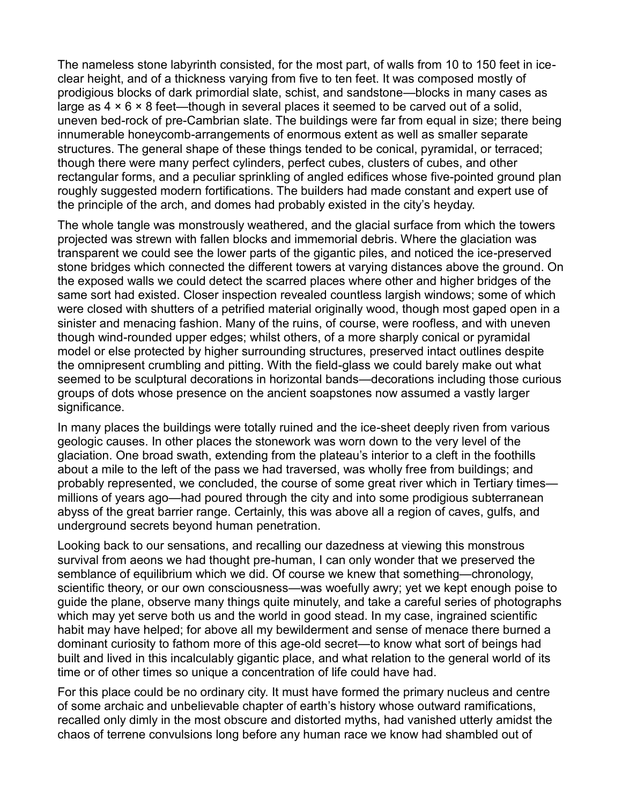The nameless stone labyrinth consisted, for the most part, of walls from 10 to 150 feet in iceclear height, and of a thickness varying from five to ten feet. It was composed mostly of prodigious blocks of dark primordial slate, schist, and sandstone—blocks in many cases as large as  $4 \times 6 \times 8$  feet—though in several places it seemed to be carved out of a solid, uneven bed-rock of pre-Cambrian slate. The buildings were far from equal in size; there being innumerable honeycomb-arrangements of enormous extent as well as smaller separate structures. The general shape of these things tended to be conical, pyramidal, or terraced; though there were many perfect cylinders, perfect cubes, clusters of cubes, and other rectangular forms, and a peculiar sprinkling of angled edifices whose five-pointed ground plan roughly suggested modern fortifications. The builders had made constant and expert use of the principle of the arch, and domes had probably existed in the city's heyday.

The whole tangle was monstrously weathered, and the glacial surface from which the towers projected was strewn with fallen blocks and immemorial debris. Where the glaciation was transparent we could see the lower parts of the gigantic piles, and noticed the ice-preserved stone bridges which connected the different towers at varying distances above the ground. On the exposed walls we could detect the scarred places where other and higher bridges of the same sort had existed. Closer inspection revealed countless largish windows; some of which were closed with shutters of a petrified material originally wood, though most gaped open in a sinister and menacing fashion. Many of the ruins, of course, were roofless, and with uneven though wind-rounded upper edges; whilst others, of a more sharply conical or pyramidal model or else protected by higher surrounding structures, preserved intact outlines despite the omnipresent crumbling and pitting. With the field-glass we could barely make out what seemed to be sculptural decorations in horizontal bands—decorations including those curious groups of dots whose presence on the ancient soapstones now assumed a vastly larger significance.

In many places the buildings were totally ruined and the ice-sheet deeply riven from various geologic causes. In other places the stonework was worn down to the very level of the glaciation. One broad swath, extending from the plateau's interior to a cleft in the foothills about a mile to the left of the pass we had traversed, was wholly free from buildings; and probably represented, we concluded, the course of some great river which in Tertiary timesmillions of years ago—had poured through the city and into some prodigious subterranean abyss of the great barrier range. Certainly, this was above all a region of caves, gulfs, and underground secrets beyond human penetration.

Looking back to our sensations, and recalling our dazedness at viewing this monstrous survival from aeons we had thought pre-human, I can only wonder that we preserved the semblance of equilibrium which we did. Of course we knew that something—chronology, scientific theory, or our own consciousness—was woefully awry; yet we kept enough poise to guide the plane, observe many things quite minutely, and take a careful series of photographs which may yet serve both us and the world in good stead. In my case, ingrained scientific habit may have helped; for above all my bewilderment and sense of menace there burned a dominant curiosity to fathom more of this age-old secret—to know what sort of beings had built and lived in this incalculably gigantic place, and what relation to the general world of its time or of other times so unique a concentration of life could have had.

For this place could be no ordinary city. It must have formed the primary nucleus and centre of some archaic and unbelievable chapter of earth's history whose outward ramifications, recalled only dimly in the most obscure and distorted myths, had vanished utterly amidst the chaos of terrene convulsions long before any human race we know had shambled out of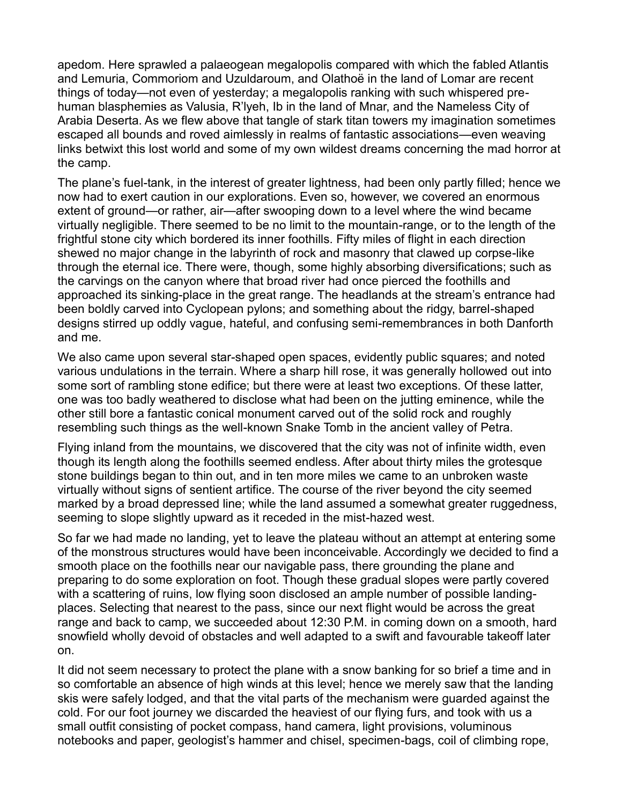apedom. Here sprawled a palaeogean megalopolis compared with which the fabled Atlantis and Lemuria, Commoriom and Uzuldaroum, and Olathoë in the land of Lomar are recent things of today—not even of yesterday; a megalopolis ranking with such whispered prehuman blasphemies as Valusia, R'lyeh, Ib in the land of Mnar, and the Nameless City of Arabia Deserta. As we flew above that tangle of stark titan towers my imagination sometimes escaped all bounds and roved aimlessly in realms of fantastic associations—even weaving links betwixt this lost world and some of my own wildest dreams concerning the mad horror at the camp.

The plane's fuel-tank, in the interest of greater lightness, had been only partly filled; hence we now had to exert caution in our explorations. Even so, however, we covered an enormous extent of ground—or rather, air—after swooping down to a level where the wind became virtually negligible. There seemed to be no limit to the mountain-range, or to the length of the frightful stone city which bordered its inner foothills. Fifty miles of flight in each direction shewed no major change in the labyrinth of rock and masonry that clawed up corpse-like through the eternal ice. There were, though, some highly absorbing diversifications; such as the carvings on the canyon where that broad river had once pierced the foothills and approached its sinking-place in the great range. The headlands at the stream's entrance had been boldly carved into Cyclopean pylons; and something about the ridgy, barrel-shaped designs stirred up oddly vague, hateful, and confusing semi-remembrances in both Danforth and me.

We also came upon several star-shaped open spaces, evidently public squares; and noted various undulations in the terrain. Where a sharp hill rose, it was generally hollowed out into some sort of rambling stone edifice; but there were at least two exceptions. Of these latter, one was too badly weathered to disclose what had been on the jutting eminence, while the other still bore a fantastic conical monument carved out of the solid rock and roughly resembling such things as the well-known Snake Tomb in the ancient valley of Petra.

Flying inland from the mountains, we discovered that the city was not of infinite width, even though its length along the foothills seemed endless. After about thirty miles the grotesque stone buildings began to thin out, and in ten more miles we came to an unbroken waste virtually without signs of sentient artifice. The course of the river beyond the city seemed marked by a broad depressed line; while the land assumed a somewhat greater ruggedness, seeming to slope slightly upward as it receded in the mist-hazed west.

So far we had made no landing, yet to leave the plateau without an attempt at entering some of the monstrous structures would have been inconceivable. Accordingly we decided to find a smooth place on the foothills near our navigable pass, there grounding the plane and preparing to do some exploration on foot. Though these gradual slopes were partly covered with a scattering of ruins, low flying soon disclosed an ample number of possible landingplaces. Selecting that nearest to the pass, since our next flight would be across the great range and back to camp, we succeeded about 12:30 P.M. in coming down on a smooth, hard snowfield wholly devoid of obstacles and well adapted to a swift and favourable takeoff later on.

It did not seem necessary to protect the plane with a snow banking for so brief a time and in so comfortable an absence of high winds at this level; hence we merely saw that the landing skis were safely lodged, and that the vital parts of the mechanism were guarded against the cold. For our foot journey we discarded the heaviest of our flying furs, and took with us a small outfit consisting of pocket compass, hand camera, light provisions, voluminous notebooks and paper, geologist's hammer and chisel, specimen-bags, coil of climbing rope,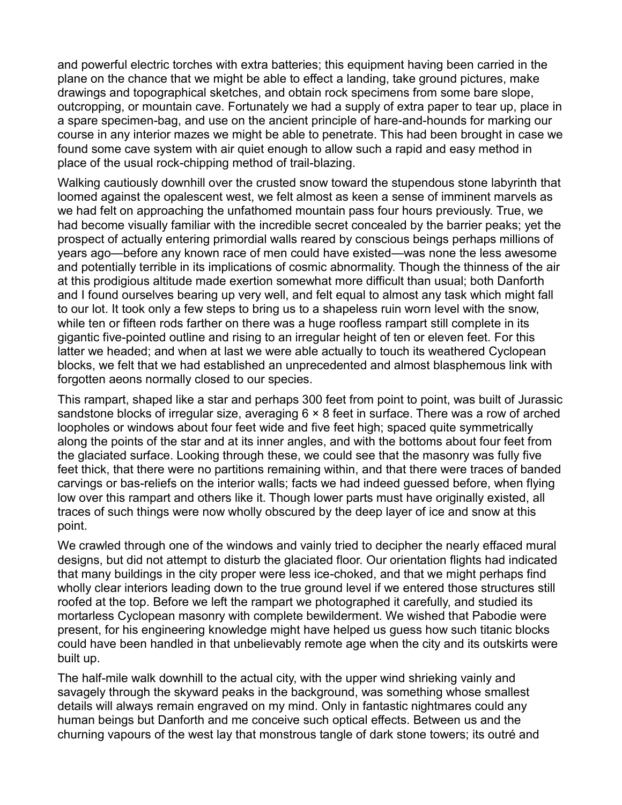and powerful electric torches with extra batteries; this equipment having been carried in the plane on the chance that we might be able to effect a landing, take ground pictures, make drawings and topographical sketches, and obtain rock specimens from some bare slope, outcropping, or mountain cave. Fortunately we had a supply of extra paper to tear up, place in a spare specimen-bag, and use on the ancient principle of hare-and-hounds for marking our course in any interior mazes we might be able to penetrate. This had been brought in case we found some cave system with air quiet enough to allow such a rapid and easy method in place of the usual rock-chipping method of trail-blazing.

Walking cautiously downhill over the crusted snow toward the stupendous stone labyrinth that loomed against the opalescent west, we felt almost as keen a sense of imminent marvels as we had felt on approaching the unfathomed mountain pass four hours previously. True, we had become visually familiar with the incredible secret concealed by the barrier peaks; yet the prospect of actually entering primordial walls reared by conscious beings perhaps millions of years ago—before any known race of men could have existed—was none the less awesome and potentially terrible in its implications of cosmic abnormality. Though the thinness of the air at this prodigious altitude made exertion somewhat more difficult than usual; both Danforth and I found ourselves bearing up very well, and felt equal to almost any task which might fall to our lot. It took only a few steps to bring us to a shapeless ruin worn level with the snow, while ten or fifteen rods farther on there was a huge roofless rampart still complete in its gigantic five-pointed outline and rising to an irregular height of ten or eleven feet. For this latter we headed; and when at last we were able actually to touch its weathered Cyclopean blocks, we felt that we had established an unprecedented and almost blasphemous link with forgotten aeons normally closed to our species.

This rampart, shaped like a star and perhaps 300 feet from point to point, was built of Jurassic sandstone blocks of irregular size, averaging 6  $\times$  8 feet in surface. There was a row of arched loopholes or windows about four feet wide and five feet high; spaced quite symmetrically along the points of the star and at its inner angles, and with the bottoms about four feet from the glaciated surface. Looking through these, we could see that the masonry was fully five feet thick, that there were no partitions remaining within, and that there were traces of banded carvings or bas-reliefs on the interior walls; facts we had indeed guessed before, when flying low over this rampart and others like it. Though lower parts must have originally existed, all traces of such things were now wholly obscured by the deep layer of ice and snow at this point.

We crawled through one of the windows and vainly tried to decipher the nearly effaced mural designs, but did not attempt to disturb the glaciated floor. Our orientation flights had indicated that many buildings in the city proper were less ice-choked, and that we might perhaps find wholly clear interiors leading down to the true ground level if we entered those structures still roofed at the top. Before we left the rampart we photographed it carefully, and studied its mortarless Cyclopean masonry with complete bewilderment. We wished that Pabodie were present, for his engineering knowledge might have helped us guess how such titanic blocks could have been handled in that unbelievably remote age when the city and its outskirts were built up.

The half-mile walk downhill to the actual city, with the upper wind shrieking vainly and savagely through the skyward peaks in the background, was something whose smallest details will always remain engraved on my mind. Only in fantastic nightmares could any human beings but Danforth and me conceive such optical effects. Between us and the churning vapours of the west lay that monstrous tangle of dark stone towers; its outré and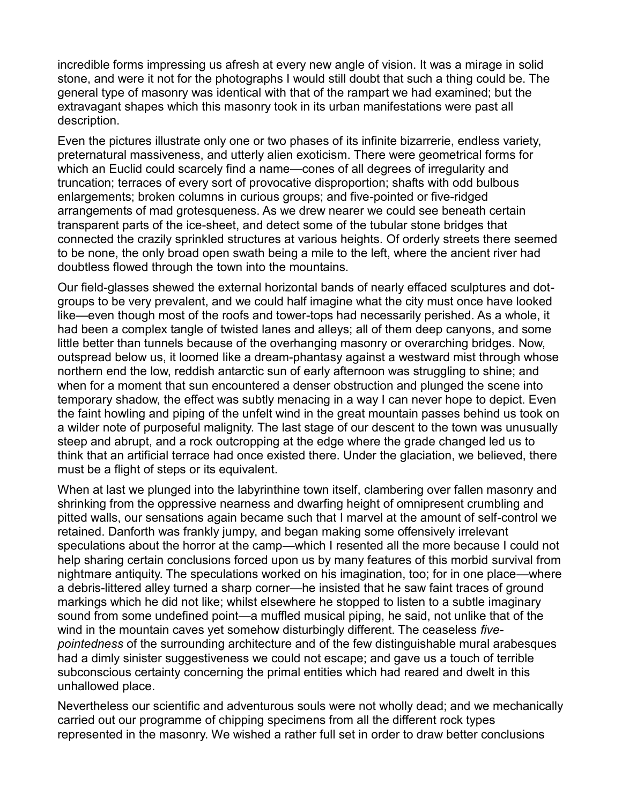incredible forms impressing us afresh at every new angle of vision. It was a mirage in solid stone, and were it not for the photographs I would still doubt that such a thing could be. The general type of masonry was identical with that of the rampart we had examined; but the extravagant shapes which this masonry took in its urban manifestations were past all description.

Even the pictures illustrate only one or two phases of its infinite bizarrerie, endless variety, preternatural massiveness, and utterly alien exoticism. There were geometrical forms for which an Euclid could scarcely find a name—cones of all degrees of irregularity and truncation; terraces of every sort of provocative disproportion; shafts with odd bulbous enlargements; broken columns in curious groups; and five-pointed or five-ridged arrangements of mad grotesqueness. As we drew nearer we could see beneath certain transparent parts of the ice-sheet, and detect some of the tubular stone bridges that connected the crazily sprinkled structures at various heights. Of orderly streets there seemed to be none, the only broad open swath being a mile to the left, where the ancient river had doubtless flowed through the town into the mountains.

Our field-glasses shewed the external horizontal bands of nearly effaced sculptures and dotgroups to be very prevalent, and we could half imagine what the city must once have looked like—even though most of the roofs and tower-tops had necessarily perished. As a whole, it had been a complex tangle of twisted lanes and alleys; all of them deep canyons, and some little better than tunnels because of the overhanging masonry or overarching bridges. Now, outspread below us, it loomed like a dream-phantasy against a westward mist through whose northern end the low, reddish antarctic sun of early afternoon was struggling to shine; and when for a moment that sun encountered a denser obstruction and plunged the scene into temporary shadow, the effect was subtly menacing in a way I can never hope to depict. Even the faint howling and piping of the unfelt wind in the great mountain passes behind us took on a wilder note of purposeful malignity. The last stage of our descent to the town was unusually steep and abrupt, and a rock outcropping at the edge where the grade changed led us to think that an artificial terrace had once existed there. Under the glaciation, we believed, there must be a flight of steps or its equivalent.

When at last we plunged into the labyrinthine town itself, clambering over fallen masonry and shrinking from the oppressive nearness and dwarfing height of omnipresent crumbling and pitted walls, our sensations again became such that I marvel at the amount of self-control we retained. Danforth was frankly jumpy, and began making some offensively irrelevant speculations about the horror at the camp—which I resented all the more because I could not help sharing certain conclusions forced upon us by many features of this morbid survival from nightmare antiquity. The speculations worked on his imagination, too; for in one place—where a debris-littered alley turned a sharp corner—he insisted that he saw faint traces of ground markings which he did not like; whilst elsewhere he stopped to listen to a subtle imaginary sound from some undefined point—a muffled musical piping, he said, not unlike that of the wind in the mountain caves yet somehow disturbingly different. The ceaseless *fivepointedness* of the surrounding architecture and of the few distinguishable mural arabesques had a dimly sinister suggestiveness we could not escape; and gave us a touch of terrible subconscious certainty concerning the primal entities which had reared and dwelt in this unhallowed place.

Nevertheless our scientific and adventurous souls were not wholly dead; and we mechanically carried out our programme of chipping specimens from all the different rock types represented in the masonry. We wished a rather full set in order to draw better conclusions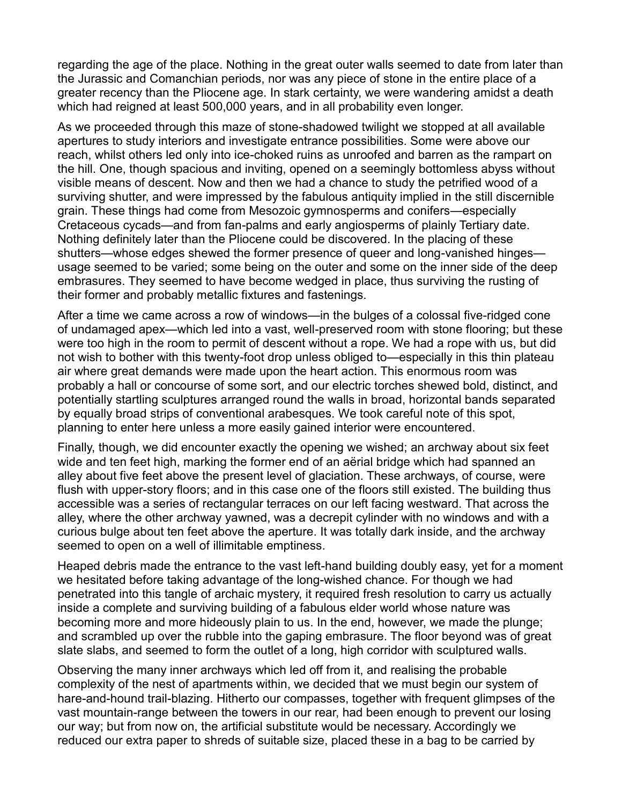regarding the age of the place. Nothing in the great outer walls seemed to date from later than the Jurassic and Comanchian periods, nor was any piece of stone in the entire place of a greater recency than the Pliocene age. In stark certainty, we were wandering amidst a death which had reigned at least 500,000 years, and in all probability even longer.

As we proceeded through this maze of stone-shadowed twilight we stopped at all available apertures to study interiors and investigate entrance possibilities. Some were above our reach, whilst others led only into ice-choked ruins as unroofed and barren as the rampart on the hill. One, though spacious and inviting, opened on a seemingly bottomless abyss without visible means of descent. Now and then we had a chance to study the petrified wood of a surviving shutter, and were impressed by the fabulous antiquity implied in the still discernible grain. These things had come from Mesozoic gymnosperms and conifers—especially Cretaceous cycads—and from fan-palms and early angiosperms of plainly Tertiary date. Nothing definitely later than the Pliocene could be discovered. In the placing of these shutters—whose edges shewed the former presence of queer and long-vanished hinges usage seemed to be varied; some being on the outer and some on the inner side of the deep embrasures. They seemed to have become wedged in place, thus surviving the rusting of their former and probably metallic fixtures and fastenings.

After a time we came across a row of windows—in the bulges of a colossal five-ridged cone of undamaged apex—which led into a vast, well-preserved room with stone flooring; but these were too high in the room to permit of descent without a rope. We had a rope with us, but did not wish to bother with this twenty-foot drop unless obliged to—especially in this thin plateau air where great demands were made upon the heart action. This enormous room was probably a hall or concourse of some sort, and our electric torches shewed bold, distinct, and potentially startling sculptures arranged round the walls in broad, horizontal bands separated by equally broad strips of conventional arabesques. We took careful note of this spot, planning to enter here unless a more easily gained interior were encountered.

Finally, though, we did encounter exactly the opening we wished; an archway about six feet wide and ten feet high, marking the former end of an aërial bridge which had spanned an alley about five feet above the present level of glaciation. These archways, of course, were flush with upper-story floors; and in this case one of the floors still existed. The building thus accessible was a series of rectangular terraces on our left facing westward. That across the alley, where the other archway yawned, was a decrepit cylinder with no windows and with a curious bulge about ten feet above the aperture. It was totally dark inside, and the archway seemed to open on a well of illimitable emptiness.

Heaped debris made the entrance to the vast left-hand building doubly easy, yet for a moment we hesitated before taking advantage of the long-wished chance. For though we had penetrated into this tangle of archaic mystery, it required fresh resolution to carry us actually inside a complete and surviving building of a fabulous elder world whose nature was becoming more and more hideously plain to us. In the end, however, we made the plunge; and scrambled up over the rubble into the gaping embrasure. The floor beyond was of great slate slabs, and seemed to form the outlet of a long, high corridor with sculptured walls.

Observing the many inner archways which led off from it, and realising the probable complexity of the nest of apartments within, we decided that we must begin our system of hare-and-hound trail-blazing. Hitherto our compasses, together with frequent glimpses of the vast mountain-range between the towers in our rear, had been enough to prevent our losing our way; but from now on, the artificial substitute would be necessary. Accordingly we reduced our extra paper to shreds of suitable size, placed these in a bag to be carried by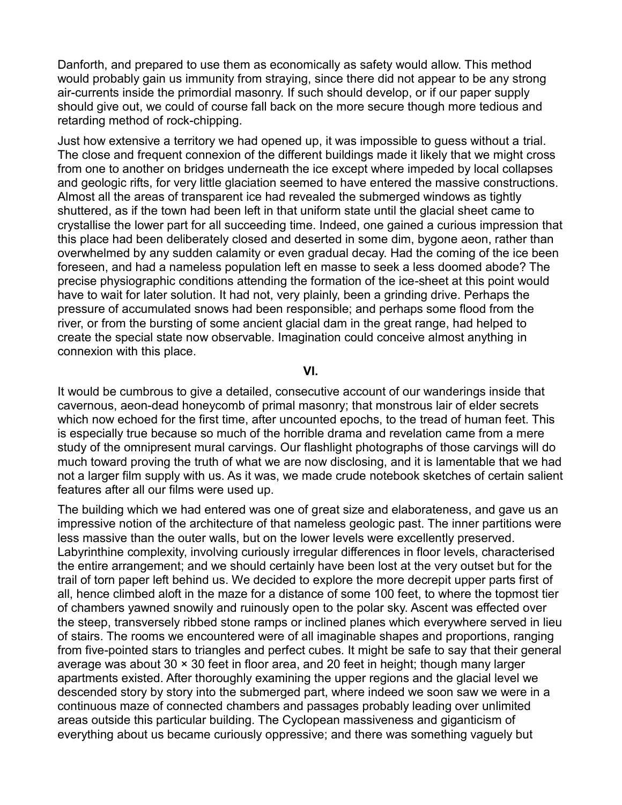Danforth, and prepared to use them as economically as safety would allow. This method would probably gain us immunity from straying, since there did not appear to be any strong air-currents inside the primordial masonry. If such should develop, or if our paper supply should give out, we could of course fall back on the more secure though more tedious and retarding method of rock-chipping.

Just how extensive a territory we had opened up, it was impossible to guess without a trial. The close and frequent connexion of the different buildings made it likely that we might cross from one to another on bridges underneath the ice except where impeded by local collapses and geologic rifts, for very little glaciation seemed to have entered the massive constructions. Almost all the areas of transparent ice had revealed the submerged windows as tightly shuttered, as if the town had been left in that uniform state until the glacial sheet came to crystallise the lower part for all succeeding time. Indeed, one gained a curious impression that this place had been deliberately closed and deserted in some dim, bygone aeon, rather than overwhelmed by any sudden calamity or even gradual decay. Had the coming of the ice been foreseen, and had a nameless population left en masse to seek a less doomed abode? The precise physiographic conditions attending the formation of the ice-sheet at this point would have to wait for later solution. It had not, very plainly, been a grinding drive. Perhaps the pressure of accumulated snows had been responsible; and perhaps some flood from the river, or from the bursting of some ancient glacial dam in the great range, had helped to create the special state now observable. Imagination could conceive almost anything in connexion with this place.

**VI.**

It would be cumbrous to give a detailed, consecutive account of our wanderings inside that cavernous, aeon-dead honeycomb of primal masonry; that monstrous lair of elder secrets which now echoed for the first time, after uncounted epochs, to the tread of human feet. This is especially true because so much of the horrible drama and revelation came from a mere study of the omnipresent mural carvings. Our flashlight photographs of those carvings will do much toward proving the truth of what we are now disclosing, and it is lamentable that we had not a larger film supply with us. As it was, we made crude notebook sketches of certain salient features after all our films were used up.

The building which we had entered was one of great size and elaborateness, and gave us an impressive notion of the architecture of that nameless geologic past. The inner partitions were less massive than the outer walls, but on the lower levels were excellently preserved. Labyrinthine complexity, involving curiously irregular differences in floor levels, characterised the entire arrangement; and we should certainly have been lost at the very outset but for the trail of torn paper left behind us. We decided to explore the more decrepit upper parts first of all, hence climbed aloft in the maze for a distance of some 100 feet, to where the topmost tier of chambers yawned snowily and ruinously open to the polar sky. Ascent was effected over the steep, transversely ribbed stone ramps or inclined planes which everywhere served in lieu of stairs. The rooms we encountered were of all imaginable shapes and proportions, ranging from five-pointed stars to triangles and perfect cubes. It might be safe to say that their general average was about 30 × 30 feet in floor area, and 20 feet in height; though many larger apartments existed. After thoroughly examining the upper regions and the glacial level we descended story by story into the submerged part, where indeed we soon saw we were in a continuous maze of connected chambers and passages probably leading over unlimited areas outside this particular building. The Cyclopean massiveness and giganticism of everything about us became curiously oppressive; and there was something vaguely but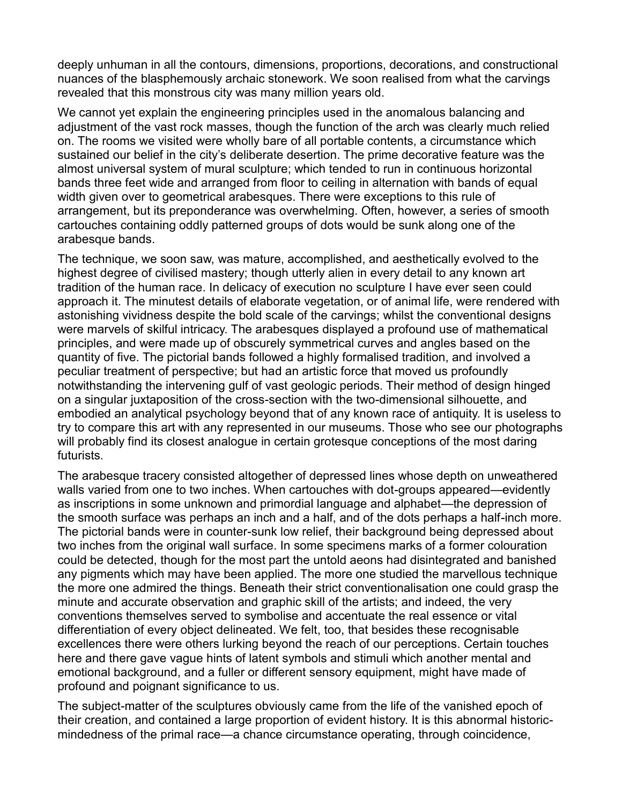deeply unhuman in all the contours, dimensions, proportions, decorations, and constructional nuances of the blasphemously archaic stonework. We soon realised from what the carvings revealed that this monstrous city was many million years old.

We cannot yet explain the engineering principles used in the anomalous balancing and adjustment of the vast rock masses, though the function of the arch was clearly much relied on. The rooms we visited were wholly bare of all portable contents, a circumstance which sustained our belief in the city's deliberate desertion. The prime decorative feature was the almost universal system of mural sculpture; which tended to run in continuous horizontal bands three feet wide and arranged from floor to ceiling in alternation with bands of equal width given over to geometrical arabesques. There were exceptions to this rule of arrangement, but its preponderance was overwhelming. Often, however, a series of smooth cartouches containing oddly patterned groups of dots would be sunk along one of the arabesque bands.

The technique, we soon saw, was mature, accomplished, and aesthetically evolved to the highest degree of civilised mastery; though utterly alien in every detail to any known art tradition of the human race. In delicacy of execution no sculpture I have ever seen could approach it. The minutest details of elaborate vegetation, or of animal life, were rendered with astonishing vividness despite the bold scale of the carvings; whilst the conventional designs were marvels of skilful intricacy. The arabesques displayed a profound use of mathematical principles, and were made up of obscurely symmetrical curves and angles based on the quantity of five. The pictorial bands followed a highly formalised tradition, and involved a peculiar treatment of perspective; but had an artistic force that moved us profoundly notwithstanding the intervening gulf of vast geologic periods. Their method of design hinged on a singular juxtaposition of the cross-section with the two-dimensional silhouette, and embodied an analytical psychology beyond that of any known race of antiquity. It is useless to try to compare this art with any represented in our museums. Those who see our photographs will probably find its closest analogue in certain grotesque conceptions of the most daring futurists.

The arabesque tracery consisted altogether of depressed lines whose depth on unweathered walls varied from one to two inches. When cartouches with dot-groups appeared—evidently as inscriptions in some unknown and primordial language and alphabet—the depression of the smooth surface was perhaps an inch and a half, and of the dots perhaps a half-inch more. The pictorial bands were in counter-sunk low relief, their background being depressed about two inches from the original wall surface. In some specimens marks of a former colouration could be detected, though for the most part the untold aeons had disintegrated and banished any pigments which may have been applied. The more one studied the marvellous technique the more one admired the things. Beneath their strict conventionalisation one could grasp the minute and accurate observation and graphic skill of the artists; and indeed, the very conventions themselves served to symbolise and accentuate the real essence or vital differentiation of every object delineated. We felt, too, that besides these recognisable excellences there were others lurking beyond the reach of our perceptions. Certain touches here and there gave vague hints of latent symbols and stimuli which another mental and emotional background, and a fuller or different sensory equipment, might have made of profound and poignant significance to us.

The subject-matter of the sculptures obviously came from the life of the vanished epoch of their creation, and contained a large proportion of evident history. It is this abnormal historicmindedness of the primal race—a chance circumstance operating, through coincidence,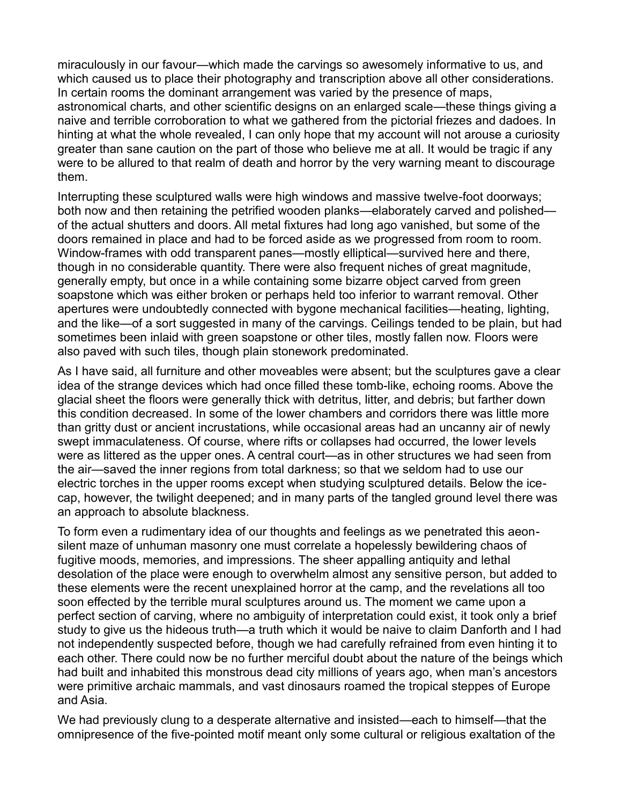miraculously in our favour—which made the carvings so awesomely informative to us, and which caused us to place their photography and transcription above all other considerations. In certain rooms the dominant arrangement was varied by the presence of maps, astronomical charts, and other scientific designs on an enlarged scale—these things giving a naive and terrible corroboration to what we gathered from the pictorial friezes and dadoes. In hinting at what the whole revealed, I can only hope that my account will not arouse a curiosity greater than sane caution on the part of those who believe me at all. It would be tragic if any were to be allured to that realm of death and horror by the very warning meant to discourage them.

Interrupting these sculptured walls were high windows and massive twelve-foot doorways; both now and then retaining the petrified wooden planks—elaborately carved and polished of the actual shutters and doors. All metal fixtures had long ago vanished, but some of the doors remained in place and had to be forced aside as we progressed from room to room. Window-frames with odd transparent panes—mostly elliptical—survived here and there, though in no considerable quantity. There were also frequent niches of great magnitude, generally empty, but once in a while containing some bizarre object carved from green soapstone which was either broken or perhaps held too inferior to warrant removal. Other apertures were undoubtedly connected with bygone mechanical facilities—heating, lighting, and the like—of a sort suggested in many of the carvings. Ceilings tended to be plain, but had sometimes been inlaid with green soapstone or other tiles, mostly fallen now. Floors were also paved with such tiles, though plain stonework predominated.

As I have said, all furniture and other moveables were absent; but the sculptures gave a clear idea of the strange devices which had once filled these tomb-like, echoing rooms. Above the glacial sheet the floors were generally thick with detritus, litter, and debris; but farther down this condition decreased. In some of the lower chambers and corridors there was little more than gritty dust or ancient incrustations, while occasional areas had an uncanny air of newly swept immaculateness. Of course, where rifts or collapses had occurred, the lower levels were as littered as the upper ones. A central court—as in other structures we had seen from the air—saved the inner regions from total darkness; so that we seldom had to use our electric torches in the upper rooms except when studying sculptured details. Below the icecap, however, the twilight deepened; and in many parts of the tangled ground level there was an approach to absolute blackness.

To form even a rudimentary idea of our thoughts and feelings as we penetrated this aeonsilent maze of unhuman masonry one must correlate a hopelessly bewildering chaos of fugitive moods, memories, and impressions. The sheer appalling antiquity and lethal desolation of the place were enough to overwhelm almost any sensitive person, but added to these elements were the recent unexplained horror at the camp, and the revelations all too soon effected by the terrible mural sculptures around us. The moment we came upon a perfect section of carving, where no ambiguity of interpretation could exist, it took only a brief study to give us the hideous truth—a truth which it would be naive to claim Danforth and I had not independently suspected before, though we had carefully refrained from even hinting it to each other. There could now be no further merciful doubt about the nature of the beings which had built and inhabited this monstrous dead city millions of years ago, when man's ancestors were primitive archaic mammals, and vast dinosaurs roamed the tropical steppes of Europe and Asia.

We had previously clung to a desperate alternative and insisted—each to himself—that the omnipresence of the five-pointed motif meant only some cultural or religious exaltation of the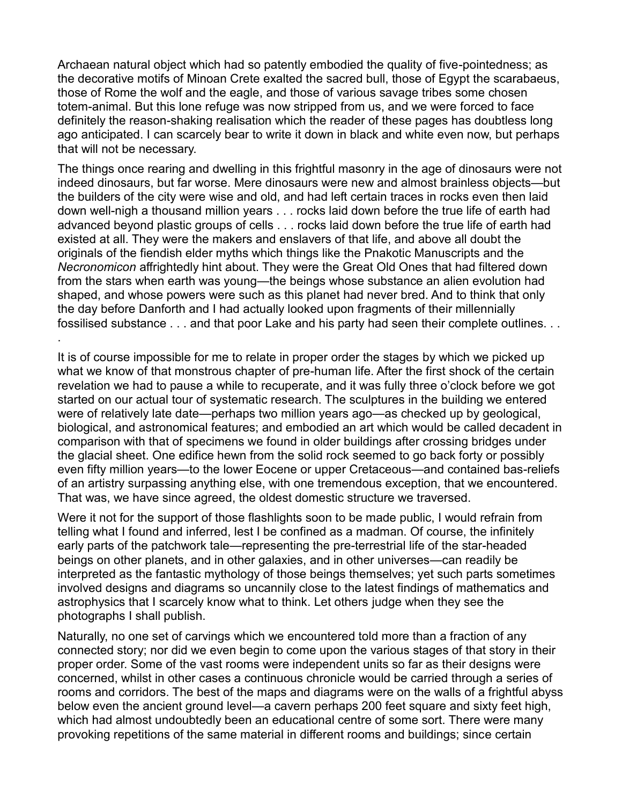Archaean natural object which had so patently embodied the quality of five-pointedness; as the decorative motifs of Minoan Crete exalted the sacred bull, those of Egypt the scarabaeus, those of Rome the wolf and the eagle, and those of various savage tribes some chosen totem-animal. But this lone refuge was now stripped from us, and we were forced to face definitely the reason-shaking realisation which the reader of these pages has doubtless long ago anticipated. I can scarcely bear to write it down in black and white even now, but perhaps that will not be necessary.

The things once rearing and dwelling in this frightful masonry in the age of dinosaurs were not indeed dinosaurs, but far worse. Mere dinosaurs were new and almost brainless objects—but the builders of the city were wise and old, and had left certain traces in rocks even then laid down well-nigh a thousand million years . . . rocks laid down before the true life of earth had advanced beyond plastic groups of cells . . . rocks laid down before the true life of earth had existed at all. They were the makers and enslavers of that life, and above all doubt the originals of the fiendish elder myths which things like the Pnakotic Manuscripts and the *Necronomicon* affrightedly hint about. They were the Great Old Ones that had filtered down from the stars when earth was young—the beings whose substance an alien evolution had shaped, and whose powers were such as this planet had never bred. And to think that only the day before Danforth and I had actually looked upon fragments of their millennially fossilised substance . . . and that poor Lake and his party had seen their complete outlines. . .

It is of course impossible for me to relate in proper order the stages by which we picked up what we know of that monstrous chapter of pre-human life. After the first shock of the certain revelation we had to pause a while to recuperate, and it was fully three o'clock before we got started on our actual tour of systematic research. The sculptures in the building we entered were of relatively late date—perhaps two million years ago—as checked up by geological, biological, and astronomical features; and embodied an art which would be called decadent in comparison with that of specimens we found in older buildings after crossing bridges under the glacial sheet. One edifice hewn from the solid rock seemed to go back forty or possibly even fifty million years—to the lower Eocene or upper Cretaceous—and contained bas-reliefs of an artistry surpassing anything else, with one tremendous exception, that we encountered. That was, we have since agreed, the oldest domestic structure we traversed.

.

Were it not for the support of those flashlights soon to be made public, I would refrain from telling what I found and inferred, lest I be confined as a madman. Of course, the infinitely early parts of the patchwork tale—representing the pre-terrestrial life of the star-headed beings on other planets, and in other galaxies, and in other universes—can readily be interpreted as the fantastic mythology of those beings themselves; yet such parts sometimes involved designs and diagrams so uncannily close to the latest findings of mathematics and astrophysics that I scarcely know what to think. Let others judge when they see the photographs I shall publish.

Naturally, no one set of carvings which we encountered told more than a fraction of any connected story; nor did we even begin to come upon the various stages of that story in their proper order. Some of the vast rooms were independent units so far as their designs were concerned, whilst in other cases a continuous chronicle would be carried through a series of rooms and corridors. The best of the maps and diagrams were on the walls of a frightful abyss below even the ancient ground level—a cavern perhaps 200 feet square and sixty feet high, which had almost undoubtedly been an educational centre of some sort. There were many provoking repetitions of the same material in different rooms and buildings; since certain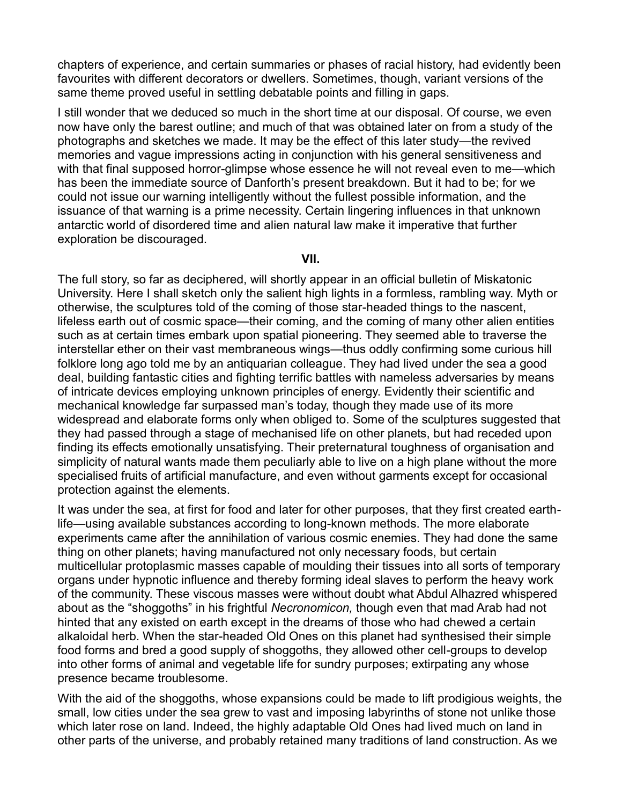chapters of experience, and certain summaries or phases of racial history, had evidently been favourites with different decorators or dwellers. Sometimes, though, variant versions of the same theme proved useful in settling debatable points and filling in gaps.

I still wonder that we deduced so much in the short time at our disposal. Of course, we even now have only the barest outline; and much of that was obtained later on from a study of the photographs and sketches we made. It may be the effect of this later study—the revived memories and vague impressions acting in conjunction with his general sensitiveness and with that final supposed horror-glimpse whose essence he will not reveal even to me—which has been the immediate source of Danforth's present breakdown. But it had to be; for we could not issue our warning intelligently without the fullest possible information, and the issuance of that warning is a prime necessity. Certain lingering influences in that unknown antarctic world of disordered time and alien natural law make it imperative that further exploration be discouraged.

#### **VII.**

The full story, so far as deciphered, will shortly appear in an official bulletin of Miskatonic University. Here I shall sketch only the salient high lights in a formless, rambling way. Myth or otherwise, the sculptures told of the coming of those star-headed things to the nascent, lifeless earth out of cosmic space—their coming, and the coming of many other alien entities such as at certain times embark upon spatial pioneering. They seemed able to traverse the interstellar ether on their vast membraneous wings—thus oddly confirming some curious hill folklore long ago told me by an antiquarian colleague. They had lived under the sea a good deal, building fantastic cities and fighting terrific battles with nameless adversaries by means of intricate devices employing unknown principles of energy. Evidently their scientific and mechanical knowledge far surpassed man's today, though they made use of its more widespread and elaborate forms only when obliged to. Some of the sculptures suggested that they had passed through a stage of mechanised life on other planets, but had receded upon finding its effects emotionally unsatisfying. Their preternatural toughness of organisation and simplicity of natural wants made them peculiarly able to live on a high plane without the more specialised fruits of artificial manufacture, and even without garments except for occasional protection against the elements.

It was under the sea, at first for food and later for other purposes, that they first created earthlife—using available substances according to long-known methods. The more elaborate experiments came after the annihilation of various cosmic enemies. They had done the same thing on other planets; having manufactured not only necessary foods, but certain multicellular protoplasmic masses capable of moulding their tissues into all sorts of temporary organs under hypnotic influence and thereby forming ideal slaves to perform the heavy work of the community. These viscous masses were without doubt what Abdul Alhazred whispered about as the "shoggoths" in his frightful Necronomicon, though even that mad Arab had not hinted that any existed on earth except in the dreams of those who had chewed a certain alkaloidal herb. When the star-headed Old Ones on this planet had synthesised their simple food forms and bred a good supply of shoggoths, they allowed other cell-groups to develop into other forms of animal and vegetable life for sundry purposes; extirpating any whose presence became troublesome.

With the aid of the shoggoths, whose expansions could be made to lift prodigious weights, the small, low cities under the sea grew to vast and imposing labyrinths of stone not unlike those which later rose on land. Indeed, the highly adaptable Old Ones had lived much on land in other parts of the universe, and probably retained many traditions of land construction. As we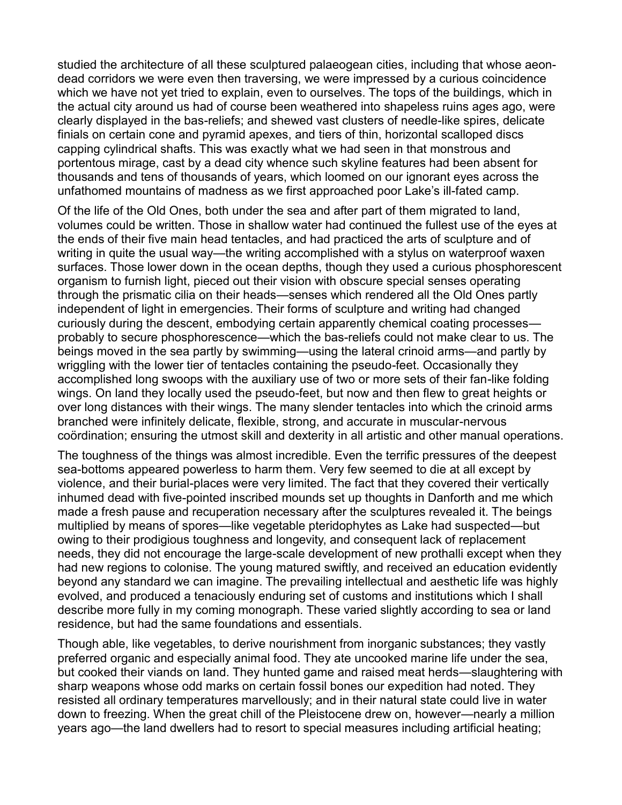studied the architecture of all these sculptured palaeogean cities, including that whose aeondead corridors we were even then traversing, we were impressed by a curious coincidence which we have not yet tried to explain, even to ourselves. The tops of the buildings, which in the actual city around us had of course been weathered into shapeless ruins ages ago, were clearly displayed in the bas-reliefs; and shewed vast clusters of needle-like spires, delicate finials on certain cone and pyramid apexes, and tiers of thin, horizontal scalloped discs capping cylindrical shafts. This was exactly what we had seen in that monstrous and portentous mirage, cast by a dead city whence such skyline features had been absent for thousands and tens of thousands of years, which loomed on our ignorant eyes across the unfathomed mountains of madness as we first approached poor Lake's ill-fated camp.

Of the life of the Old Ones, both under the sea and after part of them migrated to land, volumes could be written. Those in shallow water had continued the fullest use of the eyes at the ends of their five main head tentacles, and had practiced the arts of sculpture and of writing in quite the usual way—the writing accomplished with a stylus on waterproof waxen surfaces. Those lower down in the ocean depths, though they used a curious phosphorescent organism to furnish light, pieced out their vision with obscure special senses operating through the prismatic cilia on their heads—senses which rendered all the Old Ones partly independent of light in emergencies. Their forms of sculpture and writing had changed curiously during the descent, embodying certain apparently chemical coating processes probably to secure phosphorescence—which the bas-reliefs could not make clear to us. The beings moved in the sea partly by swimming—using the lateral crinoid arms—and partly by wriggling with the lower tier of tentacles containing the pseudo-feet. Occasionally they accomplished long swoops with the auxiliary use of two or more sets of their fan-like folding wings. On land they locally used the pseudo-feet, but now and then flew to great heights or over long distances with their wings. The many slender tentacles into which the crinoid arms branched were infinitely delicate, flexible, strong, and accurate in muscular-nervous coördination; ensuring the utmost skill and dexterity in all artistic and other manual operations.

The toughness of the things was almost incredible. Even the terrific pressures of the deepest sea-bottoms appeared powerless to harm them. Very few seemed to die at all except by violence, and their burial-places were very limited. The fact that they covered their vertically inhumed dead with five-pointed inscribed mounds set up thoughts in Danforth and me which made a fresh pause and recuperation necessary after the sculptures revealed it. The beings multiplied by means of spores—like vegetable pteridophytes as Lake had suspected—but owing to their prodigious toughness and longevity, and consequent lack of replacement needs, they did not encourage the large-scale development of new prothalli except when they had new regions to colonise. The young matured swiftly, and received an education evidently beyond any standard we can imagine. The prevailing intellectual and aesthetic life was highly evolved, and produced a tenaciously enduring set of customs and institutions which I shall describe more fully in my coming monograph. These varied slightly according to sea or land residence, but had the same foundations and essentials.

Though able, like vegetables, to derive nourishment from inorganic substances; they vastly preferred organic and especially animal food. They ate uncooked marine life under the sea, but cooked their viands on land. They hunted game and raised meat herds—slaughtering with sharp weapons whose odd marks on certain fossil bones our expedition had noted. They resisted all ordinary temperatures marvellously; and in their natural state could live in water down to freezing. When the great chill of the Pleistocene drew on, however—nearly a million years ago—the land dwellers had to resort to special measures including artificial heating;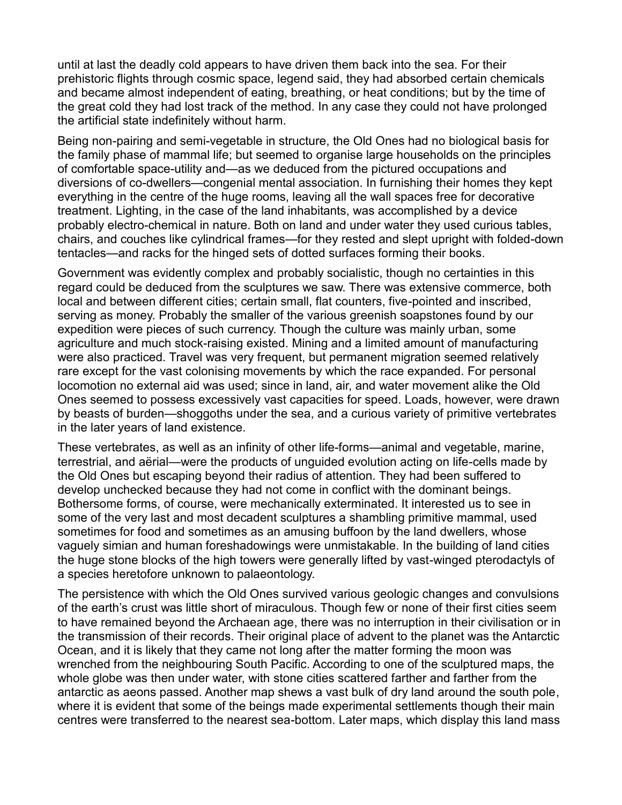until at last the deadly cold appears to have driven them back into the sea. For their prehistoric flights through cosmic space, legend said, they had absorbed certain chemicals and became almost independent of eating, breathing, or heat conditions; but by the time of the great cold they had lost track of the method. In any case they could not have prolonged the artificial state indefinitely without harm.

Being non-pairing and semi-vegetable in structure, the Old Ones had no biological basis for the family phase of mammal life; but seemed to organise large households on the principles of comfortable space-utility and—as we deduced from the pictured occupations and diversions of co-dwellers—congenial mental association. In furnishing their homes they kept everything in the centre of the huge rooms, leaving all the wall spaces free for decorative treatment. Lighting, in the case of the land inhabitants, was accomplished by a device probably electro-chemical in nature. Both on land and under water they used curious tables, chairs, and couches like cylindrical frames—for they rested and slept upright with folded-down tentacles—and racks for the hinged sets of dotted surfaces forming their books.

Government was evidently complex and probably socialistic, though no certainties in this regard could be deduced from the sculptures we saw. There was extensive commerce, both local and between different cities; certain small, flat counters, five-pointed and inscribed, serving as money. Probably the smaller of the various greenish soapstones found by our expedition were pieces of such currency. Though the culture was mainly urban, some agriculture and much stock-raising existed. Mining and a limited amount of manufacturing were also practiced. Travel was very frequent, but permanent migration seemed relatively rare except for the vast colonising movements by which the race expanded. For personal locomotion no external aid was used; since in land, air, and water movement alike the Old Ones seemed to possess excessively vast capacities for speed. Loads, however, were drawn by beasts of burden—shoggoths under the sea, and a curious variety of primitive vertebrates in the later years of land existence.

These vertebrates, as well as an infinity of other life-forms—animal and vegetable, marine, terrestrial, and aërial—were the products of unguided evolution acting on life-cells made by the Old Ones but escaping beyond their radius of attention. They had been suffered to develop unchecked because they had not come in conflict with the dominant beings. Bothersome forms, of course, were mechanically exterminated. It interested us to see in some of the very last and most decadent sculptures a shambling primitive mammal, used sometimes for food and sometimes as an amusing buffoon by the land dwellers, whose vaguely simian and human foreshadowings were unmistakable. In the building of land cities the huge stone blocks of the high towers were generally lifted by vast-winged pterodactyls of a species heretofore unknown to palaeontology.

The persistence with which the Old Ones survived various geologic changes and convulsions of the earth's crust was little short of miraculous. Though few or none of their first cities seem to have remained beyond the Archaean age, there was no interruption in their civilisation or in the transmission of their records. Their original place of advent to the planet was the Antarctic Ocean, and it is likely that they came not long after the matter forming the moon was wrenched from the neighbouring South Pacific. According to one of the sculptured maps, the whole globe was then under water, with stone cities scattered farther and farther from the antarctic as aeons passed. Another map shews a vast bulk of dry land around the south pole, where it is evident that some of the beings made experimental settlements though their main centres were transferred to the nearest sea-bottom. Later maps, which display this land mass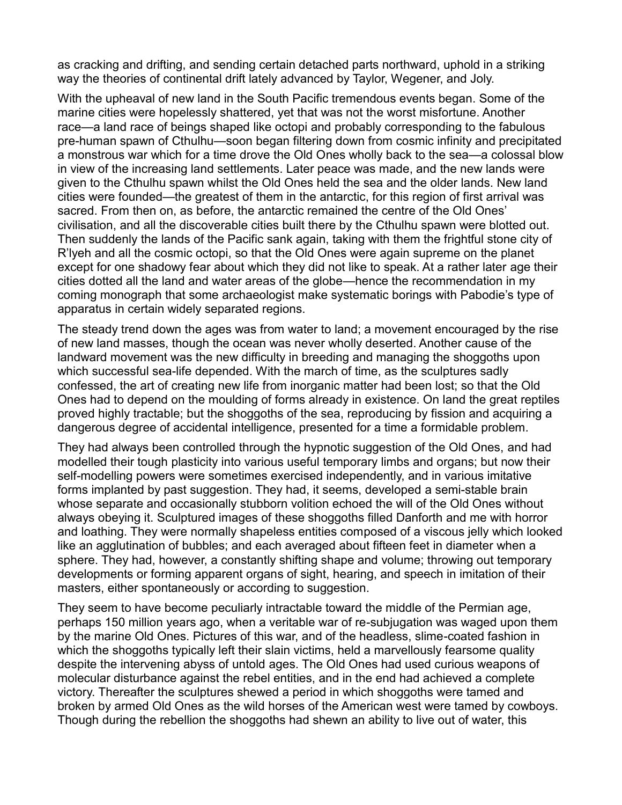as cracking and drifting, and sending certain detached parts northward, uphold in a striking way the theories of continental drift lately advanced by Taylor, Wegener, and Joly.

With the upheaval of new land in the South Pacific tremendous events began. Some of the marine cities were hopelessly shattered, yet that was not the worst misfortune. Another race—a land race of beings shaped like octopi and probably corresponding to the fabulous pre-human spawn of Cthulhu—soon began filtering down from cosmic infinity and precipitated a monstrous war which for a time drove the Old Ones wholly back to the sea—a colossal blow in view of the increasing land settlements. Later peace was made, and the new lands were given to the Cthulhu spawn whilst the Old Ones held the sea and the older lands. New land cities were founded—the greatest of them in the antarctic, for this region of first arrival was sacred. From then on, as before, the antarctic remained the centre of the Old Ones' civilisation, and all the discoverable cities built there by the Cthulhu spawn were blotted out. Then suddenly the lands of the Pacific sank again, taking with them the frightful stone city of R'lyeh and all the cosmic octopi, so that the Old Ones were again supreme on the planet except for one shadowy fear about which they did not like to speak. At a rather later age their cities dotted all the land and water areas of the globe—hence the recommendation in my coming monograph that some archaeologist make systematic borings with Pabodie's type of apparatus in certain widely separated regions.

The steady trend down the ages was from water to land; a movement encouraged by the rise of new land masses, though the ocean was never wholly deserted. Another cause of the landward movement was the new difficulty in breeding and managing the shoggoths upon which successful sea-life depended. With the march of time, as the sculptures sadly confessed, the art of creating new life from inorganic matter had been lost; so that the Old Ones had to depend on the moulding of forms already in existence. On land the great reptiles proved highly tractable; but the shoggoths of the sea, reproducing by fission and acquiring a dangerous degree of accidental intelligence, presented for a time a formidable problem.

They had always been controlled through the hypnotic suggestion of the Old Ones, and had modelled their tough plasticity into various useful temporary limbs and organs; but now their self-modelling powers were sometimes exercised independently, and in various imitative forms implanted by past suggestion. They had, it seems, developed a semi-stable brain whose separate and occasionally stubborn volition echoed the will of the Old Ones without always obeying it. Sculptured images of these shoggoths filled Danforth and me with horror and loathing. They were normally shapeless entities composed of a viscous jelly which looked like an agglutination of bubbles; and each averaged about fifteen feet in diameter when a sphere. They had, however, a constantly shifting shape and volume; throwing out temporary developments or forming apparent organs of sight, hearing, and speech in imitation of their masters, either spontaneously or according to suggestion.

They seem to have become peculiarly intractable toward the middle of the Permian age, perhaps 150 million years ago, when a veritable war of re-subjugation was waged upon them by the marine Old Ones. Pictures of this war, and of the headless, slime-coated fashion in which the shoggoths typically left their slain victims, held a marvellously fearsome quality despite the intervening abyss of untold ages. The Old Ones had used curious weapons of molecular disturbance against the rebel entities, and in the end had achieved a complete victory. Thereafter the sculptures shewed a period in which shoggoths were tamed and broken by armed Old Ones as the wild horses of the American west were tamed by cowboys. Though during the rebellion the shoggoths had shewn an ability to live out of water, this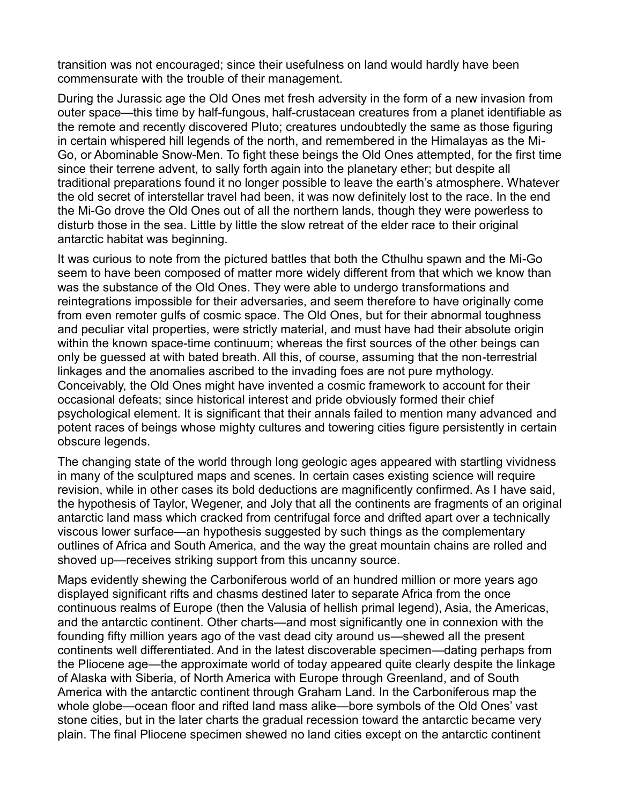transition was not encouraged; since their usefulness on land would hardly have been commensurate with the trouble of their management.

During the Jurassic age the Old Ones met fresh adversity in the form of a new invasion from outer space—this time by half-fungous, half-crustacean creatures from a planet identifiable as the remote and recently discovered Pluto; creatures undoubtedly the same as those figuring in certain whispered hill legends of the north, and remembered in the Himalayas as the Mi-Go, or Abominable Snow-Men. To fight these beings the Old Ones attempted, for the first time since their terrene advent, to sally forth again into the planetary ether; but despite all traditional preparations found it no longer possible to leave the earth's atmosphere. Whatever the old secret of interstellar travel had been, it was now definitely lost to the race. In the end the Mi-Go drove the Old Ones out of all the northern lands, though they were powerless to disturb those in the sea. Little by little the slow retreat of the elder race to their original antarctic habitat was beginning.

It was curious to note from the pictured battles that both the Cthulhu spawn and the Mi-Go seem to have been composed of matter more widely different from that which we know than was the substance of the Old Ones. They were able to undergo transformations and reintegrations impossible for their adversaries, and seem therefore to have originally come from even remoter gulfs of cosmic space. The Old Ones, but for their abnormal toughness and peculiar vital properties, were strictly material, and must have had their absolute origin within the known space-time continuum; whereas the first sources of the other beings can only be guessed at with bated breath. All this, of course, assuming that the non-terrestrial linkages and the anomalies ascribed to the invading foes are not pure mythology. Conceivably, the Old Ones might have invented a cosmic framework to account for their occasional defeats; since historical interest and pride obviously formed their chief psychological element. It is significant that their annals failed to mention many advanced and potent races of beings whose mighty cultures and towering cities figure persistently in certain obscure legends.

The changing state of the world through long geologic ages appeared with startling vividness in many of the sculptured maps and scenes. In certain cases existing science will require revision, while in other cases its bold deductions are magnificently confirmed. As I have said, the hypothesis of Taylor, Wegener, and Joly that all the continents are fragments of an original antarctic land mass which cracked from centrifugal force and drifted apart over a technically viscous lower surface—an hypothesis suggested by such things as the complementary outlines of Africa and South America, and the way the great mountain chains are rolled and shoved up—receives striking support from this uncanny source.

Maps evidently shewing the Carboniferous world of an hundred million or more years ago displayed significant rifts and chasms destined later to separate Africa from the once continuous realms of Europe (then the Valusia of hellish primal legend), Asia, the Americas, and the antarctic continent. Other charts—and most significantly one in connexion with the founding fifty million years ago of the vast dead city around us—shewed all the present continents well differentiated. And in the latest discoverable specimen—dating perhaps from the Pliocene age—the approximate world of today appeared quite clearly despite the linkage of Alaska with Siberia, of North America with Europe through Greenland, and of South America with the antarctic continent through Graham Land. In the Carboniferous map the whole globe—ocean floor and rifted land mass alike—bore symbols of the Old Ones' vast stone cities, but in the later charts the gradual recession toward the antarctic became very plain. The final Pliocene specimen shewed no land cities except on the antarctic continent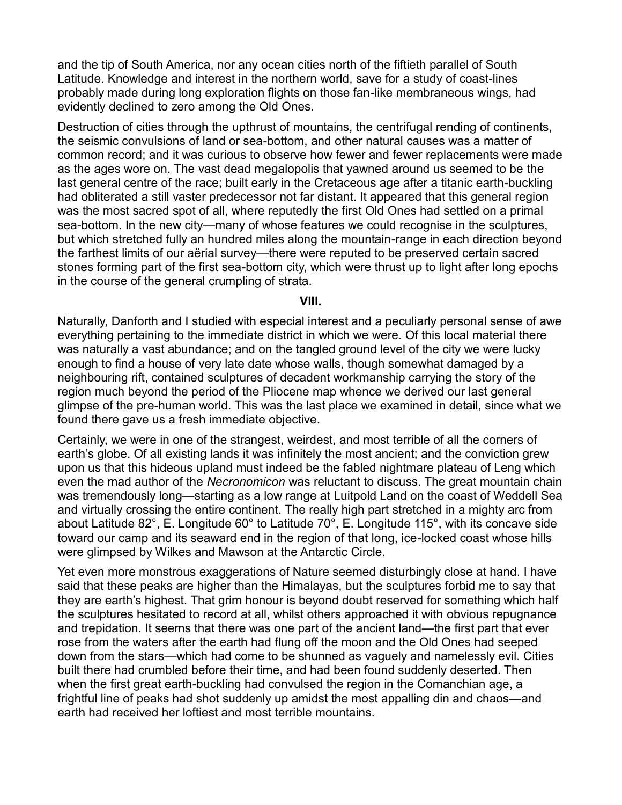and the tip of South America, nor any ocean cities north of the fiftieth parallel of South Latitude. Knowledge and interest in the northern world, save for a study of coast-lines probably made during long exploration flights on those fan-like membraneous wings, had evidently declined to zero among the Old Ones.

Destruction of cities through the upthrust of mountains, the centrifugal rending of continents, the seismic convulsions of land or sea-bottom, and other natural causes was a matter of common record; and it was curious to observe how fewer and fewer replacements were made as the ages wore on. The vast dead megalopolis that yawned around us seemed to be the last general centre of the race; built early in the Cretaceous age after a titanic earth-buckling had obliterated a still vaster predecessor not far distant. It appeared that this general region was the most sacred spot of all, where reputedly the first Old Ones had settled on a primal sea-bottom. In the new city—many of whose features we could recognise in the sculptures, but which stretched fully an hundred miles along the mountain-range in each direction beyond the farthest limits of our aërial survey—there were reputed to be preserved certain sacred stones forming part of the first sea-bottom city, which were thrust up to light after long epochs in the course of the general crumpling of strata.

## **VIII.**

Naturally, Danforth and I studied with especial interest and a peculiarly personal sense of awe everything pertaining to the immediate district in which we were. Of this local material there was naturally a vast abundance; and on the tangled ground level of the city we were lucky enough to find a house of very late date whose walls, though somewhat damaged by a neighbouring rift, contained sculptures of decadent workmanship carrying the story of the region much beyond the period of the Pliocene map whence we derived our last general glimpse of the pre-human world. This was the last place we examined in detail, since what we found there gave us a fresh immediate objective.

Certainly, we were in one of the strangest, weirdest, and most terrible of all the corners of earth's globe. Of all existing lands it was infinitely the most ancient; and the conviction grew upon us that this hideous upland must indeed be the fabled nightmare plateau of Leng which even the mad author of the *Necronomicon* was reluctant to discuss. The great mountain chain was tremendously long—starting as a low range at Luitpold Land on the coast of Weddell Sea and virtually crossing the entire continent. The really high part stretched in a mighty arc from about Latitude 82°, E. Longitude 60° to Latitude 70°, E. Longitude 115°, with its concave side toward our camp and its seaward end in the region of that long, ice-locked coast whose hills were glimpsed by Wilkes and Mawson at the Antarctic Circle.

Yet even more monstrous exaggerations of Nature seemed disturbingly close at hand. I have said that these peaks are higher than the Himalayas, but the sculptures forbid me to say that they are earth's highest. That grim honour is beyond doubt reserved for something which half the sculptures hesitated to record at all, whilst others approached it with obvious repugnance and trepidation. It seems that there was one part of the ancient land—the first part that ever rose from the waters after the earth had flung off the moon and the Old Ones had seeped down from the stars—which had come to be shunned as vaguely and namelessly evil. Cities built there had crumbled before their time, and had been found suddenly deserted. Then when the first great earth-buckling had convulsed the region in the Comanchian age, a frightful line of peaks had shot suddenly up amidst the most appalling din and chaos—and earth had received her loftiest and most terrible mountains.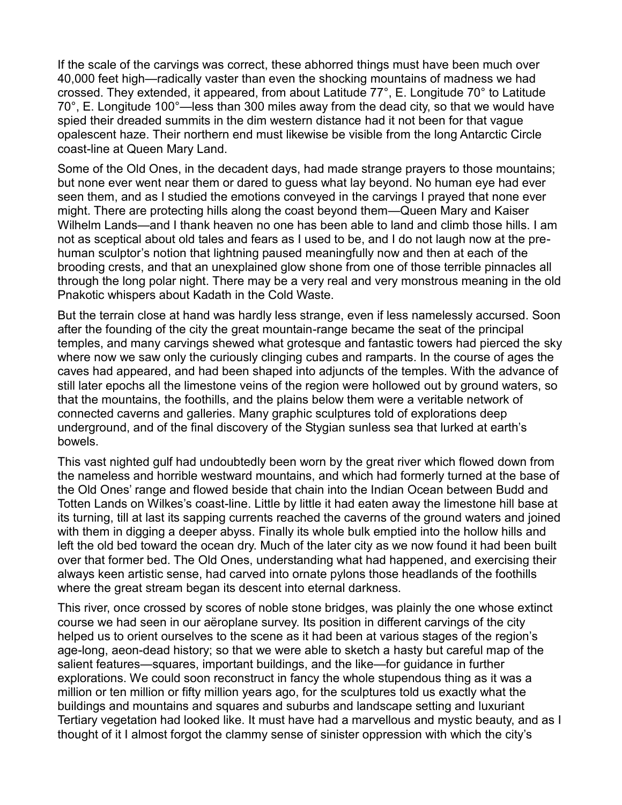If the scale of the carvings was correct, these abhorred things must have been much over 40,000 feet high—radically vaster than even the shocking mountains of madness we had crossed. They extended, it appeared, from about Latitude 77°, E. Longitude 70° to Latitude  $70^{\circ}$ , E. Longitude 100 $^{\circ}$ —less than 300 miles away from the dead city, so that we would have spied their dreaded summits in the dim western distance had it not been for that vague opalescent haze. Their northern end must likewise be visible from the long Antarctic Circle coast-line at Queen Mary Land.

Some of the Old Ones, in the decadent days, had made strange prayers to those mountains; but none ever went near them or dared to guess what lay beyond. No human eye had ever seen them, and as I studied the emotions conveyed in the carvings I prayed that none ever might. There are protecting hills along the coast beyond them—Queen Mary and Kaiser Wilhelm Lands—and I thank heaven no one has been able to land and climb those hills. I am not as sceptical about old tales and fears as I used to be, and I do not laugh now at the prehuman sculptor's notion that lightning paused meaningfully now and then at each of the brooding crests, and that an unexplained glow shone from one of those terrible pinnacles all through the long polar night. There may be a very real and very monstrous meaning in the old Pnakotic whispers about Kadath in the Cold Waste.

But the terrain close at hand was hardly less strange, even if less namelessly accursed. Soon after the founding of the city the great mountain-range became the seat of the principal temples, and many carvings shewed what grotesque and fantastic towers had pierced the sky where now we saw only the curiously clinging cubes and ramparts. In the course of ages the caves had appeared, and had been shaped into adjuncts of the temples. With the advance of still later epochs all the limestone veins of the region were hollowed out by ground waters, so that the mountains, the foothills, and the plains below them were a veritable network of connected caverns and galleries. Many graphic sculptures told of explorations deep underground, and of the final discovery of the Stygian sunless sea that lurked at earth's bowels.

This vast nighted gulf had undoubtedly been worn by the great river which flowed down from the nameless and horrible westward mountains, and which had formerly turned at the base of the Old Ones' range and flowed beside that chain into the Indian Ocean between Budd and Totten Lands on Wilkes's coast-line. Little by little it had eaten away the limestone hill base at its turning, till at last its sapping currents reached the caverns of the ground waters and joined with them in digging a deeper abyss. Finally its whole bulk emptied into the hollow hills and left the old bed toward the ocean dry. Much of the later city as we now found it had been built over that former bed. The Old Ones, understanding what had happened, and exercising their always keen artistic sense, had carved into ornate pylons those headlands of the foothills where the great stream began its descent into eternal darkness.

This river, once crossed by scores of noble stone bridges, was plainly the one whose extinct course we had seen in our aëroplane survey. Its position in different carvings of the city helped us to orient ourselves to the scene as it had been at various stages of the region's age-long, aeon-dead history; so that we were able to sketch a hasty but careful map of the salient features—squares, important buildings, and the like—for guidance in further explorations. We could soon reconstruct in fancy the whole stupendous thing as it was a million or ten million or fifty million years ago, for the sculptures told us exactly what the buildings and mountains and squares and suburbs and landscape setting and luxuriant Tertiary vegetation had looked like. It must have had a marvellous and mystic beauty, and as I thought of it I almost forgot the clammy sense of sinister oppression with which the city's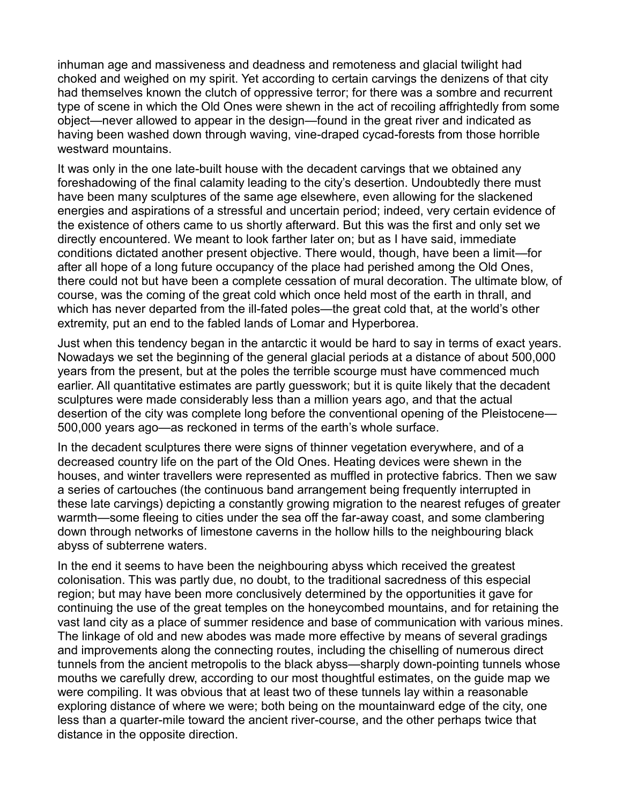inhuman age and massiveness and deadness and remoteness and glacial twilight had choked and weighed on my spirit. Yet according to certain carvings the denizens of that city had themselves known the clutch of oppressive terror; for there was a sombre and recurrent type of scene in which the Old Ones were shewn in the act of recoiling affrightedly from some object—never allowed to appear in the design—found in the great river and indicated as having been washed down through waving, vine-draped cycad-forests from those horrible westward mountains.

It was only in the one late-built house with the decadent carvings that we obtained any foreshadowing of the final calamity leading to the city's desertion. Undoubtedly there must have been many sculptures of the same age elsewhere, even allowing for the slackened energies and aspirations of a stressful and uncertain period; indeed, very certain evidence of the existence of others came to us shortly afterward. But this was the first and only set we directly encountered. We meant to look farther later on; but as I have said, immediate conditions dictated another present objective. There would, though, have been a limit—for after all hope of a long future occupancy of the place had perished among the Old Ones, there could not but have been a complete cessation of mural decoration. The ultimate blow, of course, was the coming of the great cold which once held most of the earth in thrall, and which has never departed from the ill-fated poles—the great cold that, at the world's other extremity, put an end to the fabled lands of Lomar and Hyperborea.

Just when this tendency began in the antarctic it would be hard to say in terms of exact years. Nowadays we set the beginning of the general glacial periods at a distance of about 500,000 years from the present, but at the poles the terrible scourge must have commenced much earlier. All quantitative estimates are partly guesswork; but it is quite likely that the decadent sculptures were made considerably less than a million years ago, and that the actual desertion of the city was complete long before the conventional opening of the Pleistocene— 500,000 years ago—as reckoned in terms of the earth's whole surface.

In the decadent sculptures there were signs of thinner vegetation everywhere, and of a decreased country life on the part of the Old Ones. Heating devices were shewn in the houses, and winter travellers were represented as muffled in protective fabrics. Then we saw a series of cartouches (the continuous band arrangement being frequently interrupted in these late carvings) depicting a constantly growing migration to the nearest refuges of greater warmth—some fleeing to cities under the sea off the far-away coast, and some clambering down through networks of limestone caverns in the hollow hills to the neighbouring black abyss of subterrene waters.

In the end it seems to have been the neighbouring abyss which received the greatest colonisation. This was partly due, no doubt, to the traditional sacredness of this especial region; but may have been more conclusively determined by the opportunities it gave for continuing the use of the great temples on the honeycombed mountains, and for retaining the vast land city as a place of summer residence and base of communication with various mines. The linkage of old and new abodes was made more effective by means of several gradings and improvements along the connecting routes, including the chiselling of numerous direct tunnels from the ancient metropolis to the black abyss—sharply down-pointing tunnels whose mouths we carefully drew, according to our most thoughtful estimates, on the guide map we were compiling. It was obvious that at least two of these tunnels lay within a reasonable exploring distance of where we were; both being on the mountainward edge of the city, one less than a quarter-mile toward the ancient river-course, and the other perhaps twice that distance in the opposite direction.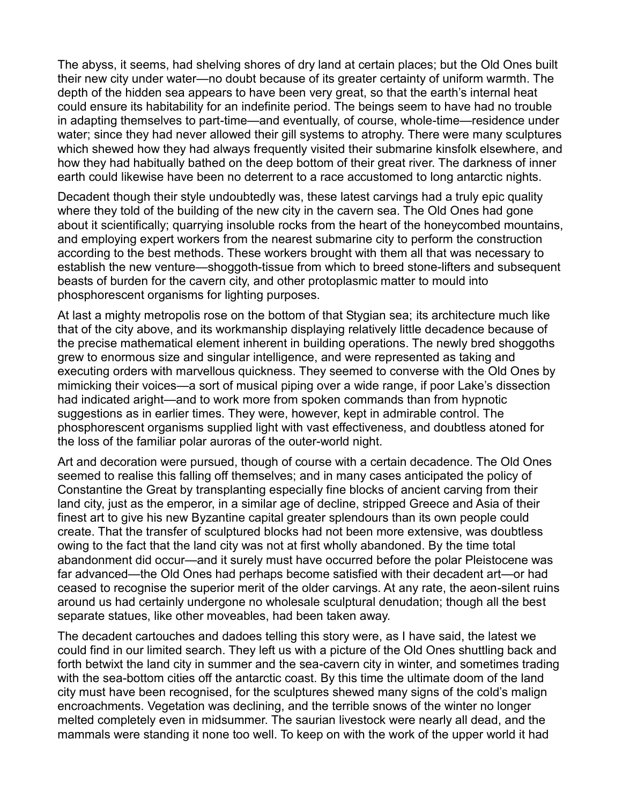The abyss, it seems, had shelving shores of dry land at certain places; but the Old Ones built their new city under water—no doubt because of its greater certainty of uniform warmth. The depth of the hidden sea appears to have been very great, so that the earth's internal heat could ensure its habitability for an indefinite period. The beings seem to have had no trouble in adapting themselves to part-time—and eventually, of course, whole-time—residence under water; since they had never allowed their gill systems to atrophy. There were many sculptures which shewed how they had always frequently visited their submarine kinsfolk elsewhere, and how they had habitually bathed on the deep bottom of their great river. The darkness of inner earth could likewise have been no deterrent to a race accustomed to long antarctic nights.

Decadent though their style undoubtedly was, these latest carvings had a truly epic quality where they told of the building of the new city in the cavern sea. The Old Ones had gone about it scientifically; quarrying insoluble rocks from the heart of the honeycombed mountains, and employing expert workers from the nearest submarine city to perform the construction according to the best methods. These workers brought with them all that was necessary to establish the new venture—shoggoth-tissue from which to breed stone-lifters and subsequent beasts of burden for the cavern city, and other protoplasmic matter to mould into phosphorescent organisms for lighting purposes.

At last a mighty metropolis rose on the bottom of that Stygian sea; its architecture much like that of the city above, and its workmanship displaying relatively little decadence because of the precise mathematical element inherent in building operations. The newly bred shoggoths grew to enormous size and singular intelligence, and were represented as taking and executing orders with marvellous quickness. They seemed to converse with the Old Ones by mimicking their voices—a sort of musical piping over a wide range, if poor Lake's dissection had indicated aright—and to work more from spoken commands than from hypnotic suggestions as in earlier times. They were, however, kept in admirable control. The phosphorescent organisms supplied light with vast effectiveness, and doubtless atoned for the loss of the familiar polar auroras of the outer-world night.

Art and decoration were pursued, though of course with a certain decadence. The Old Ones seemed to realise this falling off themselves; and in many cases anticipated the policy of Constantine the Great by transplanting especially fine blocks of ancient carving from their land city, just as the emperor, in a similar age of decline, stripped Greece and Asia of their finest art to give his new Byzantine capital greater splendours than its own people could create. That the transfer of sculptured blocks had not been more extensive, was doubtless owing to the fact that the land city was not at first wholly abandoned. By the time total abandonment did occur—and it surely must have occurred before the polar Pleistocene was far advanced—the Old Ones had perhaps become satisfied with their decadent art—or had ceased to recognise the superior merit of the older carvings. At any rate, the aeon-silent ruins around us had certainly undergone no wholesale sculptural denudation; though all the best separate statues, like other moveables, had been taken away.

The decadent cartouches and dadoes telling this story were, as I have said, the latest we could find in our limited search. They left us with a picture of the Old Ones shuttling back and forth betwixt the land city in summer and the sea-cavern city in winter, and sometimes trading with the sea-bottom cities off the antarctic coast. By this time the ultimate doom of the land city must have been recognised, for the sculptures shewed many signs of the cold's malign encroachments. Vegetation was declining, and the terrible snows of the winter no longer melted completely even in midsummer. The saurian livestock were nearly all dead, and the mammals were standing it none too well. To keep on with the work of the upper world it had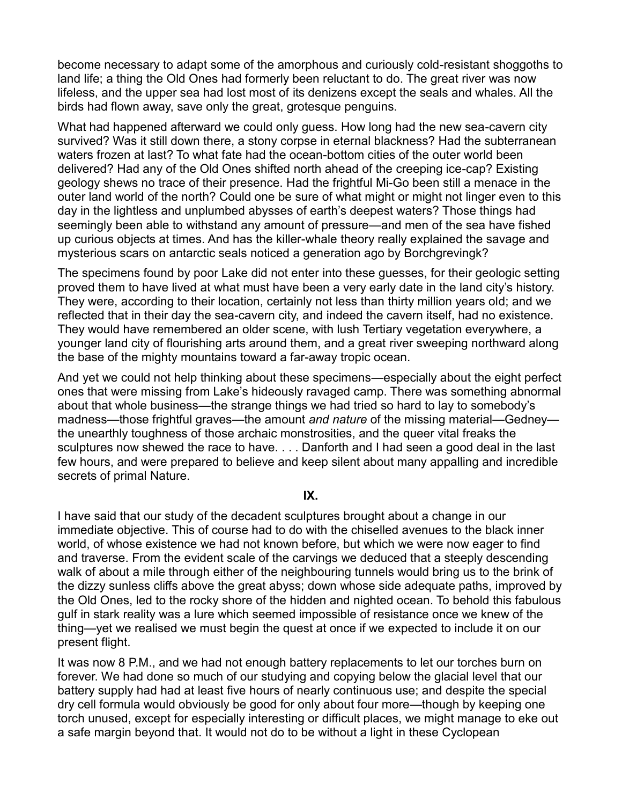become necessary to adapt some of the amorphous and curiously cold-resistant shoggoths to land life; a thing the Old Ones had formerly been reluctant to do. The great river was now lifeless, and the upper sea had lost most of its denizens except the seals and whales. All the birds had flown away, save only the great, grotesque penguins.

What had happened afterward we could only guess. How long had the new sea-cavern city survived? Was it still down there, a stony corpse in eternal blackness? Had the subterranean waters frozen at last? To what fate had the ocean-bottom cities of the outer world been delivered? Had any of the Old Ones shifted north ahead of the creeping ice-cap? Existing geology shews no trace of their presence. Had the frightful Mi-Go been still a menace in the outer land world of the north? Could one be sure of what might or might not linger even to this day in the lightless and unplumbed abysses of earth's deepest waters? Those things had seemingly been able to withstand any amount of pressure—and men of the sea have fished up curious objects at times. And has the killer-whale theory really explained the savage and mysterious scars on antarctic seals noticed a generation ago by Borchgrevingk?

The specimens found by poor Lake did not enter into these guesses, for their geologic setting proved them to have lived at what must have been a very early date in the land city's history. They were, according to their location, certainly not less than thirty million years old; and we reflected that in their day the sea-cavern city, and indeed the cavern itself, had no existence. They would have remembered an older scene, with lush Tertiary vegetation everywhere, a younger land city of flourishing arts around them, and a great river sweeping northward along the base of the mighty mountains toward a far-away tropic ocean.

And yet we could not help thinking about these specimens—especially about the eight perfect ones that were missing from Lake's hideously ravaged camp. There was something abnormal about that whole business—the strange things we had tried so hard to lay to somebody's madness—those frightful graves—the amount *and nature* of the missing material—Gedney the unearthly toughness of those archaic monstrosities, and the queer vital freaks the sculptures now shewed the race to have. . . . Danforth and I had seen a good deal in the last few hours, and were prepared to believe and keep silent about many appalling and incredible secrets of primal Nature.

## **IX.**

I have said that our study of the decadent sculptures brought about a change in our immediate objective. This of course had to do with the chiselled avenues to the black inner world, of whose existence we had not known before, but which we were now eager to find and traverse. From the evident scale of the carvings we deduced that a steeply descending walk of about a mile through either of the neighbouring tunnels would bring us to the brink of the dizzy sunless cliffs above the great abyss; down whose side adequate paths, improved by the Old Ones, led to the rocky shore of the hidden and nighted ocean. To behold this fabulous gulf in stark reality was a lure which seemed impossible of resistance once we knew of the thing—yet we realised we must begin the quest at once if we expected to include it on our present flight.

It was now 8 P.M., and we had not enough battery replacements to let our torches burn on forever. We had done so much of our studying and copying below the glacial level that our battery supply had had at least five hours of nearly continuous use; and despite the special dry cell formula would obviously be good for only about four more—though by keeping one torch unused, except for especially interesting or difficult places, we might manage to eke out a safe margin beyond that. It would not do to be without a light in these Cyclopean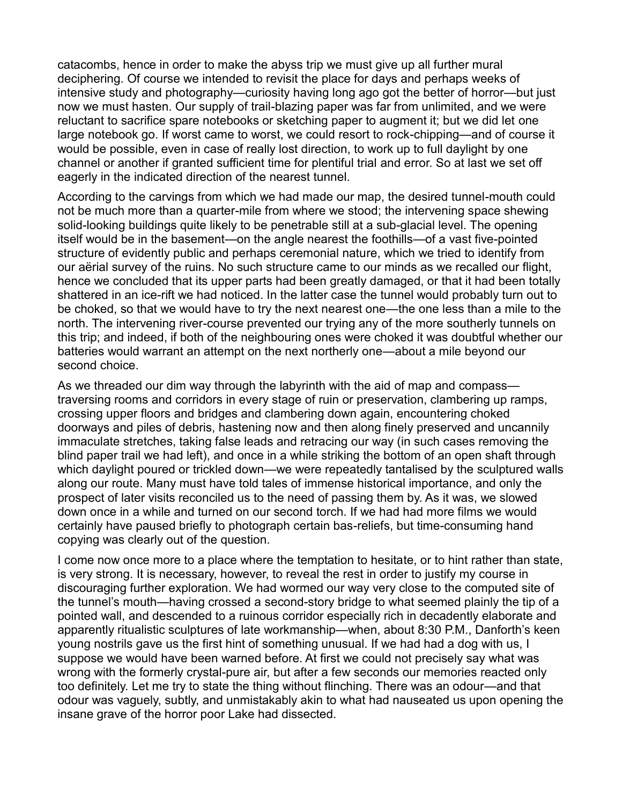catacombs, hence in order to make the abyss trip we must give up all further mural deciphering. Of course we intended to revisit the place for days and perhaps weeks of intensive study and photography—curiosity having long ago got the better of horror—but just now we must hasten. Our supply of trail-blazing paper was far from unlimited, and we were reluctant to sacrifice spare notebooks or sketching paper to augment it; but we did let one large notebook go. If worst came to worst, we could resort to rock-chipping—and of course it would be possible, even in case of really lost direction, to work up to full daylight by one channel or another if granted sufficient time for plentiful trial and error. So at last we set off eagerly in the indicated direction of the nearest tunnel.

According to the carvings from which we had made our map, the desired tunnel-mouth could not be much more than a quarter-mile from where we stood; the intervening space shewing solid-looking buildings quite likely to be penetrable still at a sub-glacial level. The opening itself would be in the basement—on the angle nearest the foothills—of a vast five-pointed structure of evidently public and perhaps ceremonial nature, which we tried to identify from our aërial survey of the ruins. No such structure came to our minds as we recalled our flight, hence we concluded that its upper parts had been greatly damaged, or that it had been totally shattered in an ice-rift we had noticed. In the latter case the tunnel would probably turn out to be choked, so that we would have to try the next nearest one—the one less than a mile to the north. The intervening river-course prevented our trying any of the more southerly tunnels on this trip; and indeed, if both of the neighbouring ones were choked it was doubtful whether our batteries would warrant an attempt on the next northerly one—about a mile beyond our second choice.

As we threaded our dim way through the labyrinth with the aid of map and compass traversing rooms and corridors in every stage of ruin or preservation, clambering up ramps, crossing upper floors and bridges and clambering down again, encountering choked doorways and piles of debris, hastening now and then along finely preserved and uncannily immaculate stretches, taking false leads and retracing our way (in such cases removing the blind paper trail we had left), and once in a while striking the bottom of an open shaft through which daylight poured or trickled down—we were repeatedly tantalised by the sculptured walls along our route. Many must have told tales of immense historical importance, and only the prospect of later visits reconciled us to the need of passing them by. As it was, we slowed down once in a while and turned on our second torch. If we had had more films we would certainly have paused briefly to photograph certain bas-reliefs, but time-consuming hand copying was clearly out of the question.

I come now once more to a place where the temptation to hesitate, or to hint rather than state, is very strong. It is necessary, however, to reveal the rest in order to justify my course in discouraging further exploration. We had wormed our way very close to the computed site of the tunnel's mouth—having crossed a second-story bridge to what seemed plainly the tip of a pointed wall, and descended to a ruinous corridor especially rich in decadently elaborate and apparently ritualistic sculptures of late workmanship—when, about 8:30 P.M., Danforth's keen young nostrils gave us the first hint of something unusual. If we had had a dog with us, I suppose we would have been warned before. At first we could not precisely say what was wrong with the formerly crystal-pure air, but after a few seconds our memories reacted only too definitely. Let me try to state the thing without flinching. There was an odour—and that odour was vaguely, subtly, and unmistakably akin to what had nauseated us upon opening the insane grave of the horror poor Lake had dissected.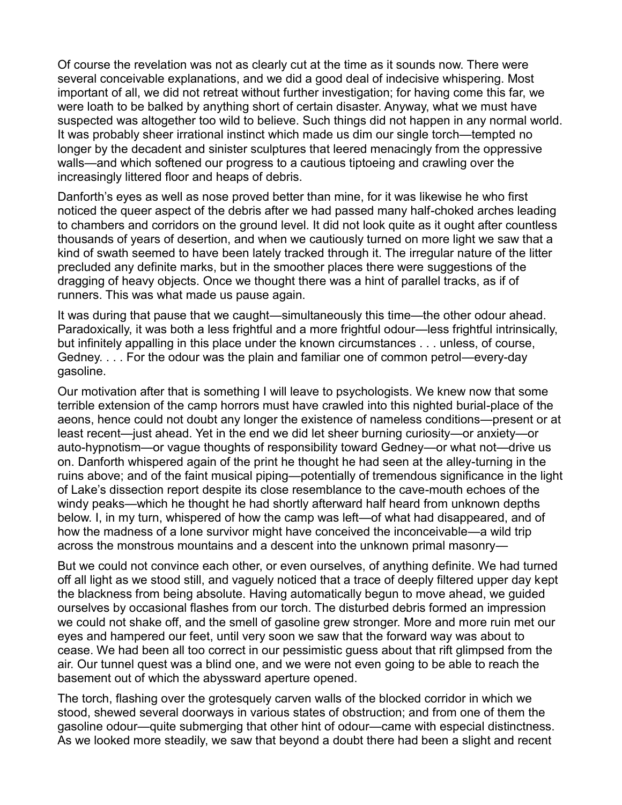Of course the revelation was not as clearly cut at the time as it sounds now. There were several conceivable explanations, and we did a good deal of indecisive whispering. Most important of all, we did not retreat without further investigation; for having come this far, we were loath to be balked by anything short of certain disaster. Anyway, what we must have suspected was altogether too wild to believe. Such things did not happen in any normal world. It was probably sheer irrational instinct which made us dim our single torch—tempted no longer by the decadent and sinister sculptures that leered menacingly from the oppressive walls—and which softened our progress to a cautious tiptoeing and crawling over the increasingly littered floor and heaps of debris.

Danforth's eyes as well as nose proved better than mine, for it was likewise he who first noticed the queer aspect of the debris after we had passed many half-choked arches leading to chambers and corridors on the ground level. It did not look quite as it ought after countless thousands of years of desertion, and when we cautiously turned on more light we saw that a kind of swath seemed to have been lately tracked through it. The irregular nature of the litter precluded any definite marks, but in the smoother places there were suggestions of the dragging of heavy objects. Once we thought there was a hint of parallel tracks, as if of runners. This was what made us pause again.

It was during that pause that we caught—simultaneously this time—the other odour ahead. Paradoxically, it was both a less frightful and a more frightful odour—less frightful intrinsically, but infinitely appalling in this place under the known circumstances . . . unless, of course, Gedney.  $\ldots$  For the odour was the plain and familiar one of common petrol—every-day gasoline.

Our motivation after that is something I will leave to psychologists. We knew now that some terrible extension of the camp horrors must have crawled into this nighted burial-place of the aeons, hence could not doubt any longer the existence of nameless conditions—present or at least recent—just ahead. Yet in the end we did let sheer burning curiosity—or anxiety—or auto-hypnotism—or vague thoughts of responsibility toward Gedney—or what not—drive us on. Danforth whispered again of the print he thought he had seen at the alley-turning in the ruins above; and of the faint musical piping—potentially of tremendous significance in the light of Lake's dissection report despite its close resemblance to the cave-mouth echoes of the windy peaks—which he thought he had shortly afterward half heard from unknown depths below. I, in my turn, whispered of how the camp was left—of what had disappeared, and of how the madness of a lone survivor might have conceived the inconceivable—a wild trip across the monstrous mountains and a descent into the unknown primal masonry—

But we could not convince each other, or even ourselves, of anything definite. We had turned off all light as we stood still, and vaguely noticed that a trace of deeply filtered upper day kept the blackness from being absolute. Having automatically begun to move ahead, we guided ourselves by occasional flashes from our torch. The disturbed debris formed an impression we could not shake off, and the smell of gasoline grew stronger. More and more ruin met our eyes and hampered our feet, until very soon we saw that the forward way was about to cease. We had been all too correct in our pessimistic guess about that rift glimpsed from the air. Our tunnel quest was a blind one, and we were not even going to be able to reach the basement out of which the abyssward aperture opened.

The torch, flashing over the grotesquely carven walls of the blocked corridor in which we stood, shewed several doorways in various states of obstruction; and from one of them the gasoline odour—quite submerging that other hint of odour—came with especial distinctness. As we looked more steadily, we saw that beyond a doubt there had been a slight and recent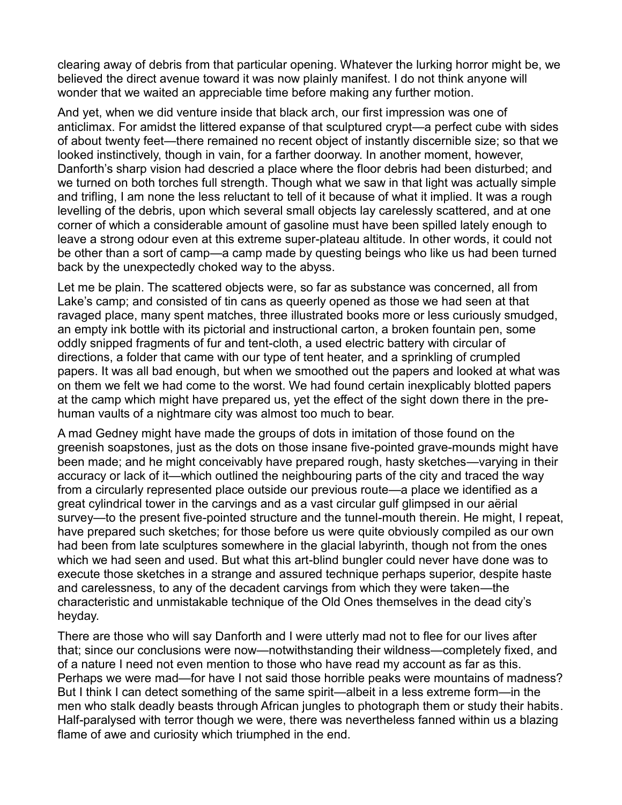clearing away of debris from that particular opening. Whatever the lurking horror might be, we believed the direct avenue toward it was now plainly manifest. I do not think anyone will wonder that we waited an appreciable time before making any further motion.

And yet, when we did venture inside that black arch, our first impression was one of anticlimax. For amidst the littered expanse of that sculptured crypt—a perfect cube with sides of about twenty feet—there remained no recent object of instantly discernible size; so that we looked instinctively, though in vain, for a farther doorway. In another moment, however, Danforth's sharp vision had descried a place where the floor debris had been disturbed; and we turned on both torches full strength. Though what we saw in that light was actually simple and trifling, I am none the less reluctant to tell of it because of what it implied. It was a rough levelling of the debris, upon which several small objects lay carelessly scattered, and at one corner of which a considerable amount of gasoline must have been spilled lately enough to leave a strong odour even at this extreme super-plateau altitude. In other words, it could not be other than a sort of camp—a camp made by questing beings who like us had been turned back by the unexpectedly choked way to the abyss.

Let me be plain. The scattered objects were, so far as substance was concerned, all from Lake's camp; and consisted of tin cans as queerly opened as those we had seen at that ravaged place, many spent matches, three illustrated books more or less curiously smudged, an empty ink bottle with its pictorial and instructional carton, a broken fountain pen, some oddly snipped fragments of fur and tent-cloth, a used electric battery with circular of directions, a folder that came with our type of tent heater, and a sprinkling of crumpled papers. It was all bad enough, but when we smoothed out the papers and looked at what was on them we felt we had come to the worst. We had found certain inexplicably blotted papers at the camp which might have prepared us, yet the effect of the sight down there in the prehuman vaults of a nightmare city was almost too much to bear.

A mad Gedney might have made the groups of dots in imitation of those found on the greenish soapstones, just as the dots on those insane five-pointed grave-mounds might have been made; and he might conceivably have prepared rough, hasty sketches—varying in their accuracy or lack of it—which outlined the neighbouring parts of the city and traced the way from a circularly represented place outside our previous route—a place we identified as a great cylindrical tower in the carvings and as a vast circular gulf glimpsed in our aërial survey—to the present five-pointed structure and the tunnel-mouth therein. He might, I repeat, have prepared such sketches; for those before us were quite obviously compiled as our own had been from late sculptures somewhere in the glacial labyrinth, though not from the ones which we had seen and used. But what this art-blind bungler could never have done was to execute those sketches in a strange and assured technique perhaps superior, despite haste and carelessness, to any of the decadent carvings from which they were taken—the characteristic and unmistakable technique of the Old Ones themselves in the dead city's heyday.

There are those who will say Danforth and I were utterly mad not to flee for our lives after that; since our conclusions were now—notwithstanding their wildness—completely fixed, and of a nature I need not even mention to those who have read my account as far as this. Perhaps we were mad—for have I not said those horrible peaks were mountains of madness? But I think I can detect something of the same spirit—albeit in a less extreme form—in the men who stalk deadly beasts through African jungles to photograph them or study their habits. Half-paralysed with terror though we were, there was nevertheless fanned within us a blazing flame of awe and curiosity which triumphed in the end.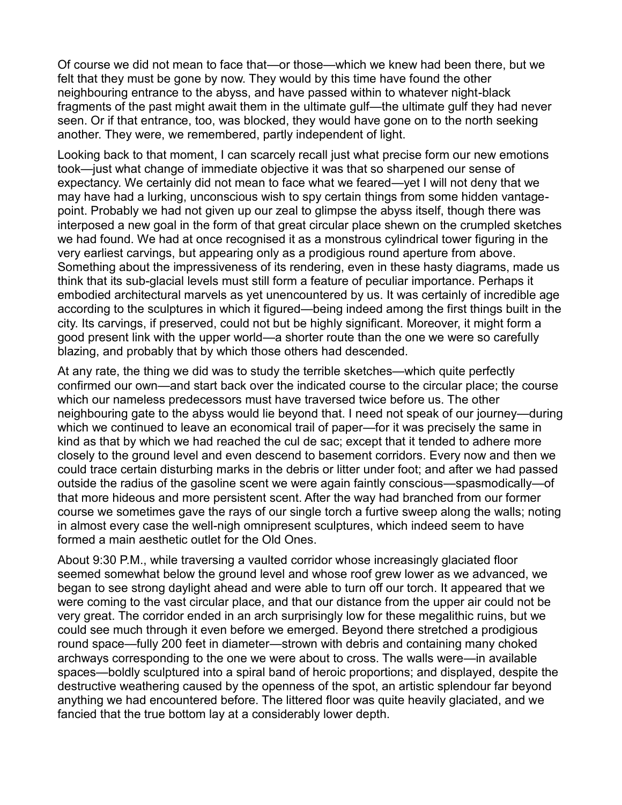Of course we did not mean to face that—or those—which we knew had been there, but we felt that they must be gone by now. They would by this time have found the other neighbouring entrance to the abyss, and have passed within to whatever night-black fragments of the past might await them in the ultimate gulf—the ultimate gulf they had never seen. Or if that entrance, too, was blocked, they would have gone on to the north seeking another. They were, we remembered, partly independent of light.

Looking back to that moment, I can scarcely recall just what precise form our new emotions took—just what change of immediate objective it was that so sharpened our sense of expectancy. We certainly did not mean to face what we feared—yet I will not deny that we may have had a lurking, unconscious wish to spy certain things from some hidden vantagepoint. Probably we had not given up our zeal to glimpse the abyss itself, though there was interposed a new goal in the form of that great circular place shewn on the crumpled sketches we had found. We had at once recognised it as a monstrous cylindrical tower figuring in the very earliest carvings, but appearing only as a prodigious round aperture from above. Something about the impressiveness of its rendering, even in these hasty diagrams, made us think that its sub-glacial levels must still form a feature of peculiar importance. Perhaps it embodied architectural marvels as yet unencountered by us. It was certainly of incredible age according to the sculptures in which it figured—being indeed among the first things built in the city. Its carvings, if preserved, could not but be highly significant. Moreover, it might form a good present link with the upper world—a shorter route than the one we were so carefully blazing, and probably that by which those others had descended.

At any rate, the thing we did was to study the terrible sketches—which quite perfectly confirmed our own—and start back over the indicated course to the circular place; the course which our nameless predecessors must have traversed twice before us. The other neighbouring gate to the abyss would lie beyond that. I need not speak of our journey—during which we continued to leave an economical trail of paper—for it was precisely the same in kind as that by which we had reached the cul de sac; except that it tended to adhere more closely to the ground level and even descend to basement corridors. Every now and then we could trace certain disturbing marks in the debris or litter under foot; and after we had passed outside the radius of the gasoline scent we were again faintly conscious—spasmodically—of that more hideous and more persistent scent. After the way had branched from our former course we sometimes gave the rays of our single torch a furtive sweep along the walls; noting in almost every case the well-nigh omnipresent sculptures, which indeed seem to have formed a main aesthetic outlet for the Old Ones.

About 9:30 P.M., while traversing a vaulted corridor whose increasingly glaciated floor seemed somewhat below the ground level and whose roof grew lower as we advanced, we began to see strong daylight ahead and were able to turn off our torch. It appeared that we were coming to the vast circular place, and that our distance from the upper air could not be very great. The corridor ended in an arch surprisingly low for these megalithic ruins, but we could see much through it even before we emerged. Beyond there stretched a prodigious round space—fully 200 feet in diameter—strown with debris and containing many choked archways corresponding to the one we were about to cross. The walls were—in available spaces—boldly sculptured into a spiral band of heroic proportions; and displayed, despite the destructive weathering caused by the openness of the spot, an artistic splendour far beyond anything we had encountered before. The littered floor was quite heavily glaciated, and we fancied that the true bottom lay at a considerably lower depth.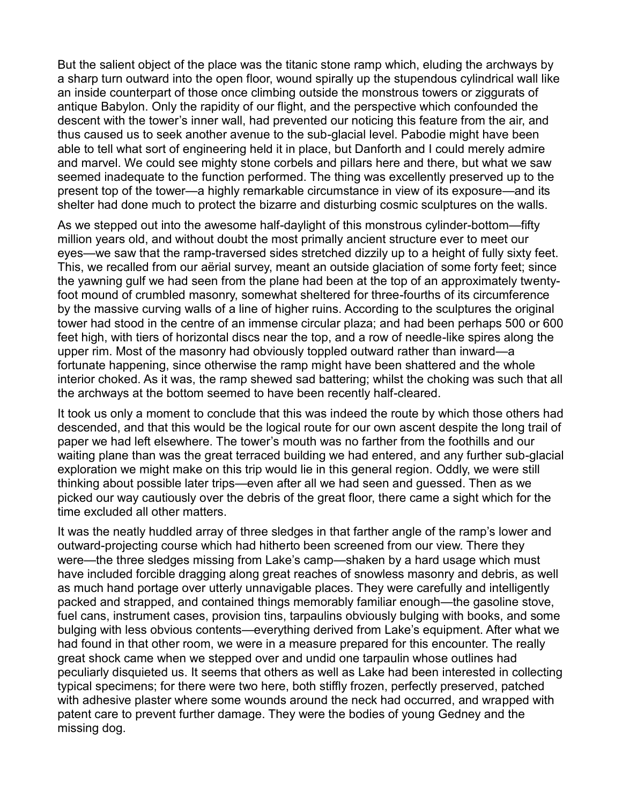But the salient object of the place was the titanic stone ramp which, eluding the archways by a sharp turn outward into the open floor, wound spirally up the stupendous cylindrical wall like an inside counterpart of those once climbing outside the monstrous towers or ziggurats of antique Babylon. Only the rapidity of our flight, and the perspective which confounded the descent with the tower's inner wall, had prevented our noticing this feature from the air, and thus caused us to seek another avenue to the sub-glacial level. Pabodie might have been able to tell what sort of engineering held it in place, but Danforth and I could merely admire and marvel. We could see mighty stone corbels and pillars here and there, but what we saw seemed inadequate to the function performed. The thing was excellently preserved up to the present top of the tower—a highly remarkable circumstance in view of its exposure—and its shelter had done much to protect the bizarre and disturbing cosmic sculptures on the walls.

As we stepped out into the awesome half-daylight of this monstrous cylinder-bottom—fifty million years old, and without doubt the most primally ancient structure ever to meet our eyes—we saw that the ramp-traversed sides stretched dizzily up to a height of fully sixty feet. This, we recalled from our aërial survey, meant an outside glaciation of some forty feet; since the yawning gulf we had seen from the plane had been at the top of an approximately twentyfoot mound of crumbled masonry, somewhat sheltered for three-fourths of its circumference by the massive curving walls of a line of higher ruins. According to the sculptures the original tower had stood in the centre of an immense circular plaza; and had been perhaps 500 or 600 feet high, with tiers of horizontal discs near the top, and a row of needle-like spires along the upper rim. Most of the masonry had obviously toppled outward rather than inward—a fortunate happening, since otherwise the ramp might have been shattered and the whole interior choked. As it was, the ramp shewed sad battering; whilst the choking was such that all the archways at the bottom seemed to have been recently half-cleared.

It took us only a moment to conclude that this was indeed the route by which those others had descended, and that this would be the logical route for our own ascent despite the long trail of paper we had left elsewhere. The tower's mouth was no farther from the foothills and our waiting plane than was the great terraced building we had entered, and any further sub-glacial exploration we might make on this trip would lie in this general region. Oddly, we were still thinking about possible later trips—even after all we had seen and guessed. Then as we picked our way cautiously over the debris of the great floor, there came a sight which for the time excluded all other matters.

It was the neatly huddled array of three sledges in that farther angle of the ramp's lower and outward-projecting course which had hitherto been screened from our view. There they were—the three sledges missing from Lake's camp—shaken by a hard usage which must have included forcible dragging along great reaches of snowless masonry and debris, as well as much hand portage over utterly unnavigable places. They were carefully and intelligently packed and strapped, and contained things memorably familiar enough—the gasoline stove, fuel cans, instrument cases, provision tins, tarpaulins obviously bulging with books, and some bulging with less obvious contents—everything derived from Lake's equipment. After what we had found in that other room, we were in a measure prepared for this encounter. The really great shock came when we stepped over and undid one tarpaulin whose outlines had peculiarly disquieted us. It seems that others as well as Lake had been interested in collecting typical specimens; for there were two here, both stiffly frozen, perfectly preserved, patched with adhesive plaster where some wounds around the neck had occurred, and wrapped with patent care to prevent further damage. They were the bodies of young Gedney and the missing dog.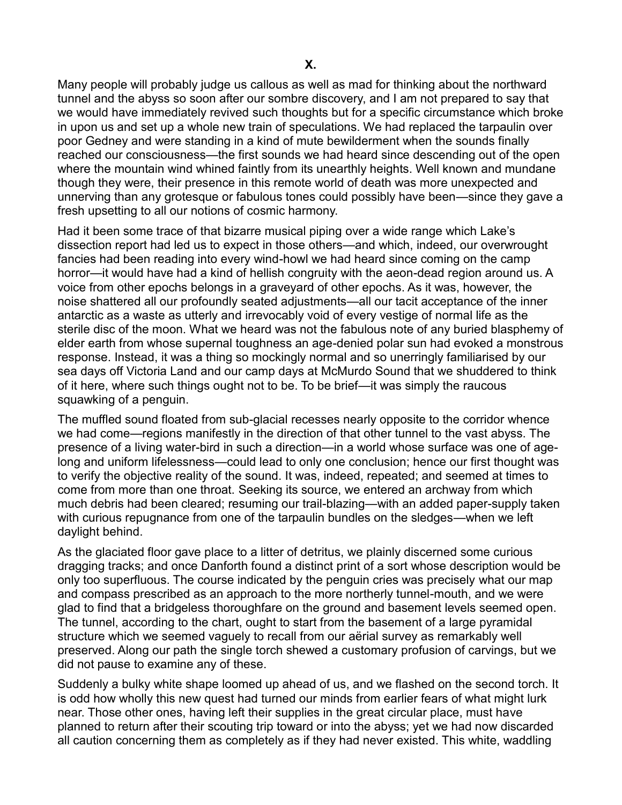Many people will probably judge us callous as well as mad for thinking about the northward tunnel and the abyss so soon after our sombre discovery, and I am not prepared to say that we would have immediately revived such thoughts but for a specific circumstance which broke in upon us and set up a whole new train of speculations. We had replaced the tarpaulin over poor Gedney and were standing in a kind of mute bewilderment when the sounds finally reached our consciousness—the first sounds we had heard since descending out of the open where the mountain wind whined faintly from its unearthly heights. Well known and mundane though they were, their presence in this remote world of death was more unexpected and unnerving than any grotesque or fabulous tones could possibly have been—since they gave a fresh upsetting to all our notions of cosmic harmony.

Had it been some trace of that bizarre musical piping over a wide range which Lake's dissection report had led us to expect in those others—and which, indeed, our overwrought fancies had been reading into every wind-howl we had heard since coming on the camp horror—it would have had a kind of hellish congruity with the aeon-dead region around us. A voice from other epochs belongs in a graveyard of other epochs. As it was, however, the noise shattered all our profoundly seated adjustments—all our tacit acceptance of the inner antarctic as a waste as utterly and irrevocably void of every vestige of normal life as the sterile disc of the moon. What we heard was not the fabulous note of any buried blasphemy of elder earth from whose supernal toughness an age-denied polar sun had evoked a monstrous response. Instead, it was a thing so mockingly normal and so unerringly familiarised by our sea days off Victoria Land and our camp days at McMurdo Sound that we shuddered to think of it here, where such things ought not to be. To be brief—it was simply the raucous squawking of a penguin.

The muffled sound floated from sub-glacial recesses nearly opposite to the corridor whence we had come—regions manifestly in the direction of that other tunnel to the vast abyss. The presence of a living water-bird in such a direction—in a world whose surface was one of agelong and uniform lifelessness-could lead to only one conclusion; hence our first thought was to verify the objective reality of the sound. It was, indeed, repeated; and seemed at times to come from more than one throat. Seeking its source, we entered an archway from which much debris had been cleared; resuming our trail-blazing—with an added paper-supply taken with curious repugnance from one of the tarpaulin bundles on the sledges—when we left daylight behind.

As the glaciated floor gave place to a litter of detritus, we plainly discerned some curious dragging tracks; and once Danforth found a distinct print of a sort whose description would be only too superfluous. The course indicated by the penguin cries was precisely what our map and compass prescribed as an approach to the more northerly tunnel-mouth, and we were glad to find that a bridgeless thoroughfare on the ground and basement levels seemed open. The tunnel, according to the chart, ought to start from the basement of a large pyramidal structure which we seemed vaguely to recall from our aërial survey as remarkably well preserved. Along our path the single torch shewed a customary profusion of carvings, but we did not pause to examine any of these.

Suddenly a bulky white shape loomed up ahead of us, and we flashed on the second torch. It is odd how wholly this new quest had turned our minds from earlier fears of what might lurk near. Those other ones, having left their supplies in the great circular place, must have planned to return after their scouting trip toward or into the abyss; yet we had now discarded all caution concerning them as completely as if they had never existed. This white, waddling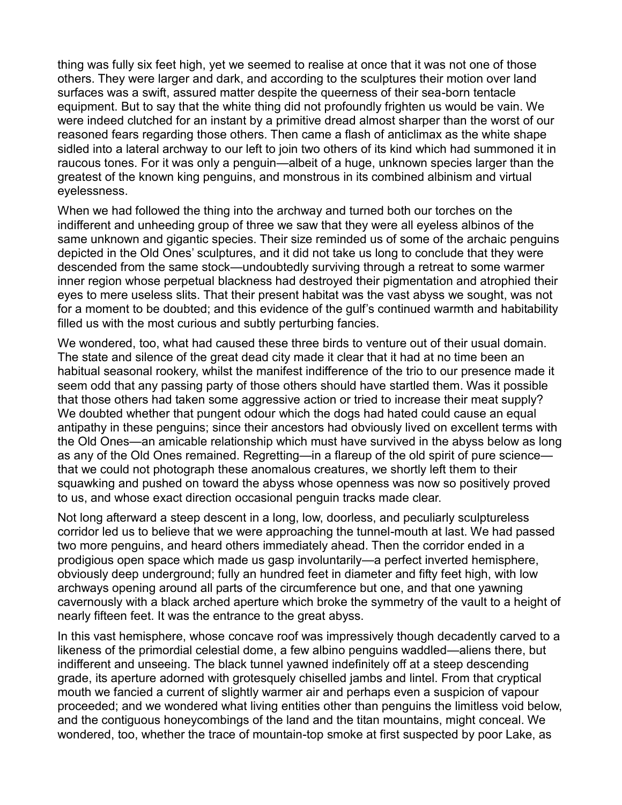thing was fully six feet high, yet we seemed to realise at once that it was not one of those others. They were larger and dark, and according to the sculptures their motion over land surfaces was a swift, assured matter despite the queerness of their sea-born tentacle equipment. But to say that the white thing did not profoundly frighten us would be vain. We were indeed clutched for an instant by a primitive dread almost sharper than the worst of our reasoned fears regarding those others. Then came a flash of anticlimax as the white shape sidled into a lateral archway to our left to join two others of its kind which had summoned it in raucous tones. For it was only a penguin—albeit of a huge, unknown species larger than the greatest of the known king penguins, and monstrous in its combined albinism and virtual eyelessness.

When we had followed the thing into the archway and turned both our torches on the indifferent and unheeding group of three we saw that they were all eyeless albinos of the same unknown and gigantic species. Their size reminded us of some of the archaic penguins depicted in the Old Ones' sculptures, and it did not take us long to conclude that they were descended from the same stock—undoubtedly surviving through a retreat to some warmer inner region whose perpetual blackness had destroyed their pigmentation and atrophied their eyes to mere useless slits. That their present habitat was the vast abyss we sought, was not for a moment to be doubted; and this evidence of the gulf's continued warmth and habitability filled us with the most curious and subtly perturbing fancies.

We wondered, too, what had caused these three birds to venture out of their usual domain. The state and silence of the great dead city made it clear that it had at no time been an habitual seasonal rookery, whilst the manifest indifference of the trio to our presence made it seem odd that any passing party of those others should have startled them. Was it possible that those others had taken some aggressive action or tried to increase their meat supply? We doubted whether that pungent odour which the dogs had hated could cause an equal antipathy in these penguins; since their ancestors had obviously lived on excellent terms with the Old Ones—an amicable relationship which must have survived in the abyss below as long as any of the Old Ones remained. Regretting—in a flareup of the old spirit of pure science that we could not photograph these anomalous creatures, we shortly left them to their squawking and pushed on toward the abyss whose openness was now so positively proved to us, and whose exact direction occasional penguin tracks made clear.

Not long afterward a steep descent in a long, low, doorless, and peculiarly sculptureless corridor led us to believe that we were approaching the tunnel-mouth at last. We had passed two more penguins, and heard others immediately ahead. Then the corridor ended in a prodigious open space which made us gasp involuntarily—a perfect inverted hemisphere, obviously deep underground; fully an hundred feet in diameter and fifty feet high, with low archways opening around all parts of the circumference but one, and that one yawning cavernously with a black arched aperture which broke the symmetry of the vault to a height of nearly fifteen feet. It was the entrance to the great abyss.

In this vast hemisphere, whose concave roof was impressively though decadently carved to a likeness of the primordial celestial dome, a few albino penguins waddled—aliens there, but indifferent and unseeing. The black tunnel yawned indefinitely off at a steep descending grade, its aperture adorned with grotesquely chiselled jambs and lintel. From that cryptical mouth we fancied a current of slightly warmer air and perhaps even a suspicion of vapour proceeded; and we wondered what living entities other than penguins the limitless void below, and the contiguous honeycombings of the land and the titan mountains, might conceal. We wondered, too, whether the trace of mountain-top smoke at first suspected by poor Lake, as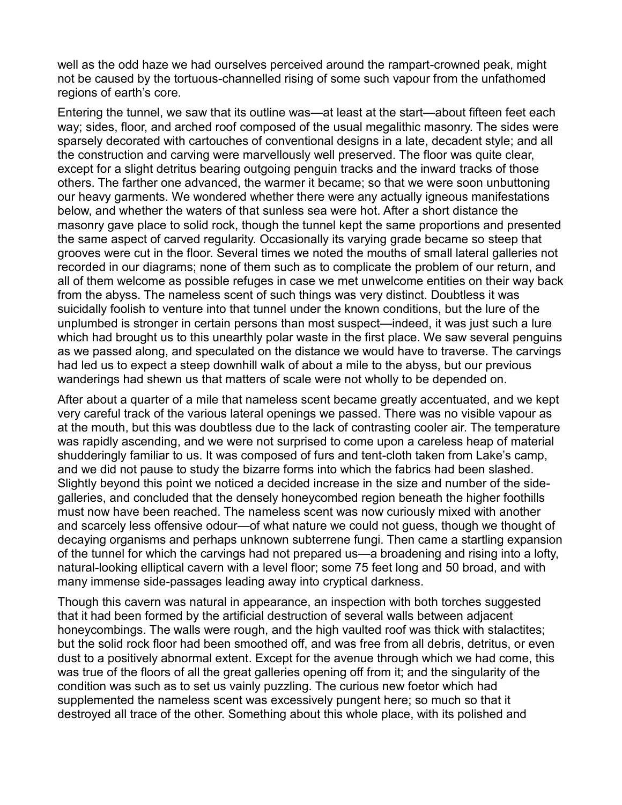well as the odd haze we had ourselves perceived around the rampart-crowned peak, might not be caused by the tortuous-channelled rising of some such vapour from the unfathomed regions of earth's core.

Entering the tunnel, we saw that its outline was—at least at the start—about fifteen feet each way; sides, floor, and arched roof composed of the usual megalithic masonry. The sides were sparsely decorated with cartouches of conventional designs in a late, decadent style; and all the construction and carving were marvellously well preserved. The floor was quite clear, except for a slight detritus bearing outgoing penguin tracks and the inward tracks of those others. The farther one advanced, the warmer it became; so that we were soon unbuttoning our heavy garments. We wondered whether there were any actually igneous manifestations below, and whether the waters of that sunless sea were hot. After a short distance the masonry gave place to solid rock, though the tunnel kept the same proportions and presented the same aspect of carved regularity. Occasionally its varying grade became so steep that grooves were cut in the floor. Several times we noted the mouths of small lateral galleries not recorded in our diagrams; none of them such as to complicate the problem of our return, and all of them welcome as possible refuges in case we met unwelcome entities on their way back from the abyss. The nameless scent of such things was very distinct. Doubtless it was suicidally foolish to venture into that tunnel under the known conditions, but the lure of the unplumbed is stronger in certain persons than most suspect—indeed, it was just such a lure which had brought us to this unearthly polar waste in the first place. We saw several penguins as we passed along, and speculated on the distance we would have to traverse. The carvings had led us to expect a steep downhill walk of about a mile to the abyss, but our previous wanderings had shewn us that matters of scale were not wholly to be depended on.

After about a quarter of a mile that nameless scent became greatly accentuated, and we kept very careful track of the various lateral openings we passed. There was no visible vapour as at the mouth, but this was doubtless due to the lack of contrasting cooler air. The temperature was rapidly ascending, and we were not surprised to come upon a careless heap of material shudderingly familiar to us. It was composed of furs and tent-cloth taken from Lake's camp, and we did not pause to study the bizarre forms into which the fabrics had been slashed. Slightly beyond this point we noticed a decided increase in the size and number of the sidegalleries, and concluded that the densely honeycombed region beneath the higher foothills must now have been reached. The nameless scent was now curiously mixed with another and scarcely less offensive odour—of what nature we could not guess, though we thought of decaying organisms and perhaps unknown subterrene fungi. Then came a startling expansion of the tunnel for which the carvings had not prepared us—a broadening and rising into a lofty, natural-looking elliptical cavern with a level floor; some 75 feet long and 50 broad, and with many immense side-passages leading away into cryptical darkness.

Though this cavern was natural in appearance, an inspection with both torches suggested that it had been formed by the artificial destruction of several walls between adjacent honeycombings. The walls were rough, and the high vaulted roof was thick with stalactites; but the solid rock floor had been smoothed off, and was free from all debris, detritus, or even dust to a positively abnormal extent. Except for the avenue through which we had come, this was true of the floors of all the great galleries opening off from it; and the singularity of the condition was such as to set us vainly puzzling. The curious new foetor which had supplemented the nameless scent was excessively pungent here; so much so that it destroyed all trace of the other. Something about this whole place, with its polished and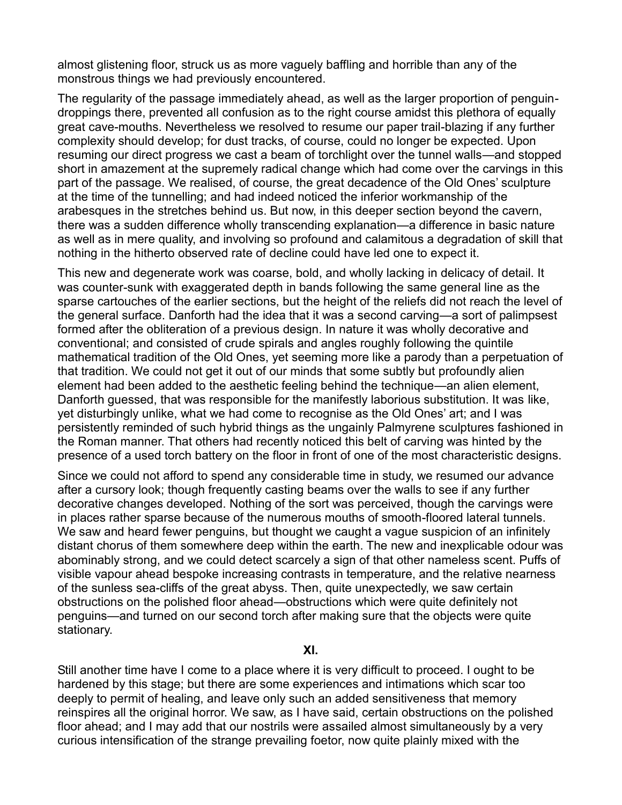almost glistening floor, struck us as more vaguely baffling and horrible than any of the monstrous things we had previously encountered.

The regularity of the passage immediately ahead, as well as the larger proportion of penguindroppings there, prevented all confusion as to the right course amidst this plethora of equally great cave-mouths. Nevertheless we resolved to resume our paper trail-blazing if any further complexity should develop; for dust tracks, of course, could no longer be expected. Upon resuming our direct progress we cast a beam of torchlight over the tunnel walls—and stopped short in amazement at the supremely radical change which had come over the carvings in this part of the passage. We realised, of course, the great decadence of the Old Ones' sculpture at the time of the tunnelling; and had indeed noticed the inferior workmanship of the arabesques in the stretches behind us. But now, in this deeper section beyond the cavern, there was a sudden difference wholly transcending explanation—a difference in basic nature as well as in mere quality, and involving so profound and calamitous a degradation of skill that nothing in the hitherto observed rate of decline could have led one to expect it.

This new and degenerate work was coarse, bold, and wholly lacking in delicacy of detail. It was counter-sunk with exaggerated depth in bands following the same general line as the sparse cartouches of the earlier sections, but the height of the reliefs did not reach the level of the general surface. Danforth had the idea that it was a second carving—a sort of palimpsest formed after the obliteration of a previous design. In nature it was wholly decorative and conventional; and consisted of crude spirals and angles roughly following the quintile mathematical tradition of the Old Ones, yet seeming more like a parody than a perpetuation of that tradition. We could not get it out of our minds that some subtly but profoundly alien element had been added to the aesthetic feeling behind the technique—an alien element, Danforth guessed, that was responsible for the manifestly laborious substitution. It was like, yet disturbingly unlike, what we had come to recognise as the Old Ones' art; and I was persistently reminded of such hybrid things as the ungainly Palmyrene sculptures fashioned in the Roman manner. That others had recently noticed this belt of carving was hinted by the presence of a used torch battery on the floor in front of one of the most characteristic designs.

Since we could not afford to spend any considerable time in study, we resumed our advance after a cursory look; though frequently casting beams over the walls to see if any further decorative changes developed. Nothing of the sort was perceived, though the carvings were in places rather sparse because of the numerous mouths of smooth-floored lateral tunnels. We saw and heard fewer penguins, but thought we caught a vague suspicion of an infinitely distant chorus of them somewhere deep within the earth. The new and inexplicable odour was abominably strong, and we could detect scarcely a sign of that other nameless scent. Puffs of visible vapour ahead bespoke increasing contrasts in temperature, and the relative nearness of the sunless sea-cliffs of the great abyss. Then, quite unexpectedly, we saw certain obstructions on the polished floor ahead—obstructions which were quite definitely not penguins—and turned on our second torch after making sure that the objects were quite stationary.

**XI.**

Still another time have I come to a place where it is very difficult to proceed. I ought to be hardened by this stage; but there are some experiences and intimations which scar too deeply to permit of healing, and leave only such an added sensitiveness that memory reinspires all the original horror. We saw, as I have said, certain obstructions on the polished floor ahead; and I may add that our nostrils were assailed almost simultaneously by a very curious intensification of the strange prevailing foetor, now quite plainly mixed with the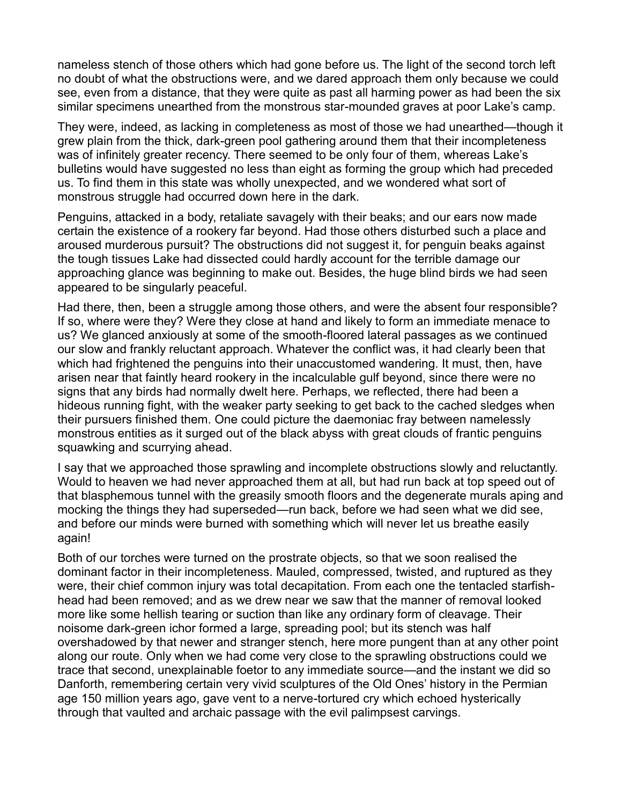nameless stench of those others which had gone before us. The light of the second torch left no doubt of what the obstructions were, and we dared approach them only because we could see, even from a distance, that they were quite as past all harming power as had been the six similar specimens unearthed from the monstrous star-mounded graves at poor Lake's camp.

They were, indeed, as lacking in completeness as most of those we had unearthed—though it grew plain from the thick, dark-green pool gathering around them that their incompleteness was of infinitely greater recency. There seemed to be only four of them, whereas Lake's bulletins would have suggested no less than eight as forming the group which had preceded us. To find them in this state was wholly unexpected, and we wondered what sort of monstrous struggle had occurred down here in the dark.

Penguins, attacked in a body, retaliate savagely with their beaks; and our ears now made certain the existence of a rookery far beyond. Had those others disturbed such a place and aroused murderous pursuit? The obstructions did not suggest it, for penguin beaks against the tough tissues Lake had dissected could hardly account for the terrible damage our approaching glance was beginning to make out. Besides, the huge blind birds we had seen appeared to be singularly peaceful.

Had there, then, been a struggle among those others, and were the absent four responsible? If so, where were they? Were they close at hand and likely to form an immediate menace to us? We glanced anxiously at some of the smooth-floored lateral passages as we continued our slow and frankly reluctant approach. Whatever the conflict was, it had clearly been that which had frightened the penguins into their unaccustomed wandering. It must, then, have arisen near that faintly heard rookery in the incalculable gulf beyond, since there were no signs that any birds had normally dwelt here. Perhaps, we reflected, there had been a hideous running fight, with the weaker party seeking to get back to the cached sledges when their pursuers finished them. One could picture the daemoniac fray between namelessly monstrous entities as it surged out of the black abyss with great clouds of frantic penguins squawking and scurrying ahead.

I say that we approached those sprawling and incomplete obstructions slowly and reluctantly. Would to heaven we had never approached them at all, but had run back at top speed out of that blasphemous tunnel with the greasily smooth floors and the degenerate murals aping and mocking the things they had superseded—run back, before we had seen what we did see, and before our minds were burned with something which will never let us breathe easily again!

Both of our torches were turned on the prostrate objects, so that we soon realised the dominant factor in their incompleteness. Mauled, compressed, twisted, and ruptured as they were, their chief common injury was total decapitation. From each one the tentacled starfishhead had been removed; and as we drew near we saw that the manner of removal looked more like some hellish tearing or suction than like any ordinary form of cleavage. Their noisome dark-green ichor formed a large, spreading pool; but its stench was half overshadowed by that newer and stranger stench, here more pungent than at any other point along our route. Only when we had come very close to the sprawling obstructions could we trace that second, unexplainable foetor to any immediate source—and the instant we did so Danforth, remembering certain very vivid sculptures of the Old Ones' history in the Permian age 150 million years ago, gave vent to a nerve-tortured cry which echoed hysterically through that vaulted and archaic passage with the evil palimpsest carvings.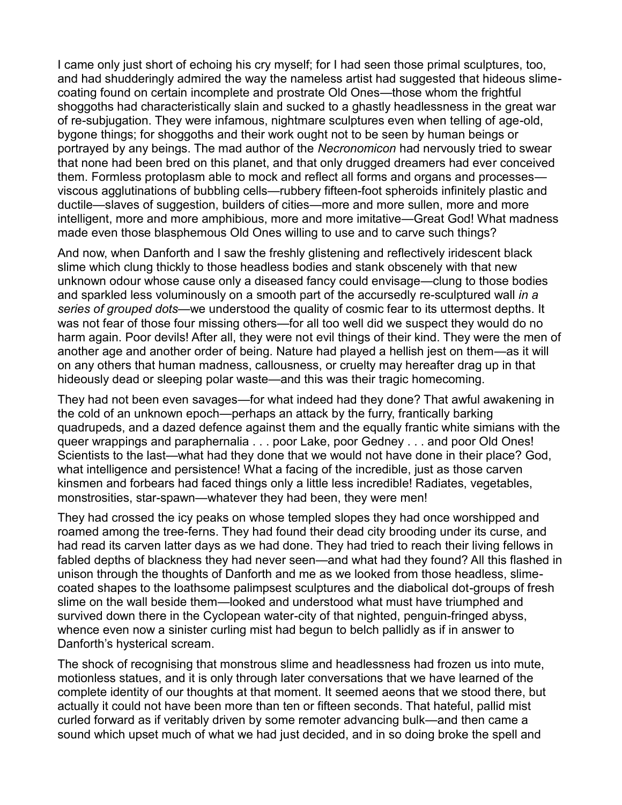I came only just short of echoing his cry myself; for I had seen those primal sculptures, too, and had shudderingly admired the way the nameless artist had suggested that hideous slimecoating found on certain incomplete and prostrate Old Ones—those whom the frightful shoggoths had characteristically slain and sucked to a ghastly headlessness in the great war of re-subjugation. They were infamous, nightmare sculptures even when telling of age-old, bygone things; for shoggoths and their work ought not to be seen by human beings or portrayed by any beings. The mad author of the *Necronomicon* had nervously tried to swear that none had been bred on this planet, and that only drugged dreamers had ever conceived them. Formless protoplasm able to mock and reflect all forms and organs and processes viscous agglutinations of bubbling cells—rubbery fifteen-foot spheroids infinitely plastic and ductile—slaves of suggestion, builders of cities—more and more sullen, more and more intelligent, more and more amphibious, more and more imitative—Great God! What madness made even those blasphemous Old Ones willing to use and to carve such things?

And now, when Danforth and I saw the freshly glistening and reflectively iridescent black slime which clung thickly to those headless bodies and stank obscenely with that new unknown odour whose cause only a diseased fancy could envisage—clung to those bodies and sparkled less voluminously on a smooth part of the accursedly re-sculptured wall *in a*  series of grouped dots—we understood the quality of cosmic fear to its uttermost depths. It was not fear of those four missing others—for all too well did we suspect they would do no harm again. Poor devils! After all, they were not evil things of their kind. They were the men of another age and another order of being. Nature had played a hellish jest on them—as it will on any others that human madness, callousness, or cruelty may hereafter drag up in that hideously dead or sleeping polar waste—and this was their tragic homecoming.

They had not been even savages—for what indeed had they done? That awful awakening in the cold of an unknown epoch—perhaps an attack by the furry, frantically barking quadrupeds, and a dazed defence against them and the equally frantic white simians with the queer wrappings and paraphernalia . . . poor Lake, poor Gedney . . . and poor Old Ones! Scientists to the last—what had they done that we would not have done in their place? God, what intelligence and persistence! What a facing of the incredible, just as those carven kinsmen and forbears had faced things only a little less incredible! Radiates, vegetables, monstrosities, star-spawn—whatever they had been, they were men!

They had crossed the icy peaks on whose templed slopes they had once worshipped and roamed among the tree-ferns. They had found their dead city brooding under its curse, and had read its carven latter days as we had done. They had tried to reach their living fellows in fabled depths of blackness they had never seen—and what had they found? All this flashed in unison through the thoughts of Danforth and me as we looked from those headless, slimecoated shapes to the loathsome palimpsest sculptures and the diabolical dot-groups of fresh slime on the wall beside them—looked and understood what must have triumphed and survived down there in the Cyclopean water-city of that nighted, penguin-fringed abyss, whence even now a sinister curling mist had begun to belch pallidly as if in answer to Danforth's hysterical scream.

The shock of recognising that monstrous slime and headlessness had frozen us into mute, motionless statues, and it is only through later conversations that we have learned of the complete identity of our thoughts at that moment. It seemed aeons that we stood there, but actually it could not have been more than ten or fifteen seconds. That hateful, pallid mist curled forward as if veritably driven by some remoter advancing bulk—and then came a sound which upset much of what we had just decided, and in so doing broke the spell and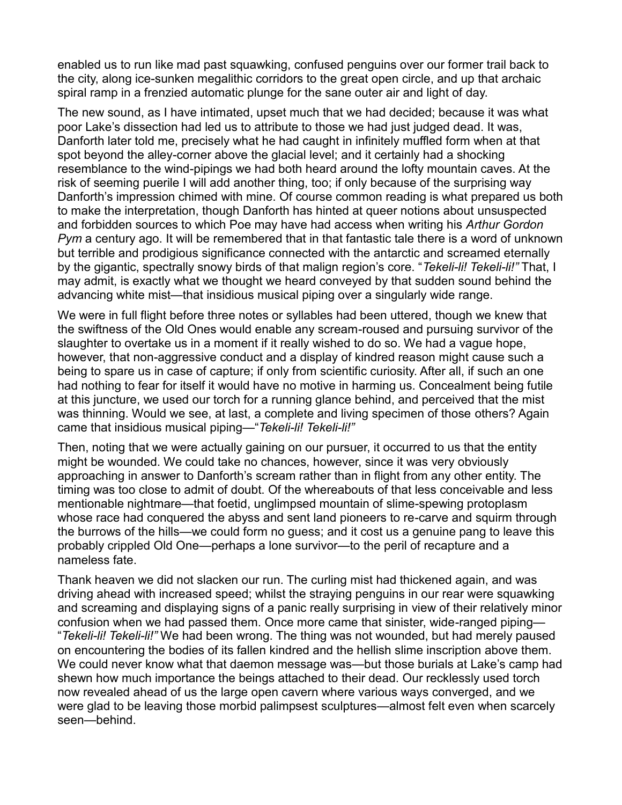enabled us to run like mad past squawking, confused penguins over our former trail back to the city, along ice-sunken megalithic corridors to the great open circle, and up that archaic spiral ramp in a frenzied automatic plunge for the sane outer air and light of day.

The new sound, as I have intimated, upset much that we had decided; because it was what poor Lake's dissection had led us to attribute to those we had just judged dead. It was, Danforth later told me, precisely what he had caught in infinitely muffled form when at that spot beyond the alley-corner above the glacial level; and it certainly had a shocking resemblance to the wind-pipings we had both heard around the lofty mountain caves. At the risk of seeming puerile I will add another thing, too; if only because of the surprising way Danforth's impression chimed with mine. Of course common reading is what prepared us both to make the interpretation, though Danforth has hinted at queer notions about unsuspected and forbidden sources to which Poe may have had access when writing his *Arthur Gordon Pym* a century ago. It will be remembered that in that fantastic tale there is a word of unknown but terrible and prodigious significance connected with the antarctic and screamed eternally by the gigantic, spectrally snowy birds of that malign region's core. "Tekeli-li! Tekeli-li!" That, I may admit, is exactly what we thought we heard conveyed by that sudden sound behind the advancing white mist—that insidious musical piping over a singularly wide range.

We were in full flight before three notes or syllables had been uttered, though we knew that the swiftness of the Old Ones would enable any scream-roused and pursuing survivor of the slaughter to overtake us in a moment if it really wished to do so. We had a vague hope, however, that non-aggressive conduct and a display of kindred reason might cause such a being to spare us in case of capture; if only from scientific curiosity. After all, if such an one had nothing to fear for itself it would have no motive in harming us. Concealment being futile at this juncture, we used our torch for a running glance behind, and perceived that the mist was thinning. Would we see, at last, a complete and living specimen of those others? Again came that insidious musical piping—"Tekeli-li! Tekeli-li!"

Then, noting that we were actually gaining on our pursuer, it occurred to us that the entity might be wounded. We could take no chances, however, since it was very obviously approaching in answer to Danforth's scream rather than in flight from any other entity. The timing was too close to admit of doubt. Of the whereabouts of that less conceivable and less mentionable nightmare—that foetid, unglimpsed mountain of slime-spewing protoplasm whose race had conquered the abyss and sent land pioneers to re-carve and squirm through the burrows of the hills—we could form no guess; and it cost us a genuine pang to leave this probably crippled Old One—perhaps a lone survivor—to the peril of recapture and a nameless fate.

Thank heaven we did not slacken our run. The curling mist had thickened again, and was driving ahead with increased speed; whilst the straying penguins in our rear were squawking and screaming and displaying signs of a panic really surprising in view of their relatively minor confusion when we had passed them. Once more came that sinister, wide-ranged piping— ³*Tekeli-li! Tekeli-li!"* We had been wrong. The thing was not wounded, but had merely paused on encountering the bodies of its fallen kindred and the hellish slime inscription above them. We could never know what that daemon message was—but those burials at Lake's camp had shewn how much importance the beings attached to their dead. Our recklessly used torch now revealed ahead of us the large open cavern where various ways converged, and we were glad to be leaving those morbid palimpsest sculptures—almost felt even when scarcely seen-behind.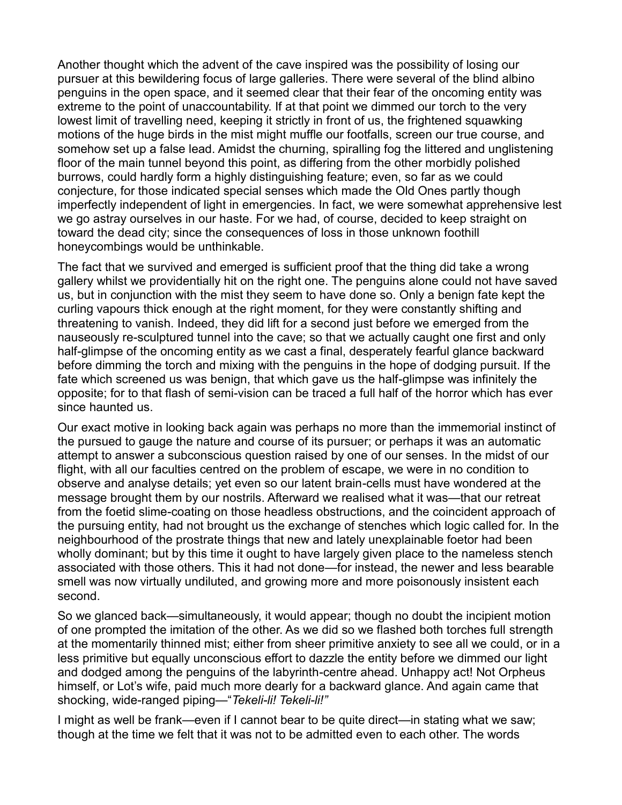Another thought which the advent of the cave inspired was the possibility of losing our pursuer at this bewildering focus of large galleries. There were several of the blind albino penguins in the open space, and it seemed clear that their fear of the oncoming entity was extreme to the point of unaccountability. If at that point we dimmed our torch to the very lowest limit of travelling need, keeping it strictly in front of us, the frightened squawking motions of the huge birds in the mist might muffle our footfalls, screen our true course, and somehow set up a false lead. Amidst the churning, spiralling fog the littered and unglistening floor of the main tunnel beyond this point, as differing from the other morbidly polished burrows, could hardly form a highly distinguishing feature; even, so far as we could conjecture, for those indicated special senses which made the Old Ones partly though imperfectly independent of light in emergencies. In fact, we were somewhat apprehensive lest we go astray ourselves in our haste. For we had, of course, decided to keep straight on toward the dead city; since the consequences of loss in those unknown foothill honeycombings would be unthinkable.

The fact that we survived and emerged is sufficient proof that the thing did take a wrong gallery whilst we providentially hit on the right one. The penguins alone could not have saved us, but in conjunction with the mist they seem to have done so. Only a benign fate kept the curling vapours thick enough at the right moment, for they were constantly shifting and threatening to vanish. Indeed, they did lift for a second just before we emerged from the nauseously re-sculptured tunnel into the cave; so that we actually caught one first and only half-glimpse of the oncoming entity as we cast a final, desperately fearful glance backward before dimming the torch and mixing with the penguins in the hope of dodging pursuit. If the fate which screened us was benign, that which gave us the half-glimpse was infinitely the opposite; for to that flash of semi-vision can be traced a full half of the horror which has ever since haunted us.

Our exact motive in looking back again was perhaps no more than the immemorial instinct of the pursued to gauge the nature and course of its pursuer; or perhaps it was an automatic attempt to answer a subconscious question raised by one of our senses. In the midst of our flight, with all our faculties centred on the problem of escape, we were in no condition to observe and analyse details; yet even so our latent brain-cells must have wondered at the message brought them by our nostrils. Afterward we realised what it was—that our retreat from the foetid slime-coating on those headless obstructions, and the coincident approach of the pursuing entity, had not brought us the exchange of stenches which logic called for. In the neighbourhood of the prostrate things that new and lately unexplainable foetor had been wholly dominant; but by this time it ought to have largely given place to the nameless stench associated with those others. This it had not done—for instead, the newer and less bearable smell was now virtually undiluted, and growing more and more poisonously insistent each second.

So we glanced back—simultaneously, it would appear; though no doubt the incipient motion of one prompted the imitation of the other. As we did so we flashed both torches full strength at the momentarily thinned mist; either from sheer primitive anxiety to see all we could, or in a less primitive but equally unconscious effort to dazzle the entity before we dimmed our light and dodged among the penguins of the labyrinth-centre ahead. Unhappy act! Not Orpheus himself, or Lot's wife, paid much more dearly for a backward glance. And again came that shocking, wide-ranged piping—"Tekeli-li! Tekeli-li!"

I might as well be frank—even if I cannot bear to be quite direct—in stating what we saw; though at the time we felt that it was not to be admitted even to each other. The words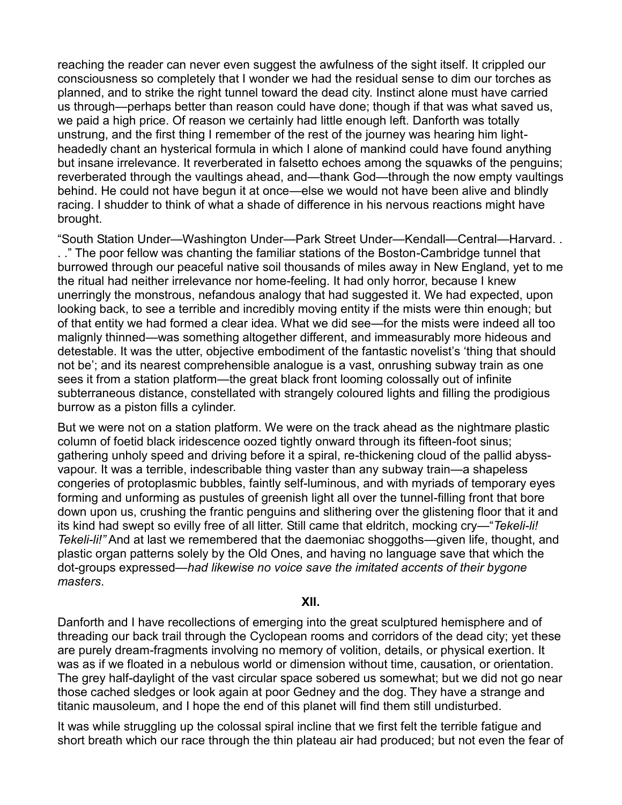reaching the reader can never even suggest the awfulness of the sight itself. It crippled our consciousness so completely that I wonder we had the residual sense to dim our torches as planned, and to strike the right tunnel toward the dead city. Instinct alone must have carried us through—perhaps better than reason could have done; though if that was what saved us, we paid a high price. Of reason we certainly had little enough left. Danforth was totally unstrung, and the first thing I remember of the rest of the journey was hearing him lightheadedly chant an hysterical formula in which I alone of mankind could have found anything but insane irrelevance. It reverberated in falsetto echoes among the squawks of the penguins; reverberated through the vaultings ahead, and—thank God—through the now empty vaultings behind. He could not have begun it at once—else we would not have been alive and blindly racing. I shudder to think of what a shade of difference in his nervous reactions might have brought.

"South Station Under—Washington Under—Park Street Under—Kendall—Central—Harvard. . .." The poor fellow was chanting the familiar stations of the Boston-Cambridge tunnel that burrowed through our peaceful native soil thousands of miles away in New England, yet to me the ritual had neither irrelevance nor home-feeling. It had only horror, because I knew unerringly the monstrous, nefandous analogy that had suggested it. We had expected, upon looking back, to see a terrible and incredibly moving entity if the mists were thin enough; but of that entity we had formed a clear idea. What we did see—for the mists were indeed all too malignly thinned—was something altogether different, and immeasurably more hideous and detestable. It was the utter, objective embodiment of the fantastic novelist's 'thing that should not be'; and its nearest comprehensible analogue is a vast, onrushing subway train as one sees it from a station platform—the great black front looming colossally out of infinite subterraneous distance, constellated with strangely coloured lights and filling the prodigious burrow as a piston fills a cylinder.

But we were not on a station platform. We were on the track ahead as the nightmare plastic column of foetid black iridescence oozed tightly onward through its fifteen-foot sinus; gathering unholy speed and driving before it a spiral, re-thickening cloud of the pallid abyssvapour. It was a terrible, indescribable thing vaster than any subway train—a shapeless congeries of protoplasmic bubbles, faintly self-luminous, and with myriads of temporary eyes forming and unforming as pustules of greenish light all over the tunnel-filling front that bore down upon us, crushing the frantic penguins and slithering over the glistening floor that it and its kind had swept so evilly free of all litter. Still came that eldritch, mocking cry—"Tekeli-li! *Tekeli-li!*" And at last we remembered that the daemoniac shoggoths—given life, thought, and plastic organ patterns solely by the Old Ones, and having no language save that which the dot-groups expressed—had likewise no voice save the imitated accents of their bygone *masters*.

## **XII.**

Danforth and I have recollections of emerging into the great sculptured hemisphere and of threading our back trail through the Cyclopean rooms and corridors of the dead city; yet these are purely dream-fragments involving no memory of volition, details, or physical exertion. It was as if we floated in a nebulous world or dimension without time, causation, or orientation. The grey half-daylight of the vast circular space sobered us somewhat; but we did not go near those cached sledges or look again at poor Gedney and the dog. They have a strange and titanic mausoleum, and I hope the end of this planet will find them still undisturbed.

It was while struggling up the colossal spiral incline that we first felt the terrible fatigue and short breath which our race through the thin plateau air had produced; but not even the fear of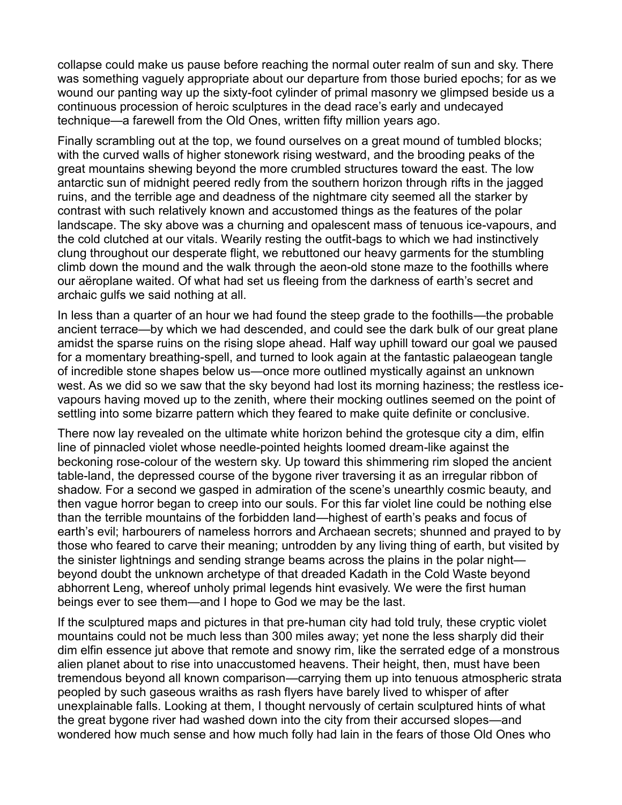collapse could make us pause before reaching the normal outer realm of sun and sky. There was something vaguely appropriate about our departure from those buried epochs; for as we wound our panting way up the sixty-foot cylinder of primal masonry we glimpsed beside us a continuous procession of heroic sculptures in the dead race's early and undecayed technique—a farewell from the Old Ones, written fifty million years ago.

Finally scrambling out at the top, we found ourselves on a great mound of tumbled blocks; with the curved walls of higher stonework rising westward, and the brooding peaks of the great mountains shewing beyond the more crumbled structures toward the east. The low antarctic sun of midnight peered redly from the southern horizon through rifts in the jagged ruins, and the terrible age and deadness of the nightmare city seemed all the starker by contrast with such relatively known and accustomed things as the features of the polar landscape. The sky above was a churning and opalescent mass of tenuous ice-vapours, and the cold clutched at our vitals. Wearily resting the outfit-bags to which we had instinctively clung throughout our desperate flight, we rebuttoned our heavy garments for the stumbling climb down the mound and the walk through the aeon-old stone maze to the foothills where our aëroplane waited. Of what had set us fleeing from the darkness of earth's secret and archaic gulfs we said nothing at all.

In less than a quarter of an hour we had found the steep grade to the foothills—the probable ancient terrace—by which we had descended, and could see the dark bulk of our great plane amidst the sparse ruins on the rising slope ahead. Half way uphill toward our goal we paused for a momentary breathing-spell, and turned to look again at the fantastic palaeogean tangle of incredible stone shapes below us—once more outlined mystically against an unknown west. As we did so we saw that the sky beyond had lost its morning haziness; the restless icevapours having moved up to the zenith, where their mocking outlines seemed on the point of settling into some bizarre pattern which they feared to make quite definite or conclusive.

There now lay revealed on the ultimate white horizon behind the grotesque city a dim, elfin line of pinnacled violet whose needle-pointed heights loomed dream-like against the beckoning rose-colour of the western sky. Up toward this shimmering rim sloped the ancient table-land, the depressed course of the bygone river traversing it as an irregular ribbon of shadow. For a second we gasped in admiration of the scene's unearthly cosmic beauty, and then vague horror began to creep into our souls. For this far violet line could be nothing else than the terrible mountains of the forbidden land—highest of earth's peaks and focus of earth's evil; harbourers of nameless horrors and Archaean secrets; shunned and prayed to by those who feared to carve their meaning; untrodden by any living thing of earth, but visited by the sinister lightnings and sending strange beams across the plains in the polar night beyond doubt the unknown archetype of that dreaded Kadath in the Cold Waste beyond abhorrent Leng, whereof unholy primal legends hint evasively. We were the first human beings ever to see them—and I hope to God we may be the last.

If the sculptured maps and pictures in that pre-human city had told truly, these cryptic violet mountains could not be much less than 300 miles away; yet none the less sharply did their dim elfin essence jut above that remote and snowy rim, like the serrated edge of a monstrous alien planet about to rise into unaccustomed heavens. Their height, then, must have been tremendous beyond all known comparison—carrying them up into tenuous atmospheric strata peopled by such gaseous wraiths as rash flyers have barely lived to whisper of after unexplainable falls. Looking at them, I thought nervously of certain sculptured hints of what the great bygone river had washed down into the city from their accursed slopes—and wondered how much sense and how much folly had lain in the fears of those Old Ones who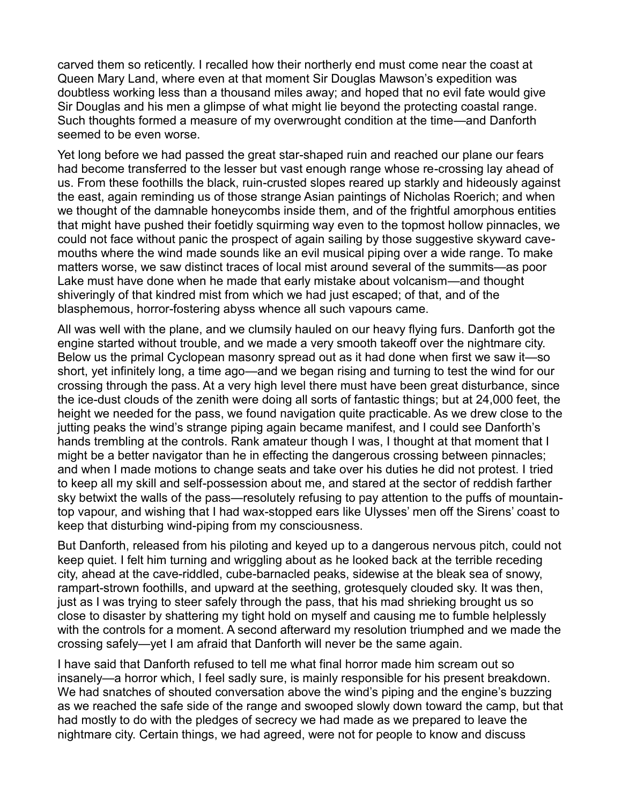carved them so reticently. I recalled how their northerly end must come near the coast at Queen Mary Land, where even at that moment Sir Douglas Mawson's expedition was doubtless working less than a thousand miles away; and hoped that no evil fate would give Sir Douglas and his men a glimpse of what might lie beyond the protecting coastal range. Such thoughts formed a measure of my overwrought condition at the time—and Danforth seemed to be even worse.

Yet long before we had passed the great star-shaped ruin and reached our plane our fears had become transferred to the lesser but vast enough range whose re-crossing lay ahead of us. From these foothills the black, ruin-crusted slopes reared up starkly and hideously against the east, again reminding us of those strange Asian paintings of Nicholas Roerich; and when we thought of the damnable honeycombs inside them, and of the frightful amorphous entities that might have pushed their foetidly squirming way even to the topmost hollow pinnacles, we could not face without panic the prospect of again sailing by those suggestive skyward cavemouths where the wind made sounds like an evil musical piping over a wide range. To make matters worse, we saw distinct traces of local mist around several of the summits—as poor Lake must have done when he made that early mistake about volcanism—and thought shiveringly of that kindred mist from which we had just escaped; of that, and of the blasphemous, horror-fostering abyss whence all such vapours came.

All was well with the plane, and we clumsily hauled on our heavy flying furs. Danforth got the engine started without trouble, and we made a very smooth takeoff over the nightmare city. Below us the primal Cyclopean masonry spread out as it had done when first we saw it—so short, yet infinitely long, a time ago—and we began rising and turning to test the wind for our crossing through the pass. At a very high level there must have been great disturbance, since the ice-dust clouds of the zenith were doing all sorts of fantastic things; but at 24,000 feet, the height we needed for the pass, we found navigation quite practicable. As we drew close to the jutting peaks the wind's strange piping again became manifest, and I could see Danforth's hands trembling at the controls. Rank amateur though I was, I thought at that moment that I might be a better navigator than he in effecting the dangerous crossing between pinnacles; and when I made motions to change seats and take over his duties he did not protest. I tried to keep all my skill and self-possession about me, and stared at the sector of reddish farther sky betwixt the walls of the pass—resolutely refusing to pay attention to the puffs of mountaintop vapour, and wishing that I had wax-stopped ears like Ulysses' men off the Sirens' coast to keep that disturbing wind-piping from my consciousness.

But Danforth, released from his piloting and keyed up to a dangerous nervous pitch, could not keep quiet. I felt him turning and wriggling about as he looked back at the terrible receding city, ahead at the cave-riddled, cube-barnacled peaks, sidewise at the bleak sea of snowy, rampart-strown foothills, and upward at the seething, grotesquely clouded sky. It was then, just as I was trying to steer safely through the pass, that his mad shrieking brought us so close to disaster by shattering my tight hold on myself and causing me to fumble helplessly with the controls for a moment. A second afterward my resolution triumphed and we made the crossing safely—yet I am afraid that Danforth will never be the same again.

I have said that Danforth refused to tell me what final horror made him scream out so insanely—a horror which, I feel sadly sure, is mainly responsible for his present breakdown. We had snatches of shouted conversation above the wind's piping and the engine's buzzing as we reached the safe side of the range and swooped slowly down toward the camp, but that had mostly to do with the pledges of secrecy we had made as we prepared to leave the nightmare city. Certain things, we had agreed, were not for people to know and discuss